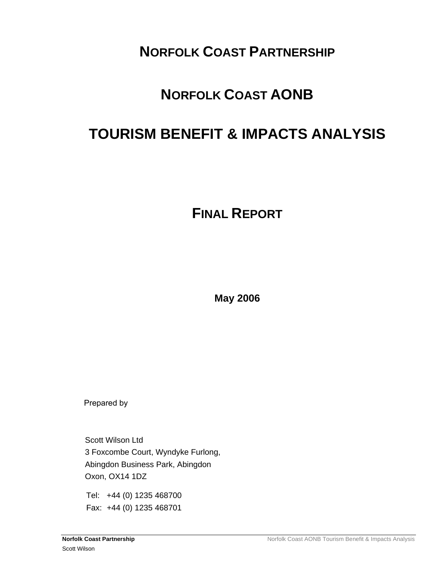# **NORFOLK COAST PARTNERSHIP**

# **NORFOLK COAST AONB**

# **TOURISM BENEFIT & IMPACTS ANALYSIS**

# **FINAL REPORT**

**May 2006** 

Prepared by

Scott Wilson Ltd 3 Foxcombe Court, Wyndyke Furlong, Abingdon Business Park, Abingdon Oxon, OX14 1DZ

Tel: +44 (0) 1235 468700 Fax: +44 (0) 1235 468701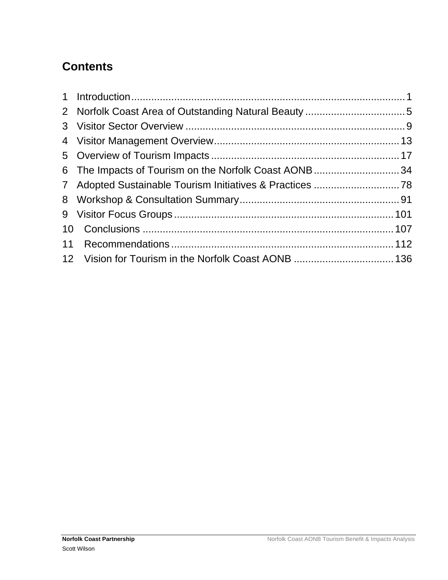# **Contents**

| 6 The Impacts of Tourism on the Norfolk Coast AONB34 |  |
|------------------------------------------------------|--|
|                                                      |  |
|                                                      |  |
|                                                      |  |
|                                                      |  |
|                                                      |  |
|                                                      |  |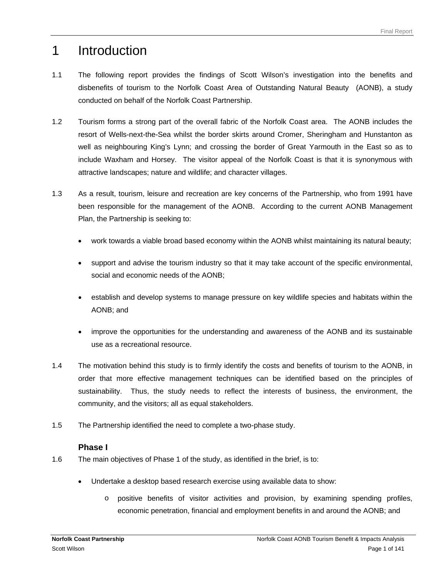# <span id="page-2-0"></span>1 Introduction

- 1.1 The following report provides the findings of Scott Wilson's investigation into the benefits and disbenefits of tourism to the Norfolk Coast Area of Outstanding Natural Beauty (AONB), a study conducted on behalf of the Norfolk Coast Partnership.
- 1.2 Tourism forms a strong part of the overall fabric of the Norfolk Coast area. The AONB includes the resort of Wells-next-the-Sea whilst the border skirts around Cromer, Sheringham and Hunstanton as well as neighbouring King's Lynn; and crossing the border of Great Yarmouth in the East so as to include Waxham and Horsey. The visitor appeal of the Norfolk Coast is that it is synonymous with attractive landscapes; nature and wildlife; and character villages.
- 1.3 As a result, tourism, leisure and recreation are key concerns of the Partnership, who from 1991 have been responsible for the management of the AONB. According to the current AONB Management Plan, the Partnership is seeking to:
	- work towards a viable broad based economy within the AONB whilst maintaining its natural beauty;
	- support and advise the tourism industry so that it may take account of the specific environmental, social and economic needs of the AONB;
	- establish and develop systems to manage pressure on key wildlife species and habitats within the AONB; and
	- improve the opportunities for the understanding and awareness of the AONB and its sustainable use as a recreational resource.
- 1.4 The motivation behind this study is to firmly identify the costs and benefits of tourism to the AONB, in order that more effective management techniques can be identified based on the principles of sustainability. Thus, the study needs to reflect the interests of business, the environment, the community, and the visitors; all as equal stakeholders.
- 1.5 The Partnership identified the need to complete a two-phase study.

### **Phase I**

- 1.6 The main objectives of Phase 1 of the study, as identified in the brief, is to:
	- Undertake a desktop based research exercise using available data to show:
		- o positive benefits of visitor activities and provision, by examining spending profiles, economic penetration, financial and employment benefits in and around the AONB; and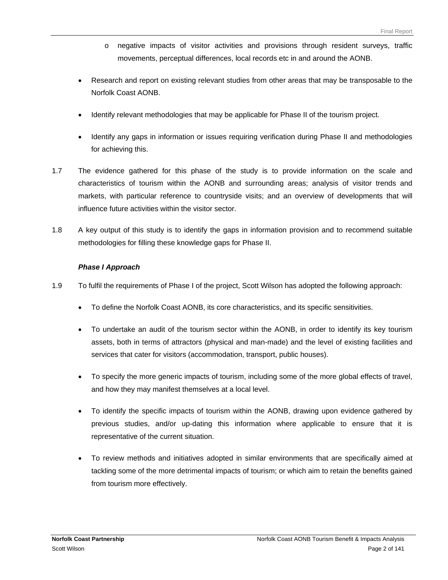- o negative impacts of visitor activities and provisions through resident surveys, traffic movements, perceptual differences, local records etc in and around the AONB.
- Research and report on existing relevant studies from other areas that may be transposable to the Norfolk Coast AONB.
- Identify relevant methodologies that may be applicable for Phase II of the tourism project.
- Identify any gaps in information or issues requiring verification during Phase II and methodologies for achieving this.
- 1.7 The evidence gathered for this phase of the study is to provide information on the scale and characteristics of tourism within the AONB and surrounding areas; analysis of visitor trends and markets, with particular reference to countryside visits; and an overview of developments that will influence future activities within the visitor sector.
- 1.8 A key output of this study is to identify the gaps in information provision and to recommend suitable methodologies for filling these knowledge gaps for Phase II.

#### *Phase I Approach*

- 1.9 To fulfil the requirements of Phase I of the project, Scott Wilson has adopted the following approach:
	- To define the Norfolk Coast AONB, its core characteristics, and its specific sensitivities.
	- To undertake an audit of the tourism sector within the AONB, in order to identify its key tourism assets, both in terms of attractors (physical and man-made) and the level of existing facilities and services that cater for visitors (accommodation, transport, public houses).
	- To specify the more generic impacts of tourism, including some of the more global effects of travel, and how they may manifest themselves at a local level.
	- To identify the specific impacts of tourism within the AONB, drawing upon evidence gathered by previous studies, and/or up-dating this information where applicable to ensure that it is representative of the current situation.
	- To review methods and initiatives adopted in similar environments that are specifically aimed at tackling some of the more detrimental impacts of tourism; or which aim to retain the benefits gained from tourism more effectively.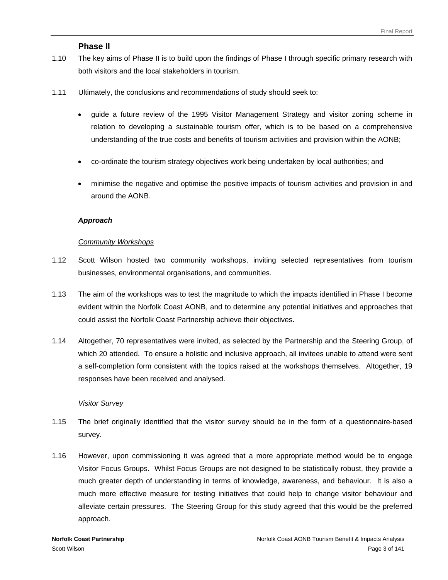### **Phase II**

- 1.10 The key aims of Phase II is to build upon the findings of Phase I through specific primary research with both visitors and the local stakeholders in tourism.
- 1.11 Ultimately, the conclusions and recommendations of study should seek to:
	- guide a future review of the 1995 Visitor Management Strategy and visitor zoning scheme in relation to developing a sustainable tourism offer, which is to be based on a comprehensive understanding of the true costs and benefits of tourism activities and provision within the AONB;
	- co-ordinate the tourism strategy objectives work being undertaken by local authorities; and
	- minimise the negative and optimise the positive impacts of tourism activities and provision in and around the AONB.

#### *Approach*

#### *Community Workshops*

- 1.12 Scott Wilson hosted two community workshops, inviting selected representatives from tourism businesses, environmental organisations, and communities.
- 1.13 The aim of the workshops was to test the magnitude to which the impacts identified in Phase I become evident within the Norfolk Coast AONB, and to determine any potential initiatives and approaches that could assist the Norfolk Coast Partnership achieve their objectives.
- 1.14 Altogether, 70 representatives were invited, as selected by the Partnership and the Steering Group, of which 20 attended. To ensure a holistic and inclusive approach, all invitees unable to attend were sent a self-completion form consistent with the topics raised at the workshops themselves. Altogether, 19 responses have been received and analysed.

#### *Visitor Survey*

- 1.15 The brief originally identified that the visitor survey should be in the form of a questionnaire-based survey.
- 1.16 However, upon commissioning it was agreed that a more appropriate method would be to engage Visitor Focus Groups. Whilst Focus Groups are not designed to be statistically robust, they provide a much greater depth of understanding in terms of knowledge, awareness, and behaviour. It is also a much more effective measure for testing initiatives that could help to change visitor behaviour and alleviate certain pressures. The Steering Group for this study agreed that this would be the preferred approach.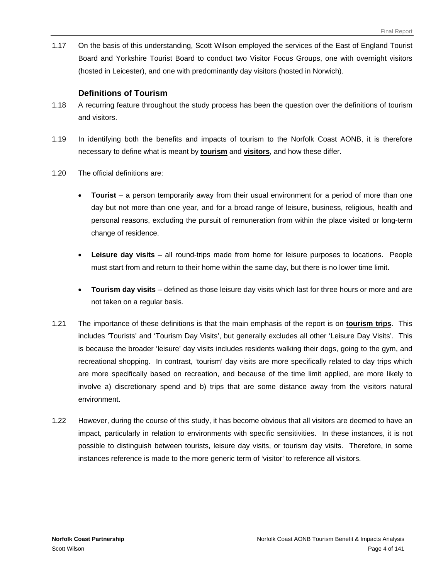1.17 On the basis of this understanding, Scott Wilson employed the services of the East of England Tourist Board and Yorkshire Tourist Board to conduct two Visitor Focus Groups, one with overnight visitors (hosted in Leicester), and one with predominantly day visitors (hosted in Norwich).

### **Definitions of Tourism**

- 1.18 A recurring feature throughout the study process has been the question over the definitions of tourism and visitors.
- 1.19 In identifying both the benefits and impacts of tourism to the Norfolk Coast AONB, it is therefore necessary to define what is meant by **tourism** and **visitors**, and how these differ.
- 1.20 The official definitions are:
	- **Tourist** a person temporarily away from their usual environment for a period of more than one day but not more than one year, and for a broad range of leisure, business, religious, health and personal reasons, excluding the pursuit of remuneration from within the place visited or long-term change of residence.
	- **Leisure day visits** all round-trips made from home for leisure purposes to locations. People must start from and return to their home within the same day, but there is no lower time limit.
	- **Tourism day visits** defined as those leisure day visits which last for three hours or more and are not taken on a regular basis.
- 1.21 The importance of these definitions is that the main emphasis of the report is on **tourism trips**. This includes 'Tourists' and 'Tourism Day Visits', but generally excludes all other 'Leisure Day Visits'. This is because the broader 'leisure' day visits includes residents walking their dogs, going to the gym, and recreational shopping. In contrast, 'tourism' day visits are more specifically related to day trips which are more specifically based on recreation, and because of the time limit applied, are more likely to involve a) discretionary spend and b) trips that are some distance away from the visitors natural environment.
- 1.22 However, during the course of this study, it has become obvious that all visitors are deemed to have an impact, particularly in relation to environments with specific sensitivities. In these instances, it is not possible to distinguish between tourists, leisure day visits, or tourism day visits. Therefore, in some instances reference is made to the more generic term of 'visitor' to reference all visitors.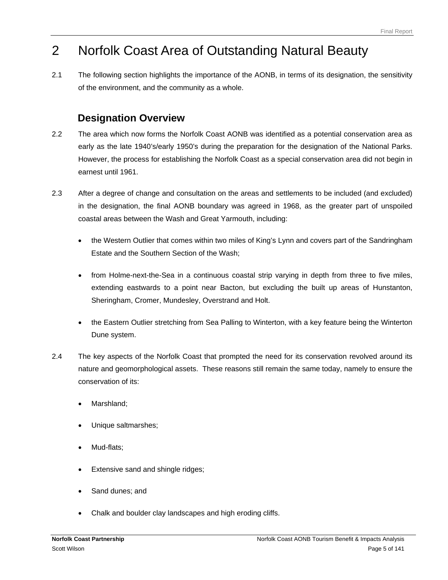# <span id="page-6-0"></span>2 Norfolk Coast Area of Outstanding Natural Beauty

2.1 The following section highlights the importance of the AONB, in terms of its designation, the sensitivity of the environment, and the community as a whole.

# **Designation Overview**

- 2.2 The area which now forms the Norfolk Coast AONB was identified as a potential conservation area as early as the late 1940's/early 1950's during the preparation for the designation of the National Parks. However, the process for establishing the Norfolk Coast as a special conservation area did not begin in earnest until 1961.
- 2.3 After a degree of change and consultation on the areas and settlements to be included (and excluded) in the designation, the final AONB boundary was agreed in 1968, as the greater part of unspoiled coastal areas between the Wash and Great Yarmouth, including:
	- the Western Outlier that comes within two miles of King's Lynn and covers part of the Sandringham Estate and the Southern Section of the Wash;
	- from Holme-next-the-Sea in a continuous coastal strip varying in depth from three to five miles, extending eastwards to a point near Bacton, but excluding the built up areas of Hunstanton, Sheringham, Cromer, Mundesley, Overstrand and Holt.
	- the Eastern Outlier stretching from Sea Palling to Winterton, with a key feature being the Winterton Dune system.
- 2.4 The key aspects of the Norfolk Coast that prompted the need for its conservation revolved around its nature and geomorphological assets. These reasons still remain the same today, namely to ensure the conservation of its:
	- Marshland;
	- Unique saltmarshes;
	- Mud-flats;
	- Extensive sand and shingle ridges;
	- Sand dunes; and
	- Chalk and boulder clay landscapes and high eroding cliffs.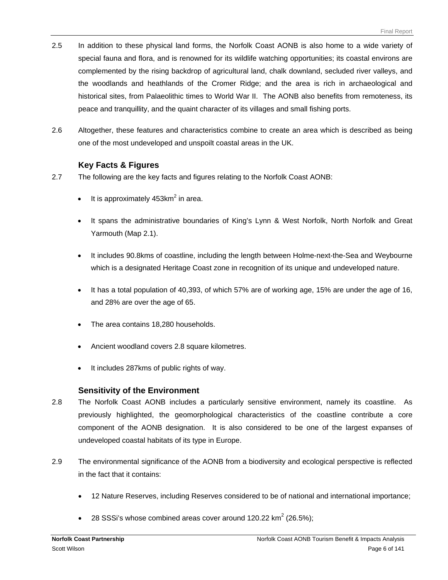- 2.5 In addition to these physical land forms, the Norfolk Coast AONB is also home to a wide variety of special fauna and flora, and is renowned for its wildlife watching opportunities; its coastal environs are complemented by the rising backdrop of agricultural land, chalk downland, secluded river valleys, and the woodlands and heathlands of the Cromer Ridge; and the area is rich in archaeological and historical sites, from Palaeolithic times to World War II. The AONB also benefits from remoteness, its peace and tranquillity, and the quaint character of its villages and small fishing ports.
- 2.6 Altogether, these features and characteristics combine to create an area which is described as being one of the most undeveloped and unspoilt coastal areas in the UK.

## **Key Facts & Figures**

- 2.7 The following are the key facts and figures relating to the Norfolk Coast AONB:
	- It is approximately  $453$ km<sup>2</sup> in area.
	- It spans the administrative boundaries of King's Lynn & West Norfolk, North Norfolk and Great Yarmouth (Map 2.1).
	- It includes 90.8kms of coastline, including the length between Holme-next-the-Sea and Weybourne which is a designated Heritage Coast zone in recognition of its unique and undeveloped nature.
	- It has a total population of 40,393, of which 57% are of working age, 15% are under the age of 16, and 28% are over the age of 65.
	- The area contains 18,280 households.
	- Ancient woodland covers 2.8 square kilometres.
	- It includes 287kms of public rights of way.

## **Sensitivity of the Environment**

- 2.8 The Norfolk Coast AONB includes a particularly sensitive environment, namely its coastline. As previously highlighted, the geomorphological characteristics of the coastline contribute a core component of the AONB designation. It is also considered to be one of the largest expanses of undeveloped coastal habitats of its type in Europe.
- 2.9 The environmental significance of the AONB from a biodiversity and ecological perspective is reflected in the fact that it contains:
	- 12 Nature Reserves, including Reserves considered to be of national and international importance;
	- 28 SSSi's whose combined areas cover around 120.22 km<sup>2</sup> (26.5%);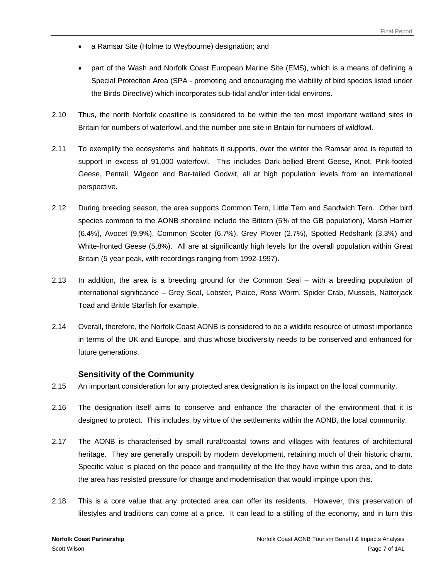- a Ramsar Site (Holme to Weybourne) designation; and
- part of the Wash and Norfolk Coast European Marine Site (EMS), which is a means of defining a Special Protection Area (SPA - promoting and encouraging the viability of bird species listed under the Birds Directive) which incorporates sub-tidal and/or inter-tidal environs.
- 2.10 Thus, the north Norfolk coastline is considered to be within the ten most important wetland sites in Britain for numbers of waterfowl, and the number one site in Britain for numbers of wildfowl.
- 2.11 To exemplify the ecosystems and habitats it supports, over the winter the Ramsar area is reputed to support in excess of 91,000 waterfowl. This includes Dark-bellied Brent Geese, Knot, Pink-footed Geese, Pentail, Wigeon and Bar-tailed Godwit, all at high population levels from an international perspective.
- 2.12 During breeding season, the area supports Common Tern, Little Tern and Sandwich Tern. Other bird species common to the AONB shoreline include the Bittern (5% of the GB population), Marsh Harrier (6.4%), Avocet (9.9%), Common Scoter (6.7%), Grey Plover (2.7%), Spotted Redshank (3.3%) and White-fronted Geese (5.8%). All are at significantly high levels for the overall population within Great Britain (5 year peak, with recordings ranging from 1992-1997).
- 2.13 In addition, the area is a breeding ground for the Common Seal with a breeding population of international significance – Grey Seal, Lobster, Plaice, Ross Worm, Spider Crab, Mussels, Natterjack Toad and Brittle Starfish for example.
- 2.14 Overall, therefore, the Norfolk Coast AONB is considered to be a wildlife resource of utmost importance in terms of the UK and Europe, and thus whose biodiversity needs to be conserved and enhanced for future generations.

### **Sensitivity of the Community**

- 2.15 An important consideration for any protected area designation is its impact on the local community.
- 2.16 The designation itself aims to conserve and enhance the character of the environment that it is designed to protect. This includes, by virtue of the settlements within the AONB, the local community.
- 2.17 The AONB is characterised by small rural/coastal towns and villages with features of architectural heritage. They are generally unspoilt by modern development, retaining much of their historic charm. Specific value is placed on the peace and tranquillity of the life they have within this area, and to date the area has resisted pressure for change and modernisation that would impinge upon this.
- 2.18 This is a core value that any protected area can offer its residents. However, this preservation of lifestyles and traditions can come at a price. It can lead to a stifling of the economy, and in turn this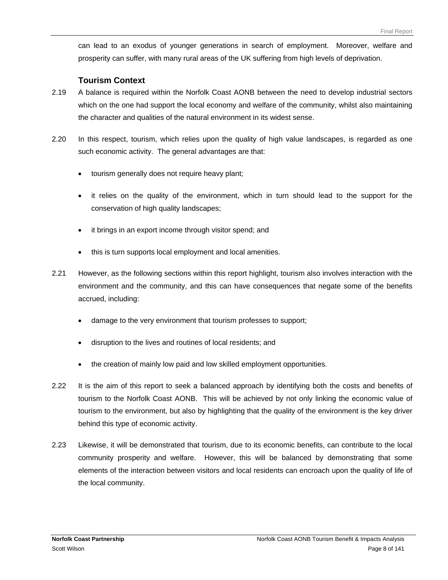can lead to an exodus of younger generations in search of employment. Moreover, welfare and prosperity can suffer, with many rural areas of the UK suffering from high levels of deprivation.

#### **Tourism Context**

- 2.19 A balance is required within the Norfolk Coast AONB between the need to develop industrial sectors which on the one had support the local economy and welfare of the community, whilst also maintaining the character and qualities of the natural environment in its widest sense.
- 2.20 In this respect, tourism, which relies upon the quality of high value landscapes, is regarded as one such economic activity. The general advantages are that:
	- tourism generally does not require heavy plant;
	- it relies on the quality of the environment, which in turn should lead to the support for the conservation of high quality landscapes;
	- it brings in an export income through visitor spend; and
	- this is turn supports local employment and local amenities.
- 2.21 However, as the following sections within this report highlight, tourism also involves interaction with the environment and the community, and this can have consequences that negate some of the benefits accrued, including:
	- damage to the very environment that tourism professes to support;
	- disruption to the lives and routines of local residents; and
	- the creation of mainly low paid and low skilled employment opportunities.
- 2.22 It is the aim of this report to seek a balanced approach by identifying both the costs and benefits of tourism to the Norfolk Coast AONB. This will be achieved by not only linking the economic value of tourism to the environment, but also by highlighting that the quality of the environment is the key driver behind this type of economic activity.
- 2.23 Likewise, it will be demonstrated that tourism, due to its economic benefits, can contribute to the local community prosperity and welfare. However, this will be balanced by demonstrating that some elements of the interaction between visitors and local residents can encroach upon the quality of life of the local community.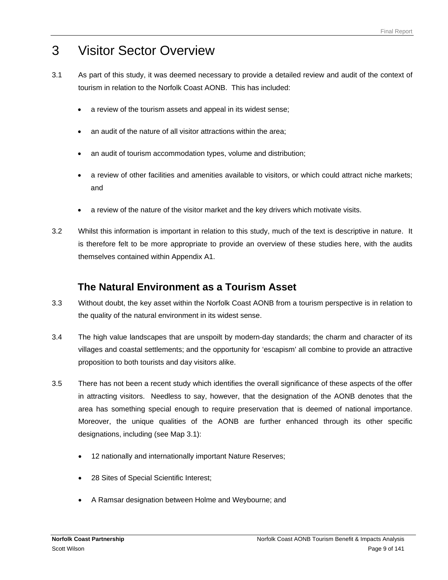# <span id="page-10-0"></span>3 Visitor Sector Overview

- 3.1 As part of this study, it was deemed necessary to provide a detailed review and audit of the context of tourism in relation to the Norfolk Coast AONB. This has included:
	- a review of the tourism assets and appeal in its widest sense;
	- an audit of the nature of all visitor attractions within the area;
	- an audit of tourism accommodation types, volume and distribution;
	- a review of other facilities and amenities available to visitors, or which could attract niche markets; and
	- a review of the nature of the visitor market and the key drivers which motivate visits.
- 3.2 Whilst this information is important in relation to this study, much of the text is descriptive in nature. It is therefore felt to be more appropriate to provide an overview of these studies here, with the audits themselves contained within Appendix A1.

# **The Natural Environment as a Tourism Asset**

- 3.3 Without doubt, the key asset within the Norfolk Coast AONB from a tourism perspective is in relation to the quality of the natural environment in its widest sense.
- 3.4 The high value landscapes that are unspoilt by modern-day standards; the charm and character of its villages and coastal settlements; and the opportunity for 'escapism' all combine to provide an attractive proposition to both tourists and day visitors alike.
- 3.5 There has not been a recent study which identifies the overall significance of these aspects of the offer in attracting visitors. Needless to say, however, that the designation of the AONB denotes that the area has something special enough to require preservation that is deemed of national importance. Moreover, the unique qualities of the AONB are further enhanced through its other specific designations, including (see Map 3.1):
	- 12 nationally and internationally important Nature Reserves;
	- 28 Sites of Special Scientific Interest;
	- A Ramsar designation between Holme and Weybourne; and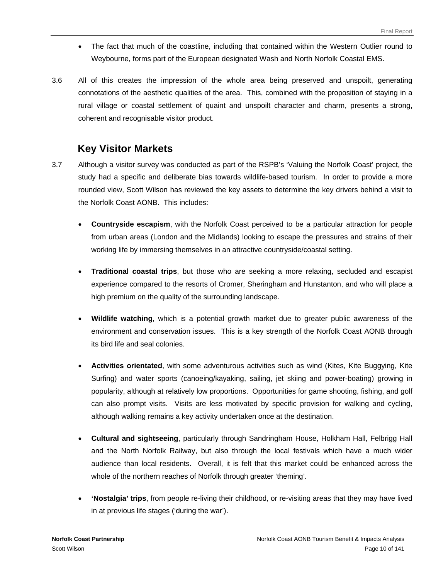- The fact that much of the coastline, including that contained within the Western Outlier round to Weybourne, forms part of the European designated Wash and North Norfolk Coastal EMS.
- 3.6 All of this creates the impression of the whole area being preserved and unspoilt, generating connotations of the aesthetic qualities of the area. This, combined with the proposition of staying in a rural village or coastal settlement of quaint and unspoilt character and charm, presents a strong, coherent and recognisable visitor product.

# **Key Visitor Markets**

- 3.7 Although a visitor survey was conducted as part of the RSPB's 'Valuing the Norfolk Coast' project, the study had a specific and deliberate bias towards wildlife-based tourism. In order to provide a more rounded view, Scott Wilson has reviewed the key assets to determine the key drivers behind a visit to the Norfolk Coast AONB. This includes:
	- **Countryside escapism**, with the Norfolk Coast perceived to be a particular attraction for people from urban areas (London and the Midlands) looking to escape the pressures and strains of their working life by immersing themselves in an attractive countryside/coastal setting.
	- **Traditional coastal trips**, but those who are seeking a more relaxing, secluded and escapist experience compared to the resorts of Cromer, Sheringham and Hunstanton, and who will place a high premium on the quality of the surrounding landscape.
	- **Wildlife watching**, which is a potential growth market due to greater public awareness of the environment and conservation issues. This is a key strength of the Norfolk Coast AONB through its bird life and seal colonies.
	- **Activities orientated**, with some adventurous activities such as wind (Kites, Kite Buggying, Kite Surfing) and water sports (canoeing/kayaking, sailing, jet skiing and power-boating) growing in popularity, although at relatively low proportions. Opportunities for game shooting, fishing, and golf can also prompt visits. Visits are less motivated by specific provision for walking and cycling, although walking remains a key activity undertaken once at the destination.
	- **Cultural and sightseeing**, particularly through Sandringham House, Holkham Hall, Felbrigg Hall and the North Norfolk Railway, but also through the local festivals which have a much wider audience than local residents. Overall, it is felt that this market could be enhanced across the whole of the northern reaches of Norfolk through greater 'theming'.
	- **'Nostalgia' trips**, from people re-living their childhood, or re-visiting areas that they may have lived in at previous life stages ('during the war').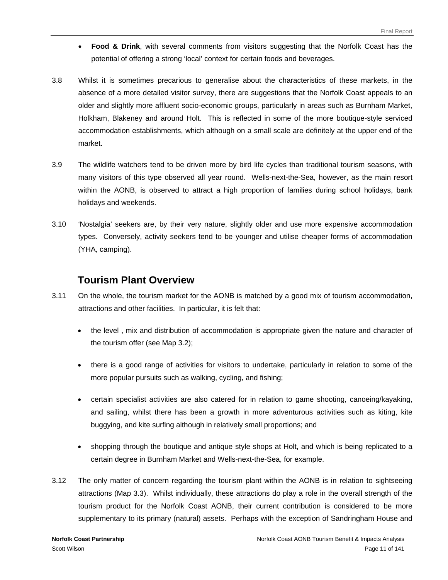- **Food & Drink**, with several comments from visitors suggesting that the Norfolk Coast has the potential of offering a strong 'local' context for certain foods and beverages.
- 3.8 Whilst it is sometimes precarious to generalise about the characteristics of these markets, in the absence of a more detailed visitor survey, there are suggestions that the Norfolk Coast appeals to an older and slightly more affluent socio-economic groups, particularly in areas such as Burnham Market, Holkham, Blakeney and around Holt. This is reflected in some of the more boutique-style serviced accommodation establishments, which although on a small scale are definitely at the upper end of the market.
- 3.9 The wildlife watchers tend to be driven more by bird life cycles than traditional tourism seasons, with many visitors of this type observed all year round. Wells-next-the-Sea, however, as the main resort within the AONB, is observed to attract a high proportion of families during school holidays, bank holidays and weekends.
- 3.10 'Nostalgia' seekers are, by their very nature, slightly older and use more expensive accommodation types. Conversely, activity seekers tend to be younger and utilise cheaper forms of accommodation (YHA, camping).

## **Tourism Plant Overview**

- 3.11 On the whole, the tourism market for the AONB is matched by a good mix of tourism accommodation, attractions and other facilities. In particular, it is felt that:
	- the level , mix and distribution of accommodation is appropriate given the nature and character of the tourism offer (see Map 3.2);
	- there is a good range of activities for visitors to undertake, particularly in relation to some of the more popular pursuits such as walking, cycling, and fishing;
	- certain specialist activities are also catered for in relation to game shooting, canoeing/kayaking, and sailing, whilst there has been a growth in more adventurous activities such as kiting, kite buggying, and kite surfing although in relatively small proportions; and
	- shopping through the boutique and antique style shops at Holt, and which is being replicated to a certain degree in Burnham Market and Wells-next-the-Sea, for example.
- 3.12 The only matter of concern regarding the tourism plant within the AONB is in relation to sightseeing attractions (Map 3.3). Whilst individually, these attractions do play a role in the overall strength of the tourism product for the Norfolk Coast AONB, their current contribution is considered to be more supplementary to its primary (natural) assets. Perhaps with the exception of Sandringham House and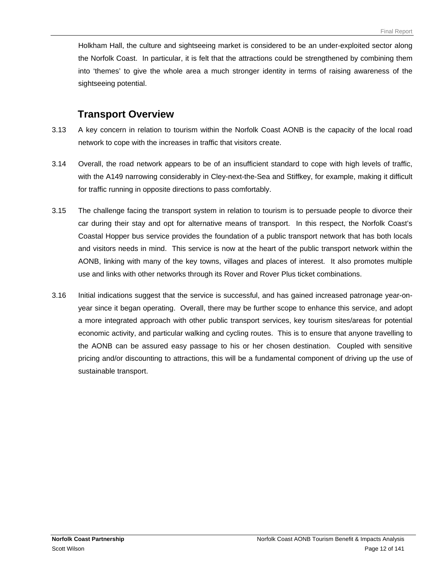Holkham Hall, the culture and sightseeing market is considered to be an under-exploited sector along the Norfolk Coast. In particular, it is felt that the attractions could be strengthened by combining them into 'themes' to give the whole area a much stronger identity in terms of raising awareness of the sightseeing potential.

## **Transport Overview**

- 3.13 A key concern in relation to tourism within the Norfolk Coast AONB is the capacity of the local road network to cope with the increases in traffic that visitors create.
- 3.14 Overall, the road network appears to be of an insufficient standard to cope with high levels of traffic, with the A149 narrowing considerably in Cley-next-the-Sea and Stiffkey, for example, making it difficult for traffic running in opposite directions to pass comfortably.
- 3.15 The challenge facing the transport system in relation to tourism is to persuade people to divorce their car during their stay and opt for alternative means of transport. In this respect, the Norfolk Coast's Coastal Hopper bus service provides the foundation of a public transport network that has both locals and visitors needs in mind. This service is now at the heart of the public transport network within the AONB, linking with many of the key towns, villages and places of interest. It also promotes multiple use and links with other networks through its Rover and Rover Plus ticket combinations.
- 3.16 Initial indications suggest that the service is successful, and has gained increased patronage year-onyear since it began operating. Overall, there may be further scope to enhance this service, and adopt a more integrated approach with other public transport services, key tourism sites/areas for potential economic activity, and particular walking and cycling routes. This is to ensure that anyone travelling to the AONB can be assured easy passage to his or her chosen destination. Coupled with sensitive pricing and/or discounting to attractions, this will be a fundamental component of driving up the use of sustainable transport.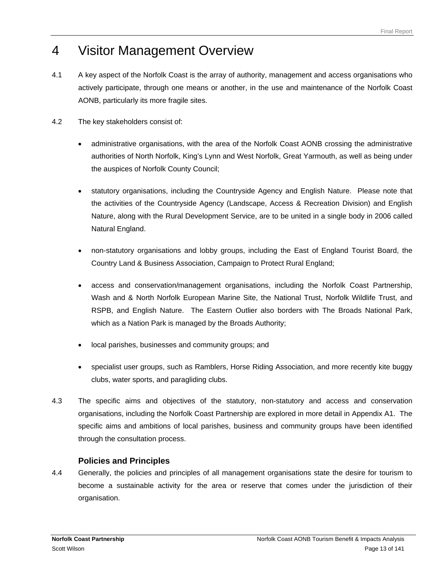# <span id="page-14-0"></span>4 Visitor Management Overview

- 4.1 A key aspect of the Norfolk Coast is the array of authority, management and access organisations who actively participate, through one means or another, in the use and maintenance of the Norfolk Coast AONB, particularly its more fragile sites.
- 4.2 The key stakeholders consist of:
	- administrative organisations, with the area of the Norfolk Coast AONB crossing the administrative authorities of North Norfolk, King's Lynn and West Norfolk, Great Yarmouth, as well as being under the auspices of Norfolk County Council;
	- statutory organisations, including the Countryside Agency and English Nature. Please note that the activities of the Countryside Agency (Landscape, Access & Recreation Division) and English Nature, along with the Rural Development Service, are to be united in a single body in 2006 called Natural England.
	- non-statutory organisations and lobby groups, including the East of England Tourist Board, the Country Land & Business Association, Campaign to Protect Rural England;
	- access and conservation/management organisations, including the Norfolk Coast Partnership, Wash and & North Norfolk European Marine Site, the National Trust, Norfolk Wildlife Trust, and RSPB, and English Nature. The Eastern Outlier also borders with The Broads National Park, which as a Nation Park is managed by the Broads Authority;
	- local parishes, businesses and community groups; and
	- specialist user groups, such as Ramblers, Horse Riding Association, and more recently kite buggy clubs, water sports, and paragliding clubs.
- 4.3 The specific aims and objectives of the statutory, non-statutory and access and conservation organisations, including the Norfolk Coast Partnership are explored in more detail in Appendix A1. The specific aims and ambitions of local parishes, business and community groups have been identified through the consultation process.

## **Policies and Principles**

4.4 Generally, the policies and principles of all management organisations state the desire for tourism to become a sustainable activity for the area or reserve that comes under the jurisdiction of their organisation.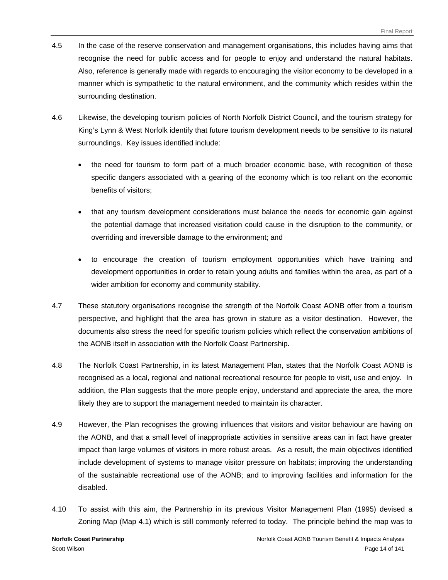- 4.5 In the case of the reserve conservation and management organisations, this includes having aims that recognise the need for public access and for people to enjoy and understand the natural habitats. Also, reference is generally made with regards to encouraging the visitor economy to be developed in a manner which is sympathetic to the natural environment, and the community which resides within the surrounding destination.
- 4.6 Likewise, the developing tourism policies of North Norfolk District Council, and the tourism strategy for King's Lynn & West Norfolk identify that future tourism development needs to be sensitive to its natural surroundings. Key issues identified include:
	- the need for tourism to form part of a much broader economic base, with recognition of these specific dangers associated with a gearing of the economy which is too reliant on the economic benefits of visitors;
	- that any tourism development considerations must balance the needs for economic gain against the potential damage that increased visitation could cause in the disruption to the community, or overriding and irreversible damage to the environment; and
	- to encourage the creation of tourism employment opportunities which have training and development opportunities in order to retain young adults and families within the area, as part of a wider ambition for economy and community stability.
- 4.7 These statutory organisations recognise the strength of the Norfolk Coast AONB offer from a tourism perspective, and highlight that the area has grown in stature as a visitor destination. However, the documents also stress the need for specific tourism policies which reflect the conservation ambitions of the AONB itself in association with the Norfolk Coast Partnership.
- 4.8 The Norfolk Coast Partnership, in its latest Management Plan, states that the Norfolk Coast AONB is recognised as a local, regional and national recreational resource for people to visit, use and enjoy. In addition, the Plan suggests that the more people enjoy, understand and appreciate the area, the more likely they are to support the management needed to maintain its character.
- 4.9 However, the Plan recognises the growing influences that visitors and visitor behaviour are having on the AONB, and that a small level of inappropriate activities in sensitive areas can in fact have greater impact than large volumes of visitors in more robust areas. As a result, the main objectives identified include development of systems to manage visitor pressure on habitats; improving the understanding of the sustainable recreational use of the AONB; and to improving facilities and information for the disabled.
- 4.10 To assist with this aim, the Partnership in its previous Visitor Management Plan (1995) devised a Zoning Map (Map 4.1) which is still commonly referred to today. The principle behind the map was to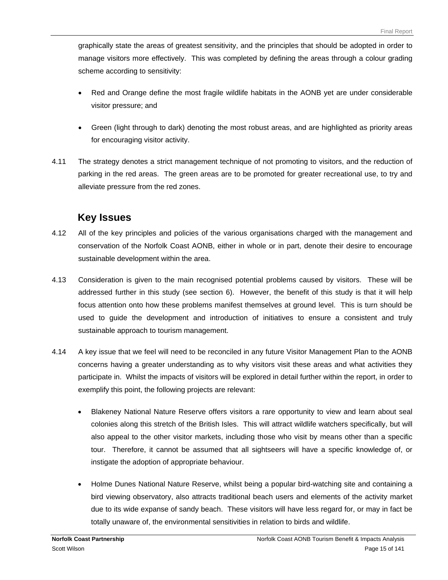graphically state the areas of greatest sensitivity, and the principles that should be adopted in order to manage visitors more effectively. This was completed by defining the areas through a colour grading scheme according to sensitivity:

- Red and Orange define the most fragile wildlife habitats in the AONB yet are under considerable visitor pressure; and
- Green (light through to dark) denoting the most robust areas, and are highlighted as priority areas for encouraging visitor activity.
- 4.11 The strategy denotes a strict management technique of not promoting to visitors, and the reduction of parking in the red areas. The green areas are to be promoted for greater recreational use, to try and alleviate pressure from the red zones.

## **Key Issues**

- 4.12 All of the key principles and policies of the various organisations charged with the management and conservation of the Norfolk Coast AONB, either in whole or in part, denote their desire to encourage sustainable development within the area.
- 4.13 Consideration is given to the main recognised potential problems caused by visitors. These will be addressed further in this study (see section 6). However, the benefit of this study is that it will help focus attention onto how these problems manifest themselves at ground level. This is turn should be used to guide the development and introduction of initiatives to ensure a consistent and truly sustainable approach to tourism management.
- 4.14 A key issue that we feel will need to be reconciled in any future Visitor Management Plan to the AONB concerns having a greater understanding as to why visitors visit these areas and what activities they participate in. Whilst the impacts of visitors will be explored in detail further within the report, in order to exemplify this point, the following projects are relevant:
	- Blakeney National Nature Reserve offers visitors a rare opportunity to view and learn about seal colonies along this stretch of the British Isles. This will attract wildlife watchers specifically, but will also appeal to the other visitor markets, including those who visit by means other than a specific tour. Therefore, it cannot be assumed that all sightseers will have a specific knowledge of, or instigate the adoption of appropriate behaviour.
	- Holme Dunes National Nature Reserve, whilst being a popular bird-watching site and containing a bird viewing observatory, also attracts traditional beach users and elements of the activity market due to its wide expanse of sandy beach. These visitors will have less regard for, or may in fact be totally unaware of, the environmental sensitivities in relation to birds and wildlife.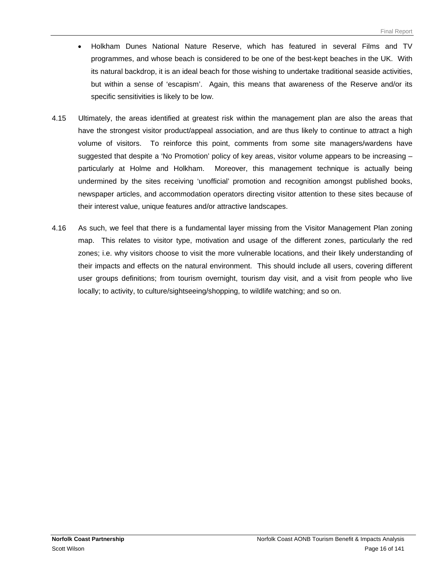- Holkham Dunes National Nature Reserve, which has featured in several Films and TV programmes, and whose beach is considered to be one of the best-kept beaches in the UK. With its natural backdrop, it is an ideal beach for those wishing to undertake traditional seaside activities, but within a sense of 'escapism'. Again, this means that awareness of the Reserve and/or its specific sensitivities is likely to be low.
- 4.15 Ultimately, the areas identified at greatest risk within the management plan are also the areas that have the strongest visitor product/appeal association, and are thus likely to continue to attract a high volume of visitors. To reinforce this point, comments from some site managers/wardens have suggested that despite a 'No Promotion' policy of key areas, visitor volume appears to be increasing – particularly at Holme and Holkham. Moreover, this management technique is actually being undermined by the sites receiving 'unofficial' promotion and recognition amongst published books, newspaper articles, and accommodation operators directing visitor attention to these sites because of their interest value, unique features and/or attractive landscapes.
- 4.16 As such, we feel that there is a fundamental layer missing from the Visitor Management Plan zoning map. This relates to visitor type, motivation and usage of the different zones, particularly the red zones; i.e. why visitors choose to visit the more vulnerable locations, and their likely understanding of their impacts and effects on the natural environment. This should include all users, covering different user groups definitions; from tourism overnight, tourism day visit, and a visit from people who live locally; to activity, to culture/sightseeing/shopping, to wildlife watching; and so on.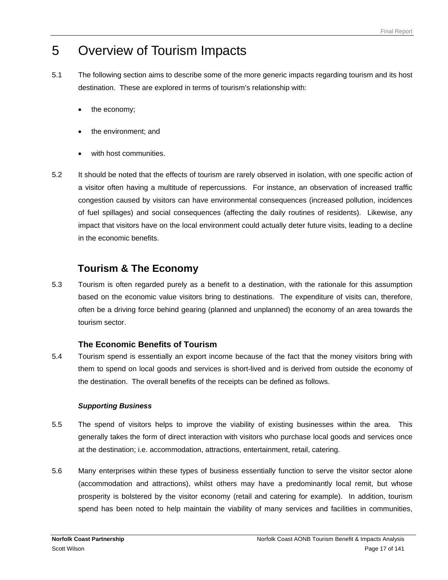# <span id="page-18-0"></span>5 Overview of Tourism Impacts

- 5.1 The following section aims to describe some of the more generic impacts regarding tourism and its host destination. These are explored in terms of tourism's relationship with:
	- the economy;
	- the environment; and
	- with host communities.
- 5.2 It should be noted that the effects of tourism are rarely observed in isolation, with one specific action of a visitor often having a multitude of repercussions. For instance, an observation of increased traffic congestion caused by visitors can have environmental consequences (increased pollution, incidences of fuel spillages) and social consequences (affecting the daily routines of residents). Likewise, any impact that visitors have on the local environment could actually deter future visits, leading to a decline in the economic benefits.

# **Tourism & The Economy**

5.3 Tourism is often regarded purely as a benefit to a destination, with the rationale for this assumption based on the economic value visitors bring to destinations. The expenditure of visits can, therefore, often be a driving force behind gearing (planned and unplanned) the economy of an area towards the tourism sector.

## **The Economic Benefits of Tourism**

5.4 Tourism spend is essentially an export income because of the fact that the money visitors bring with them to spend on local goods and services is short-lived and is derived from outside the economy of the destination. The overall benefits of the receipts can be defined as follows.

### *Supporting Business*

- 5.5 The spend of visitors helps to improve the viability of existing businesses within the area. This generally takes the form of direct interaction with visitors who purchase local goods and services once at the destination; i.e. accommodation, attractions, entertainment, retail, catering.
- 5.6 Many enterprises within these types of business essentially function to serve the visitor sector alone (accommodation and attractions), whilst others may have a predominantly local remit, but whose prosperity is bolstered by the visitor economy (retail and catering for example). In addition, tourism spend has been noted to help maintain the viability of many services and facilities in communities,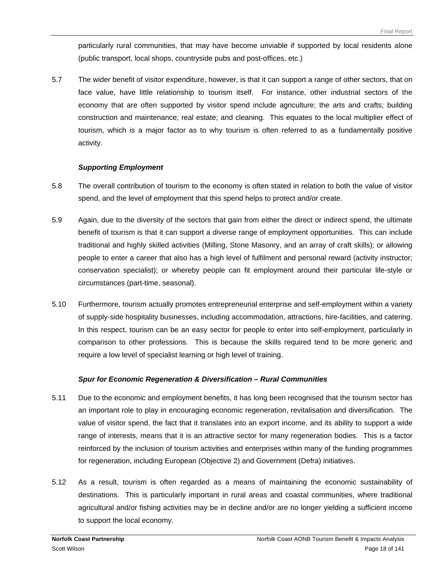particularly rural communities, that may have become unviable if supported by local residents alone (public transport, local shops, countryside pubs and post-offices, etc.)

5.7 The wider benefit of visitor expenditure, however, is that it can support a range of other sectors, that on face value, have little relationship to tourism itself. For instance, other industrial sectors of the economy that are often supported by visitor spend include agriculture; the arts and crafts; building construction and maintenance; real estate; and cleaning. This equates to the local multiplier effect of tourism, which is a major factor as to why tourism is often referred to as a fundamentally positive activity.

#### *Supporting Employment*

- 5.8 The overall contribution of tourism to the economy is often stated in relation to both the value of visitor spend, and the level of employment that this spend helps to protect and/or create.
- 5.9 Again, due to the diversity of the sectors that gain from either the direct or indirect spend, the ultimate benefit of tourism is that it can support a diverse range of employment opportunities. This can include traditional and highly skilled activities (Milling, Stone Masonry, and an array of craft skills); or allowing people to enter a career that also has a high level of fulfilment and personal reward (activity instructor; conservation specialist); or whereby people can fit employment around their particular life-style or circumstances (part-time, seasonal).
- 5.10 Furthermore, tourism actually promotes entrepreneurial enterprise and self-employment within a variety of supply-side hospitality businesses, including accommodation, attractions, hire-facilities, and catering. In this respect, tourism can be an easy sector for people to enter into self-employment, particularly in comparison to other professions. This is because the skills required tend to be more generic and require a low level of specialist learning or high level of training.

#### *Spur for Economic Regeneration & Diversification – Rural Communities*

- 5.11 Due to the economic and employment benefits, it has long been recognised that the tourism sector has an important role to play in encouraging economic regeneration, revitalisation and diversification. The value of visitor spend, the fact that it translates into an export income, and its ability to support a wide range of interests, means that it is an attractive sector for many regeneration bodies. This is a factor reinforced by the inclusion of tourism activities and enterprises within many of the funding programmes for regeneration, including European (Objective 2) and Government (Defra) initiatives.
- 5.12 As a result, tourism is often regarded as a means of maintaining the economic sustainability of destinations. This is particularly important in rural areas and coastal communities, where traditional agricultural and/or fishing activities may be in decline and/or are no longer yielding a sufficient income to support the local economy.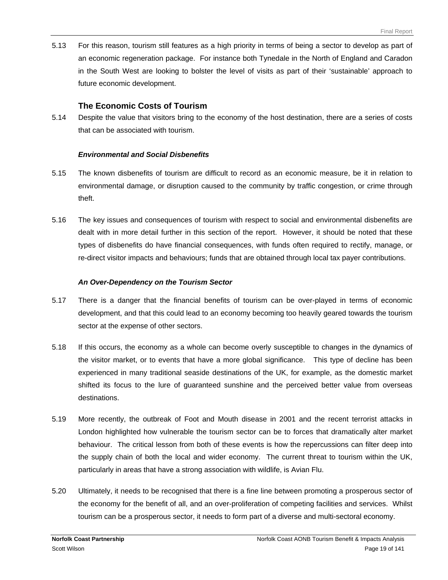5.13 For this reason, tourism still features as a high priority in terms of being a sector to develop as part of an economic regeneration package. For instance both Tynedale in the North of England and Caradon in the South West are looking to bolster the level of visits as part of their 'sustainable' approach to future economic development.

#### **The Economic Costs of Tourism**

5.14 Despite the value that visitors bring to the economy of the host destination, there are a series of costs that can be associated with tourism.

#### *Environmental and Social Disbenefits*

- 5.15 The known disbenefits of tourism are difficult to record as an economic measure, be it in relation to environmental damage, or disruption caused to the community by traffic congestion, or crime through theft.
- 5.16 The key issues and consequences of tourism with respect to social and environmental disbenefits are dealt with in more detail further in this section of the report. However, it should be noted that these types of disbenefits do have financial consequences, with funds often required to rectify, manage, or re-direct visitor impacts and behaviours; funds that are obtained through local tax payer contributions.

#### *An Over-Dependency on the Tourism Sector*

- 5.17 There is a danger that the financial benefits of tourism can be over-played in terms of economic development, and that this could lead to an economy becoming too heavily geared towards the tourism sector at the expense of other sectors.
- 5.18 If this occurs, the economy as a whole can become overly susceptible to changes in the dynamics of the visitor market, or to events that have a more global significance. This type of decline has been experienced in many traditional seaside destinations of the UK, for example, as the domestic market shifted its focus to the lure of guaranteed sunshine and the perceived better value from overseas destinations.
- 5.19 More recently, the outbreak of Foot and Mouth disease in 2001 and the recent terrorist attacks in London highlighted how vulnerable the tourism sector can be to forces that dramatically alter market behaviour. The critical lesson from both of these events is how the repercussions can filter deep into the supply chain of both the local and wider economy. The current threat to tourism within the UK, particularly in areas that have a strong association with wildlife, is Avian Flu.
- 5.20 Ultimately, it needs to be recognised that there is a fine line between promoting a prosperous sector of the economy for the benefit of all, and an over-proliferation of competing facilities and services. Whilst tourism can be a prosperous sector, it needs to form part of a diverse and multi-sectoral economy.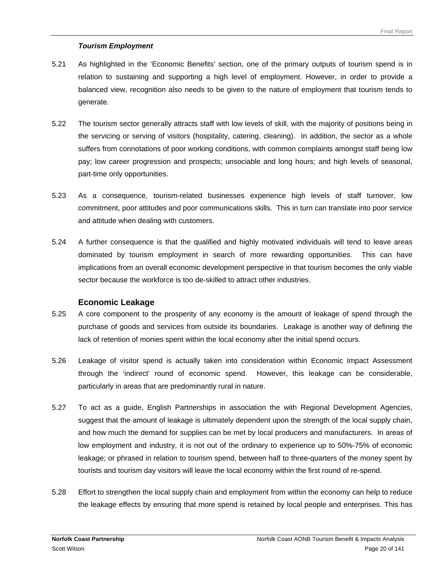#### *Tourism Employment*

- 5.21 As highlighted in the 'Economic Benefits' section, one of the primary outputs of tourism spend is in relation to sustaining and supporting a high level of employment. However, in order to provide a balanced view, recognition also needs to be given to the nature of employment that tourism tends to generate.
- 5.22 The tourism sector generally attracts staff with low levels of skill, with the majority of positions being in the servicing or serving of visitors (hospitality, catering, cleaning). In addition, the sector as a whole suffers from connotations of poor working conditions, with common complaints amongst staff being low pay; low career progression and prospects; unsociable and long hours; and high levels of seasonal, part-time only opportunities.
- 5.23 As a consequence, tourism-related businesses experience high levels of staff turnover, low commitment, poor attitudes and poor communications skills. This in turn can translate into poor service and attitude when dealing with customers.
- 5.24 A further consequence is that the qualified and highly motivated individuals will tend to leave areas dominated by tourism employment in search of more rewarding opportunities. This can have implications from an overall economic development perspective in that tourism becomes the only viable sector because the workforce is too de-skilled to attract other industries.

#### **Economic Leakage**

- 5.25 A core component to the prosperity of any economy is the amount of leakage of spend through the purchase of goods and services from outside its boundaries. Leakage is another way of defining the lack of retention of monies spent within the local economy after the initial spend occurs.
- 5.26 Leakage of visitor spend is actually taken into consideration within Economic Impact Assessment through the 'indirect' round of economic spend. However, this leakage can be considerable, particularly in areas that are predominantly rural in nature.
- 5.27 To act as a guide, English Partnerships in association the with Regional Development Agencies, suggest that the amount of leakage is ultimately dependent upon the strength of the local supply chain, and how much the demand for supplies can be met by local producers and manufacturers. In areas of low employment and industry, it is not out of the ordinary to experience up to 50%-75% of economic leakage; or phrased in relation to tourism spend, between half to three-quarters of the money spent by tourists and tourism day visitors will leave the local economy within the first round of re-spend.
- 5.28 Effort to strengthen the local supply chain and employment from within the economy can help to reduce the leakage effects by ensuring that more spend is retained by local people and enterprises. This has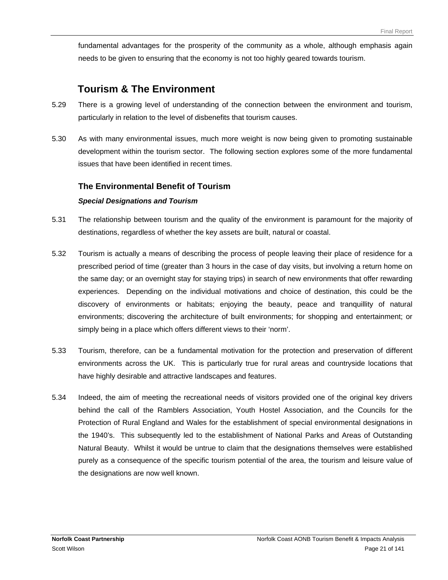fundamental advantages for the prosperity of the community as a whole, although emphasis again needs to be given to ensuring that the economy is not too highly geared towards tourism.

## **Tourism & The Environment**

- 5.29 There is a growing level of understanding of the connection between the environment and tourism, particularly in relation to the level of disbenefits that tourism causes.
- 5.30 As with many environmental issues, much more weight is now being given to promoting sustainable development within the tourism sector. The following section explores some of the more fundamental issues that have been identified in recent times.

### **The Environmental Benefit of Tourism**

#### *Special Designations and Tourism*

- 5.31 The relationship between tourism and the quality of the environment is paramount for the majority of destinations, regardless of whether the key assets are built, natural or coastal.
- 5.32 Tourism is actually a means of describing the process of people leaving their place of residence for a prescribed period of time (greater than 3 hours in the case of day visits, but involving a return home on the same day; or an overnight stay for staying trips) in search of new environments that offer rewarding experiences. Depending on the individual motivations and choice of destination, this could be the discovery of environments or habitats; enjoying the beauty, peace and tranquillity of natural environments; discovering the architecture of built environments; for shopping and entertainment; or simply being in a place which offers different views to their 'norm'.
- 5.33 Tourism, therefore, can be a fundamental motivation for the protection and preservation of different environments across the UK. This is particularly true for rural areas and countryside locations that have highly desirable and attractive landscapes and features.
- 5.34 Indeed, the aim of meeting the recreational needs of visitors provided one of the original key drivers behind the call of the Ramblers Association, Youth Hostel Association, and the Councils for the Protection of Rural England and Wales for the establishment of special environmental designations in the 1940's. This subsequently led to the establishment of National Parks and Areas of Outstanding Natural Beauty. Whilst it would be untrue to claim that the designations themselves were established purely as a consequence of the specific tourism potential of the area, the tourism and leisure value of the designations are now well known.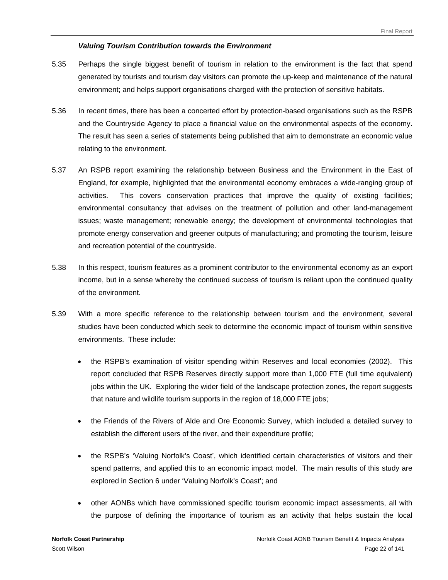#### *Valuing Tourism Contribution towards the Environment*

- 5.35 Perhaps the single biggest benefit of tourism in relation to the environment is the fact that spend generated by tourists and tourism day visitors can promote the up-keep and maintenance of the natural environment; and helps support organisations charged with the protection of sensitive habitats.
- 5.36 In recent times, there has been a concerted effort by protection-based organisations such as the RSPB and the Countryside Agency to place a financial value on the environmental aspects of the economy. The result has seen a series of statements being published that aim to demonstrate an economic value relating to the environment.
- 5.37 An RSPB report examining the relationship between Business and the Environment in the East of England, for example, highlighted that the environmental economy embraces a wide-ranging group of activities. This covers conservation practices that improve the quality of existing facilities; environmental consultancy that advises on the treatment of pollution and other land-management issues; waste management; renewable energy; the development of environmental technologies that promote energy conservation and greener outputs of manufacturing; and promoting the tourism, leisure and recreation potential of the countryside.
- 5.38 In this respect, tourism features as a prominent contributor to the environmental economy as an export income, but in a sense whereby the continued success of tourism is reliant upon the continued quality of the environment.
- 5.39 With a more specific reference to the relationship between tourism and the environment, several studies have been conducted which seek to determine the economic impact of tourism within sensitive environments. These include:
	- the RSPB's examination of visitor spending within Reserves and local economies (2002). This report concluded that RSPB Reserves directly support more than 1,000 FTE (full time equivalent) jobs within the UK. Exploring the wider field of the landscape protection zones, the report suggests that nature and wildlife tourism supports in the region of 18,000 FTE jobs;
	- the Friends of the Rivers of Alde and Ore Economic Survey, which included a detailed survey to establish the different users of the river, and their expenditure profile;
	- the RSPB's 'Valuing Norfolk's Coast', which identified certain characteristics of visitors and their spend patterns, and applied this to an economic impact model. The main results of this study are explored in Section 6 under 'Valuing Norfolk's Coast'; and
	- other AONBs which have commissioned specific tourism economic impact assessments, all with the purpose of defining the importance of tourism as an activity that helps sustain the local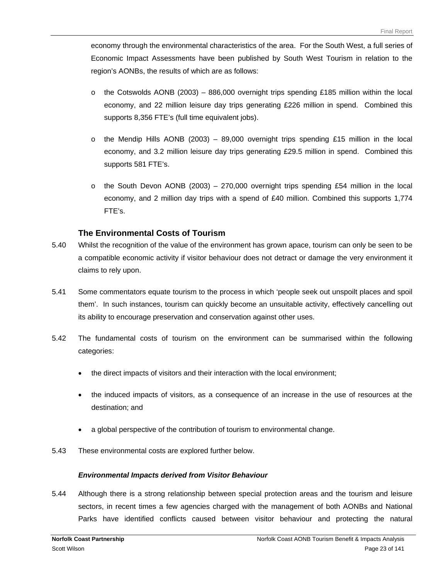economy through the environmental characteristics of the area. For the South West, a full series of Economic Impact Assessments have been published by South West Tourism in relation to the region's AONBs, the results of which are as follows:

- $\circ$  the Cotswolds AONB (2003) 886,000 overnight trips spending £185 million within the local economy, and 22 million leisure day trips generating £226 million in spend. Combined this supports 8,356 FTE's (full time equivalent jobs).
- $\circ$  the Mendip Hills AONB (2003) 89,000 overnight trips spending £15 million in the local economy, and 3.2 million leisure day trips generating £29.5 million in spend. Combined this supports 581 FTE's.
- $\circ$  the South Devon AONB (2003) 270,000 overnight trips spending £54 million in the local economy, and 2 million day trips with a spend of £40 million. Combined this supports 1,774 FTE's.

### **The Environmental Costs of Tourism**

- 5.40 Whilst the recognition of the value of the environment has grown apace, tourism can only be seen to be a compatible economic activity if visitor behaviour does not detract or damage the very environment it claims to rely upon.
- 5.41 Some commentators equate tourism to the process in which 'people seek out unspoilt places and spoil them'. In such instances, tourism can quickly become an unsuitable activity, effectively cancelling out its ability to encourage preservation and conservation against other uses.
- 5.42 The fundamental costs of tourism on the environment can be summarised within the following categories:
	- the direct impacts of visitors and their interaction with the local environment;
	- the induced impacts of visitors, as a consequence of an increase in the use of resources at the destination; and
	- a global perspective of the contribution of tourism to environmental change.
- 5.43 These environmental costs are explored further below.

#### *Environmental Impacts derived from Visitor Behaviour*

5.44 Although there is a strong relationship between special protection areas and the tourism and leisure sectors, in recent times a few agencies charged with the management of both AONBs and National Parks have identified conflicts caused between visitor behaviour and protecting the natural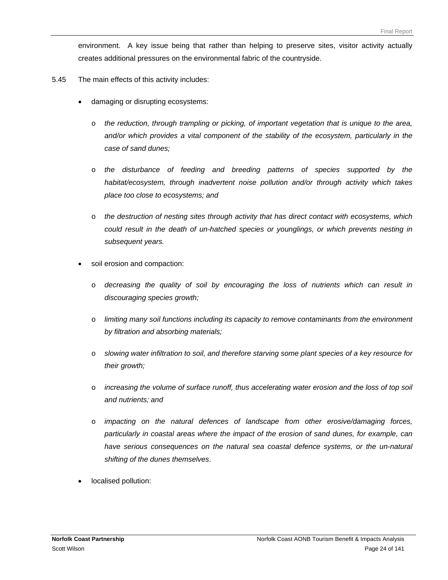environment. A key issue being that rather than helping to preserve sites, visitor activity actually creates additional pressures on the environmental fabric of the countryside.

- 5.45 The main effects of this activity includes:
	- damaging or disrupting ecosystems:
		- o *the reduction, through trampling or picking, of important vegetation that is unique to the area, and/or which provides a vital component of the stability of the ecosystem, particularly in the case of sand dunes;*
		- o *the disturbance of feeding and breeding patterns of species supported by the habitat/ecosystem, through inadvertent noise pollution and/or through activity which takes place too close to ecosystems; and*
		- o *the destruction of nesting sites through activity that has direct contact with ecosystems, which could result in the death of un-hatched species or younglings, or which prevents nesting in subsequent years.*
	- soil erosion and compaction:
		- o *decreasing the quality of soil by encouraging the loss of nutrients which can result in discouraging species growth;*
		- o *limiting many soil functions including its capacity to remove contaminants from the environment by filtration and absorbing materials;*
		- o *slowing water infiltration to soil, and therefore starving some plant species of a key resource for their growth;*
		- o *increasing the volume of surface runoff, thus accelerating water erosion and the loss of top soil and nutrients; and*
		- o *impacting on the natural defences of landscape from other erosive/damaging forces, particularly in coastal areas where the impact of the erosion of sand dunes, for example, can*  have serious consequences on the natural sea coastal defence systems, or the un-natural *shifting of the dunes themselves*.
	- localised pollution: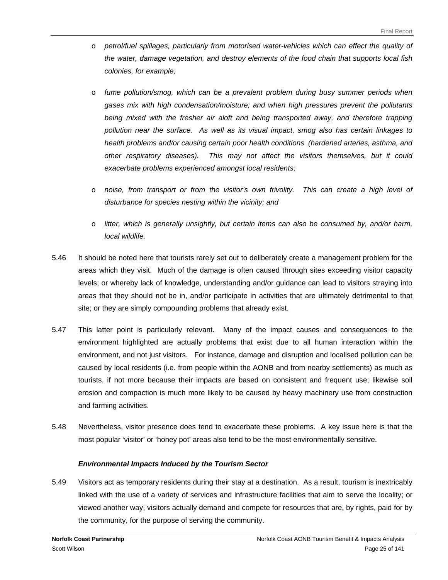- o *petrol/fuel spillages, particularly from motorised water-vehicles which can effect the quality of the water, damage vegetation, and destroy elements of the food chain that supports local fish colonies, for example;*
- o *fume pollution/smog, which can be a prevalent problem during busy summer periods when gases mix with high condensation/moisture; and when high pressures prevent the pollutants being mixed with the fresher air aloft and being transported away, and therefore trapping pollution near the surface. As well as its visual impact, smog also has certain linkages to health problems and/or causing certain poor health conditions (hardened arteries, asthma, and other respiratory diseases). This may not affect the visitors themselves, but it could exacerbate problems experienced amongst local residents;*
- o *noise, from transport or from the visitor's own frivolity. This can create a high level of disturbance for species nesting within the vicinity; and*
- o *litter, which is generally unsightly, but certain items can also be consumed by, and/or harm, local wildlife.*
- 5.46 It should be noted here that tourists rarely set out to deliberately create a management problem for the areas which they visit. Much of the damage is often caused through sites exceeding visitor capacity levels; or whereby lack of knowledge, understanding and/or guidance can lead to visitors straying into areas that they should not be in, and/or participate in activities that are ultimately detrimental to that site; or they are simply compounding problems that already exist.
- 5.47 This latter point is particularly relevant. Many of the impact causes and consequences to the environment highlighted are actually problems that exist due to all human interaction within the environment, and not just visitors. For instance, damage and disruption and localised pollution can be caused by local residents (i.e. from people within the AONB and from nearby settlements) as much as tourists, if not more because their impacts are based on consistent and frequent use; likewise soil erosion and compaction is much more likely to be caused by heavy machinery use from construction and farming activities.
- 5.48 Nevertheless, visitor presence does tend to exacerbate these problems. A key issue here is that the most popular 'visitor' or 'honey pot' areas also tend to be the most environmentally sensitive.

#### *Environmental Impacts Induced by the Tourism Sector*

5.49 Visitors act as temporary residents during their stay at a destination. As a result, tourism is inextricably linked with the use of a variety of services and infrastructure facilities that aim to serve the locality; or viewed another way, visitors actually demand and compete for resources that are, by rights, paid for by the community, for the purpose of serving the community.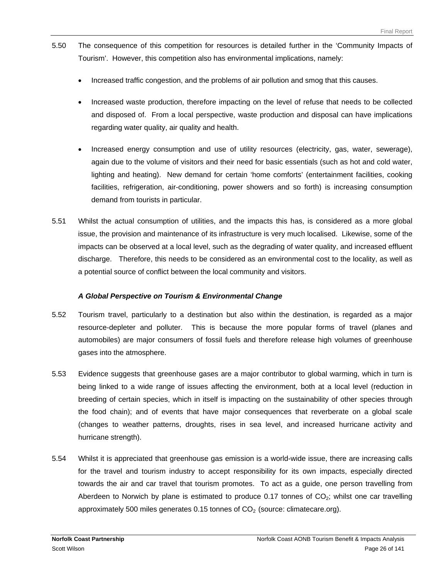- 5.50 The consequence of this competition for resources is detailed further in the 'Community Impacts of Tourism'. However, this competition also has environmental implications, namely:
	- Increased traffic congestion, and the problems of air pollution and smog that this causes.
	- Increased waste production, therefore impacting on the level of refuse that needs to be collected and disposed of. From a local perspective, waste production and disposal can have implications regarding water quality, air quality and health.
	- Increased energy consumption and use of utility resources (electricity, gas, water, sewerage), again due to the volume of visitors and their need for basic essentials (such as hot and cold water, lighting and heating). New demand for certain 'home comforts' (entertainment facilities, cooking facilities, refrigeration, air-conditioning, power showers and so forth) is increasing consumption demand from tourists in particular.
- 5.51 Whilst the actual consumption of utilities, and the impacts this has, is considered as a more global issue, the provision and maintenance of its infrastructure is very much localised. Likewise, some of the impacts can be observed at a local level, such as the degrading of water quality, and increased effluent discharge. Therefore, this needs to be considered as an environmental cost to the locality, as well as a potential source of conflict between the local community and visitors.

#### *A Global Perspective on Tourism & Environmental Change*

- 5.52 Tourism travel, particularly to a destination but also within the destination, is regarded as a major resource-depleter and polluter. This is because the more popular forms of travel (planes and automobiles) are major consumers of fossil fuels and therefore release high volumes of greenhouse gases into the atmosphere.
- 5.53 Evidence suggests that greenhouse gases are a major contributor to global warming, which in turn is being linked to a wide range of issues affecting the environment, both at a local level (reduction in breeding of certain species, which in itself is impacting on the sustainability of other species through the food chain); and of events that have major consequences that reverberate on a global scale (changes to weather patterns, droughts, rises in sea level, and increased hurricane activity and hurricane strength).
- 5.54 Whilst it is appreciated that greenhouse gas emission is a world-wide issue, there are increasing calls for the travel and tourism industry to accept responsibility for its own impacts, especially directed towards the air and car travel that tourism promotes. To act as a guide, one person travelling from Aberdeen to Norwich by plane is estimated to produce 0.17 tonnes of  $CO<sub>2</sub>$ ; whilst one car travelling approximately 500 miles generates 0.15 tonnes of  $CO<sub>2</sub>$  (source: climatecare.org).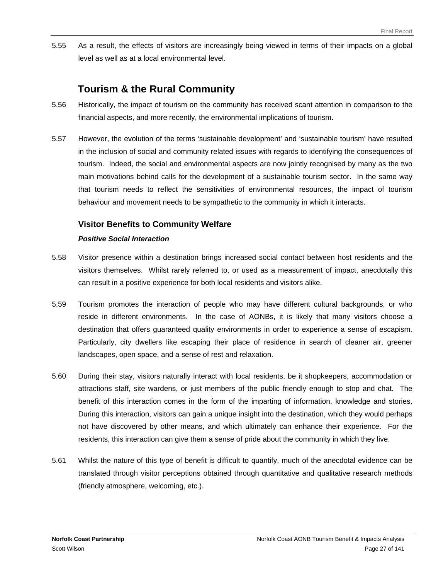5.55 As a result, the effects of visitors are increasingly being viewed in terms of their impacts on a global level as well as at a local environmental level.

# **Tourism & the Rural Community**

- 5.56 Historically, the impact of tourism on the community has received scant attention in comparison to the financial aspects, and more recently, the environmental implications of tourism.
- 5.57 However, the evolution of the terms 'sustainable development' and 'sustainable tourism' have resulted in the inclusion of social and community related issues with regards to identifying the consequences of tourism. Indeed, the social and environmental aspects are now jointly recognised by many as the two main motivations behind calls for the development of a sustainable tourism sector. In the same way that tourism needs to reflect the sensitivities of environmental resources, the impact of tourism behaviour and movement needs to be sympathetic to the community in which it interacts.

## **Visitor Benefits to Community Welfare**

### *Positive Social Interaction*

- 5.58 Visitor presence within a destination brings increased social contact between host residents and the visitors themselves. Whilst rarely referred to, or used as a measurement of impact, anecdotally this can result in a positive experience for both local residents and visitors alike.
- 5.59 Tourism promotes the interaction of people who may have different cultural backgrounds, or who reside in different environments. In the case of AONBs, it is likely that many visitors choose a destination that offers guaranteed quality environments in order to experience a sense of escapism. Particularly, city dwellers like escaping their place of residence in search of cleaner air, greener landscapes, open space, and a sense of rest and relaxation.
- 5.60 During their stay, visitors naturally interact with local residents, be it shopkeepers, accommodation or attractions staff, site wardens, or just members of the public friendly enough to stop and chat. The benefit of this interaction comes in the form of the imparting of information, knowledge and stories. During this interaction, visitors can gain a unique insight into the destination, which they would perhaps not have discovered by other means, and which ultimately can enhance their experience. For the residents, this interaction can give them a sense of pride about the community in which they live.
- 5.61 Whilst the nature of this type of benefit is difficult to quantify, much of the anecdotal evidence can be translated through visitor perceptions obtained through quantitative and qualitative research methods (friendly atmosphere, welcoming, etc.).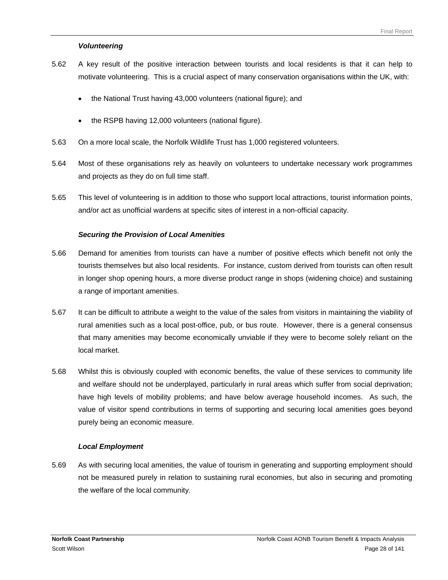#### *Volunteering*

- 5.62 A key result of the positive interaction between tourists and local residents is that it can help to motivate volunteering. This is a crucial aspect of many conservation organisations within the UK, with:
	- the National Trust having 43,000 volunteers (national figure); and
	- the RSPB having 12,000 volunteers (national figure).
- 5.63 On a more local scale, the Norfolk Wildlife Trust has 1,000 registered volunteers.
- 5.64 Most of these organisations rely as heavily on volunteers to undertake necessary work programmes and projects as they do on full time staff.
- 5.65 This level of volunteering is in addition to those who support local attractions, tourist information points, and/or act as unofficial wardens at specific sites of interest in a non-official capacity.

#### *Securing the Provision of Local Amenities*

- 5.66 Demand for amenities from tourists can have a number of positive effects which benefit not only the tourists themselves but also local residents. For instance, custom derived from tourists can often result in longer shop opening hours, a more diverse product range in shops (widening choice) and sustaining a range of important amenities.
- 5.67 It can be difficult to attribute a weight to the value of the sales from visitors in maintaining the viability of rural amenities such as a local post-office, pub, or bus route. However, there is a general consensus that many amenities may become economically unviable if they were to become solely reliant on the local market.
- 5.68 Whilst this is obviously coupled with economic benefits, the value of these services to community life and welfare should not be underplayed, particularly in rural areas which suffer from social deprivation; have high levels of mobility problems; and have below average household incomes. As such, the value of visitor spend contributions in terms of supporting and securing local amenities goes beyond purely being an economic measure.

#### *Local Employment*

5.69 As with securing local amenities, the value of tourism in generating and supporting employment should not be measured purely in relation to sustaining rural economies, but also in securing and promoting the welfare of the local community.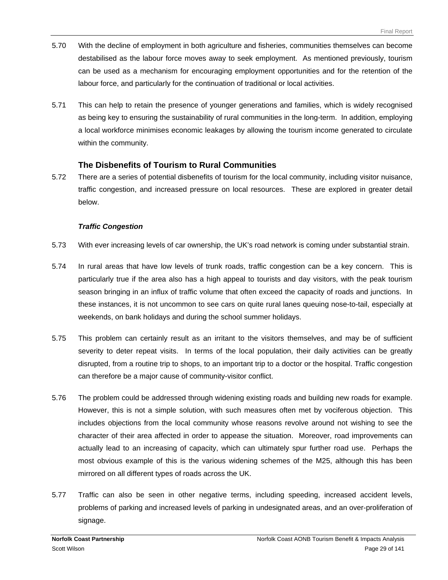- 5.70 With the decline of employment in both agriculture and fisheries, communities themselves can become destabilised as the labour force moves away to seek employment. As mentioned previously, tourism can be used as a mechanism for encouraging employment opportunities and for the retention of the labour force, and particularly for the continuation of traditional or local activities.
- 5.71 This can help to retain the presence of younger generations and families, which is widely recognised as being key to ensuring the sustainability of rural communities in the long-term. In addition, employing a local workforce minimises economic leakages by allowing the tourism income generated to circulate within the community.

### **The Disbenefits of Tourism to Rural Communities**

5.72 There are a series of potential disbenefits of tourism for the local community, including visitor nuisance, traffic congestion, and increased pressure on local resources. These are explored in greater detail below.

#### *Traffic Congestion*

- 5.73 With ever increasing levels of car ownership, the UK's road network is coming under substantial strain.
- 5.74 In rural areas that have low levels of trunk roads, traffic congestion can be a key concern. This is particularly true if the area also has a high appeal to tourists and day visitors, with the peak tourism season bringing in an influx of traffic volume that often exceed the capacity of roads and junctions. In these instances, it is not uncommon to see cars on quite rural lanes queuing nose-to-tail, especially at weekends, on bank holidays and during the school summer holidays.
- 5.75 This problem can certainly result as an irritant to the visitors themselves, and may be of sufficient severity to deter repeat visits. In terms of the local population, their daily activities can be greatly disrupted, from a routine trip to shops, to an important trip to a doctor or the hospital. Traffic congestion can therefore be a major cause of community-visitor conflict.
- 5.76 The problem could be addressed through widening existing roads and building new roads for example. However, this is not a simple solution, with such measures often met by vociferous objection. This includes objections from the local community whose reasons revolve around not wishing to see the character of their area affected in order to appease the situation. Moreover, road improvements can actually lead to an increasing of capacity, which can ultimately spur further road use. Perhaps the most obvious example of this is the various widening schemes of the M25, although this has been mirrored on all different types of roads across the UK.
- 5.77 Traffic can also be seen in other negative terms, including speeding, increased accident levels, problems of parking and increased levels of parking in undesignated areas, and an over-proliferation of signage.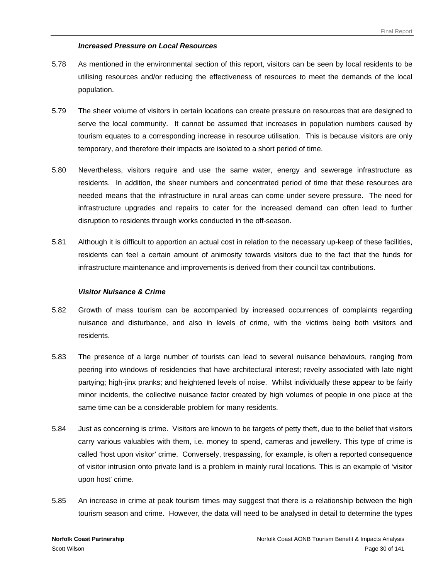#### *Increased Pressure on Local Resources*

- 5.78 As mentioned in the environmental section of this report, visitors can be seen by local residents to be utilising resources and/or reducing the effectiveness of resources to meet the demands of the local population.
- 5.79 The sheer volume of visitors in certain locations can create pressure on resources that are designed to serve the local community. It cannot be assumed that increases in population numbers caused by tourism equates to a corresponding increase in resource utilisation. This is because visitors are only temporary, and therefore their impacts are isolated to a short period of time.
- 5.80 Nevertheless, visitors require and use the same water, energy and sewerage infrastructure as residents. In addition, the sheer numbers and concentrated period of time that these resources are needed means that the infrastructure in rural areas can come under severe pressure. The need for infrastructure upgrades and repairs to cater for the increased demand can often lead to further disruption to residents through works conducted in the off-season.
- 5.81 Although it is difficult to apportion an actual cost in relation to the necessary up-keep of these facilities, residents can feel a certain amount of animosity towards visitors due to the fact that the funds for infrastructure maintenance and improvements is derived from their council tax contributions.

#### *Visitor Nuisance & Crime*

- 5.82 Growth of mass tourism can be accompanied by increased occurrences of complaints regarding nuisance and disturbance, and also in levels of crime, with the victims being both visitors and residents.
- 5.83 The presence of a large number of tourists can lead to several nuisance behaviours, ranging from peering into windows of residencies that have architectural interest; revelry associated with late night partying; high-jinx pranks; and heightened levels of noise. Whilst individually these appear to be fairly minor incidents, the collective nuisance factor created by high volumes of people in one place at the same time can be a considerable problem for many residents.
- 5.84 Just as concerning is crime. Visitors are known to be targets of petty theft, due to the belief that visitors carry various valuables with them, i.e. money to spend, cameras and jewellery. This type of crime is called 'host upon visitor' crime. Conversely, trespassing, for example, is often a reported consequence of visitor intrusion onto private land is a problem in mainly rural locations. This is an example of 'visitor upon host' crime.
- 5.85 An increase in crime at peak tourism times may suggest that there is a relationship between the high tourism season and crime. However, the data will need to be analysed in detail to determine the types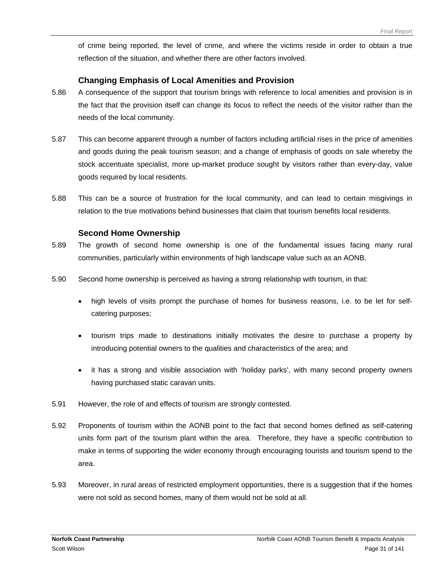of crime being reported, the level of crime, and where the victims reside in order to obtain a true reflection of the situation, and whether there are other factors involved.

### **Changing Emphasis of Local Amenities and Provision**

- 5.86 A consequence of the support that tourism brings with reference to local amenities and provision is in the fact that the provision itself can change its focus to reflect the needs of the visitor rather than the needs of the local community.
- 5.87 This can become apparent through a number of factors including artificial rises in the price of amenities and goods during the peak tourism season; and a change of emphasis of goods on sale whereby the stock accentuate specialist, more up-market produce sought by visitors rather than every-day, value goods required by local residents.
- 5.88 This can be a source of frustration for the local community, and can lead to certain misgivings in relation to the true motivations behind businesses that claim that tourism benefits local residents.

#### **Second Home Ownership**

- 5.89 The growth of second home ownership is one of the fundamental issues facing many rural communities, particularly within environments of high landscape value such as an AONB.
- 5.90 Second home ownership is perceived as having a strong relationship with tourism, in that:
	- high levels of visits prompt the purchase of homes for business reasons, i.e. to be let for selfcatering purposes;
	- tourism trips made to destinations initially motivates the desire to purchase a property by introducing potential owners to the qualities and characteristics of the area; and
	- it has a strong and visible association with 'holiday parks', with many second property owners having purchased static caravan units.
- 5.91 However, the role of and effects of tourism are strongly contested.
- 5.92 Proponents of tourism within the AONB point to the fact that second homes defined as self-catering units form part of the tourism plant within the area. Therefore, they have a specific contribution to make in terms of supporting the wider economy through encouraging tourists and tourism spend to the area.
- 5.93 Moreover, in rural areas of restricted employment opportunities, there is a suggestion that if the homes were not sold as second homes, many of them would not be sold at all.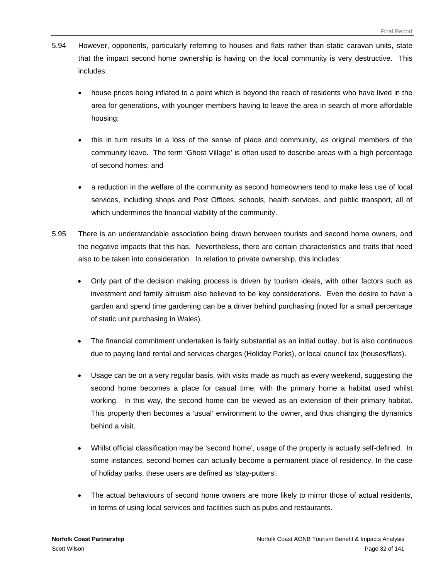- 5.94 However, opponents, particularly referring to houses and flats rather than static caravan units, state that the impact second home ownership is having on the local community is very destructive. This includes:
	- house prices being inflated to a point which is beyond the reach of residents who have lived in the area for generations, with younger members having to leave the area in search of more affordable housing;
	- this in turn results in a loss of the sense of place and community, as original members of the community leave. The term 'Ghost Village' is often used to describe areas with a high percentage of second homes; and
	- a reduction in the welfare of the community as second homeowners tend to make less use of local services, including shops and Post Offices, schools, health services, and public transport, all of which undermines the financial viability of the community.
- 5.95 There is an understandable association being drawn between tourists and second home owners, and the negative impacts that this has. Nevertheless, there are certain characteristics and traits that need also to be taken into consideration. In relation to private ownership, this includes:
	- Only part of the decision making process is driven by tourism ideals, with other factors such as investment and family altruism also believed to be key considerations. Even the desire to have a garden and spend time gardening can be a driver behind purchasing (noted for a small percentage of static unit purchasing in Wales).
	- The financial commitment undertaken is fairly substantial as an initial outlay, but is also continuous due to paying land rental and services charges (Holiday Parks), or local council tax (houses/flats).
	- Usage can be on a very regular basis, with visits made as much as every weekend, suggesting the second home becomes a place for casual time, with the primary home a habitat used whilst working. In this way, the second home can be viewed as an extension of their primary habitat. This property then becomes a 'usual' environment to the owner, and thus changing the dynamics behind a visit.
	- Whilst official classification may be 'second home', usage of the property is actually self-defined. In some instances, second homes can actually become a permanent place of residency. In the case of holiday parks, these users are defined as 'stay-putters'.
	- The actual behaviours of second home owners are more likely to mirror those of actual residents, in terms of using local services and facilities such as pubs and restaurants.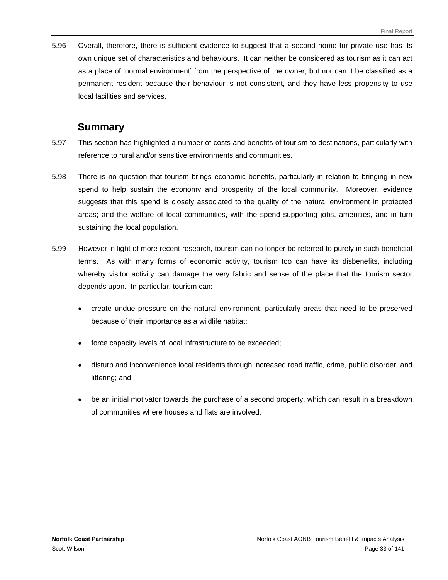5.96 Overall, therefore, there is sufficient evidence to suggest that a second home for private use has its own unique set of characteristics and behaviours. It can neither be considered as tourism as it can act as a place of 'normal environment' from the perspective of the owner; but nor can it be classified as a permanent resident because their behaviour is not consistent, and they have less propensity to use local facilities and services.

## **Summary**

- 5.97 This section has highlighted a number of costs and benefits of tourism to destinations, particularly with reference to rural and/or sensitive environments and communities.
- 5.98 There is no question that tourism brings economic benefits, particularly in relation to bringing in new spend to help sustain the economy and prosperity of the local community. Moreover, evidence suggests that this spend is closely associated to the quality of the natural environment in protected areas; and the welfare of local communities, with the spend supporting jobs, amenities, and in turn sustaining the local population.
- 5.99 However in light of more recent research, tourism can no longer be referred to purely in such beneficial terms. As with many forms of economic activity, tourism too can have its disbenefits, including whereby visitor activity can damage the very fabric and sense of the place that the tourism sector depends upon. In particular, tourism can:
	- create undue pressure on the natural environment, particularly areas that need to be preserved because of their importance as a wildlife habitat;
	- force capacity levels of local infrastructure to be exceeded;
	- disturb and inconvenience local residents through increased road traffic, crime, public disorder, and littering; and
	- be an initial motivator towards the purchase of a second property, which can result in a breakdown of communities where houses and flats are involved.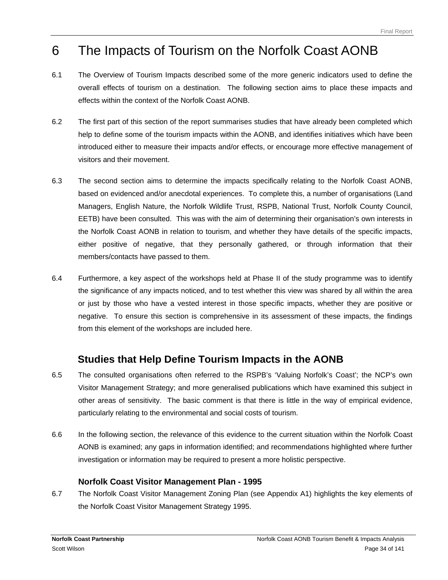# <span id="page-35-0"></span>6 The Impacts of Tourism on the Norfolk Coast AONB

- 6.1 The Overview of Tourism Impacts described some of the more generic indicators used to define the overall effects of tourism on a destination. The following section aims to place these impacts and effects within the context of the Norfolk Coast AONB.
- 6.2 The first part of this section of the report summarises studies that have already been completed which help to define some of the tourism impacts within the AONB, and identifies initiatives which have been introduced either to measure their impacts and/or effects, or encourage more effective management of visitors and their movement.
- 6.3 The second section aims to determine the impacts specifically relating to the Norfolk Coast AONB, based on evidenced and/or anecdotal experiences. To complete this, a number of organisations (Land Managers, English Nature, the Norfolk Wildlife Trust, RSPB, National Trust, Norfolk County Council, EETB) have been consulted. This was with the aim of determining their organisation's own interests in the Norfolk Coast AONB in relation to tourism, and whether they have details of the specific impacts, either positive of negative, that they personally gathered, or through information that their members/contacts have passed to them.
- 6.4 Furthermore, a key aspect of the workshops held at Phase II of the study programme was to identify the significance of any impacts noticed, and to test whether this view was shared by all within the area or just by those who have a vested interest in those specific impacts, whether they are positive or negative. To ensure this section is comprehensive in its assessment of these impacts, the findings from this element of the workshops are included here.

# **Studies that Help Define Tourism Impacts in the AONB**

- 6.5 The consulted organisations often referred to the RSPB's 'Valuing Norfolk's Coast'; the NCP's own Visitor Management Strategy; and more generalised publications which have examined this subject in other areas of sensitivity. The basic comment is that there is little in the way of empirical evidence, particularly relating to the environmental and social costs of tourism.
- 6.6 In the following section, the relevance of this evidence to the current situation within the Norfolk Coast AONB is examined; any gaps in information identified; and recommendations highlighted where further investigation or information may be required to present a more holistic perspective.

## **Norfolk Coast Visitor Management Plan - 1995**

6.7 The Norfolk Coast Visitor Management Zoning Plan (see Appendix A1) highlights the key elements of the Norfolk Coast Visitor Management Strategy 1995.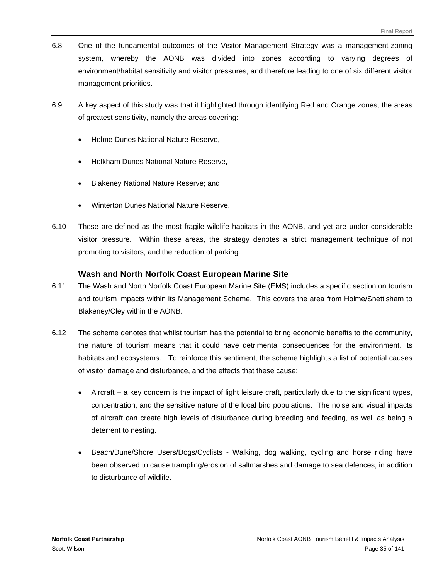- 6.8 One of the fundamental outcomes of the Visitor Management Strategy was a management-zoning system, whereby the AONB was divided into zones according to varying degrees of environment/habitat sensitivity and visitor pressures, and therefore leading to one of six different visitor management priorities.
- 6.9 A key aspect of this study was that it highlighted through identifying Red and Orange zones, the areas of greatest sensitivity, namely the areas covering:
	- Holme Dunes National Nature Reserve,
	- Holkham Dunes National Nature Reserve,
	- Blakeney National Nature Reserve; and
	- Winterton Dunes National Nature Reserve.
- 6.10 These are defined as the most fragile wildlife habitats in the AONB, and yet are under considerable visitor pressure. Within these areas, the strategy denotes a strict management technique of not promoting to visitors, and the reduction of parking.

### **Wash and North Norfolk Coast European Marine Site**

- 6.11 The Wash and North Norfolk Coast European Marine Site (EMS) includes a specific section on tourism and tourism impacts within its Management Scheme. This covers the area from Holme/Snettisham to Blakeney/Cley within the AONB.
- 6.12 The scheme denotes that whilst tourism has the potential to bring economic benefits to the community, the nature of tourism means that it could have detrimental consequences for the environment, its habitats and ecosystems. To reinforce this sentiment, the scheme highlights a list of potential causes of visitor damage and disturbance, and the effects that these cause:
	- Aircraft a key concern is the impact of light leisure craft, particularly due to the significant types, concentration, and the sensitive nature of the local bird populations. The noise and visual impacts of aircraft can create high levels of disturbance during breeding and feeding, as well as being a deterrent to nesting.
	- Beach/Dune/Shore Users/Dogs/Cyclists Walking, dog walking, cycling and horse riding have been observed to cause trampling/erosion of saltmarshes and damage to sea defences, in addition to disturbance of wildlife.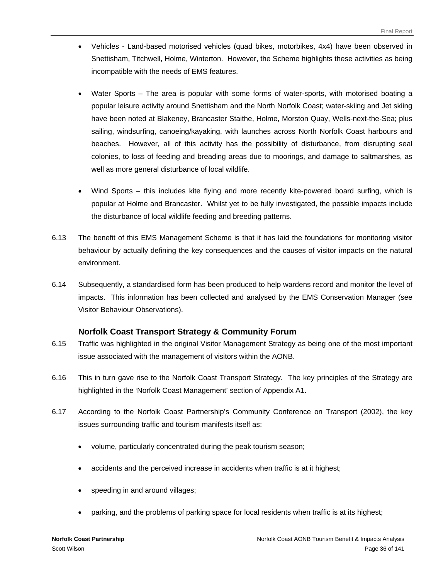- Vehicles Land-based motorised vehicles (quad bikes, motorbikes, 4x4) have been observed in Snettisham, Titchwell, Holme, Winterton. However, the Scheme highlights these activities as being incompatible with the needs of EMS features.
- Water Sports The area is popular with some forms of water-sports, with motorised boating a popular leisure activity around Snettisham and the North Norfolk Coast; water-skiing and Jet skiing have been noted at Blakeney, Brancaster Staithe, Holme, Morston Quay, Wells-next-the-Sea; plus sailing, windsurfing, canoeing/kayaking, with launches across North Norfolk Coast harbours and beaches. However, all of this activity has the possibility of disturbance, from disrupting seal colonies, to loss of feeding and breading areas due to moorings, and damage to saltmarshes, as well as more general disturbance of local wildlife.
- Wind Sports this includes kite flying and more recently kite-powered board surfing, which is popular at Holme and Brancaster. Whilst yet to be fully investigated, the possible impacts include the disturbance of local wildlife feeding and breeding patterns.
- 6.13 The benefit of this EMS Management Scheme is that it has laid the foundations for monitoring visitor behaviour by actually defining the key consequences and the causes of visitor impacts on the natural environment.
- 6.14 Subsequently, a standardised form has been produced to help wardens record and monitor the level of impacts. This information has been collected and analysed by the EMS Conservation Manager (see Visitor Behaviour Observations).

# **Norfolk Coast Transport Strategy & Community Forum**

- 6.15 Traffic was highlighted in the original Visitor Management Strategy as being one of the most important issue associated with the management of visitors within the AONB.
- 6.16 This in turn gave rise to the Norfolk Coast Transport Strategy. The key principles of the Strategy are highlighted in the 'Norfolk Coast Management' section of Appendix A1.
- 6.17 According to the Norfolk Coast Partnership's Community Conference on Transport (2002), the key issues surrounding traffic and tourism manifests itself as:
	- volume, particularly concentrated during the peak tourism season;
	- accidents and the perceived increase in accidents when traffic is at it highest;
	- speeding in and around villages;
	- parking, and the problems of parking space for local residents when traffic is at its highest;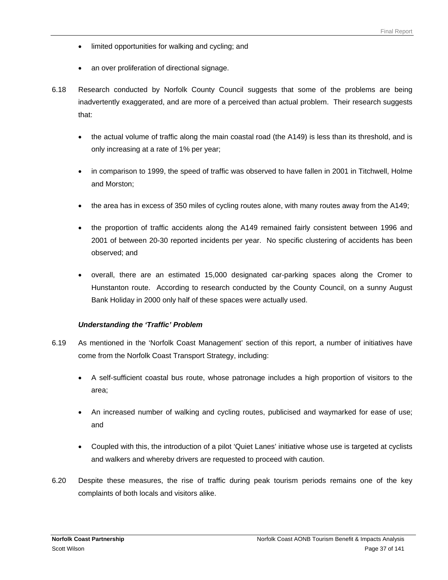- limited opportunities for walking and cycling; and
- an over proliferation of directional signage.
- 6.18 Research conducted by Norfolk County Council suggests that some of the problems are being inadvertently exaggerated, and are more of a perceived than actual problem. Their research suggests that:
	- the actual volume of traffic along the main coastal road (the A149) is less than its threshold, and is only increasing at a rate of 1% per year;
	- in comparison to 1999, the speed of traffic was observed to have fallen in 2001 in Titchwell, Holme and Morston;
	- the area has in excess of 350 miles of cycling routes alone, with many routes away from the A149;
	- the proportion of traffic accidents along the A149 remained fairly consistent between 1996 and 2001 of between 20-30 reported incidents per year. No specific clustering of accidents has been observed; and
	- overall, there are an estimated 15,000 designated car-parking spaces along the Cromer to Hunstanton route. According to research conducted by the County Council, on a sunny August Bank Holiday in 2000 only half of these spaces were actually used.

#### *Understanding the 'Traffic' Problem*

- 6.19 As mentioned in the 'Norfolk Coast Management' section of this report, a number of initiatives have come from the Norfolk Coast Transport Strategy, including:
	- A self-sufficient coastal bus route, whose patronage includes a high proportion of visitors to the area;
	- An increased number of walking and cycling routes, publicised and waymarked for ease of use; and
	- Coupled with this, the introduction of a pilot 'Quiet Lanes' initiative whose use is targeted at cyclists and walkers and whereby drivers are requested to proceed with caution.
- 6.20 Despite these measures, the rise of traffic during peak tourism periods remains one of the key complaints of both locals and visitors alike.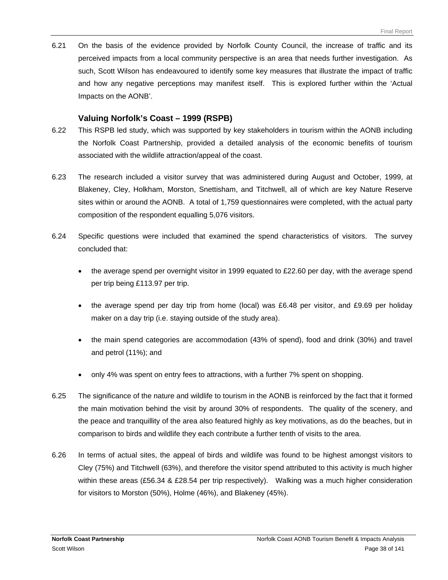6.21 On the basis of the evidence provided by Norfolk County Council, the increase of traffic and its perceived impacts from a local community perspective is an area that needs further investigation. As such, Scott Wilson has endeavoured to identify some key measures that illustrate the impact of traffic and how any negative perceptions may manifest itself. This is explored further within the 'Actual Impacts on the AONB'.

#### **Valuing Norfolk's Coast – 1999 (RSPB)**

- 6.22 This RSPB led study, which was supported by key stakeholders in tourism within the AONB including the Norfolk Coast Partnership, provided a detailed analysis of the economic benefits of tourism associated with the wildlife attraction/appeal of the coast.
- 6.23 The research included a visitor survey that was administered during August and October, 1999, at Blakeney, Cley, Holkham, Morston, Snettisham, and Titchwell, all of which are key Nature Reserve sites within or around the AONB. A total of 1,759 questionnaires were completed, with the actual party composition of the respondent equalling 5,076 visitors.
- 6.24 Specific questions were included that examined the spend characteristics of visitors. The survey concluded that:
	- the average spend per overnight visitor in 1999 equated to £22.60 per day, with the average spend per trip being £113.97 per trip.
	- the average spend per day trip from home (local) was £6.48 per visitor, and £9.69 per holiday maker on a day trip (i.e. staying outside of the study area).
	- the main spend categories are accommodation (43% of spend), food and drink (30%) and travel and petrol (11%); and
	- only 4% was spent on entry fees to attractions, with a further 7% spent on shopping.
- 6.25 The significance of the nature and wildlife to tourism in the AONB is reinforced by the fact that it formed the main motivation behind the visit by around 30% of respondents. The quality of the scenery, and the peace and tranquillity of the area also featured highly as key motivations, as do the beaches, but in comparison to birds and wildlife they each contribute a further tenth of visits to the area.
- 6.26 In terms of actual sites, the appeal of birds and wildlife was found to be highest amongst visitors to Cley (75%) and Titchwell (63%), and therefore the visitor spend attributed to this activity is much higher within these areas (£56.34 & £28.54 per trip respectively). Walking was a much higher consideration for visitors to Morston (50%), Holme (46%), and Blakeney (45%).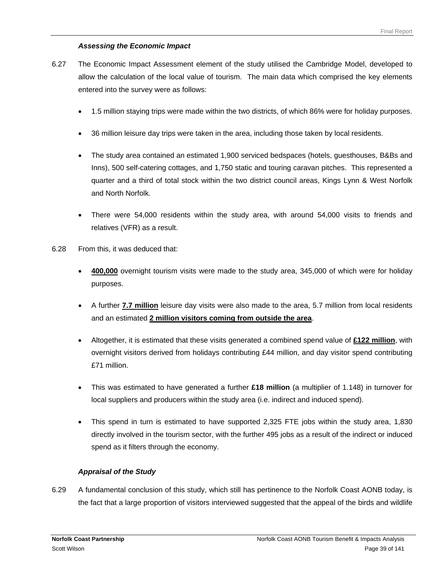### *Assessing the Economic Impact*

- 6.27 The Economic Impact Assessment element of the study utilised the Cambridge Model, developed to allow the calculation of the local value of tourism. The main data which comprised the key elements entered into the survey were as follows:
	- 1.5 million staying trips were made within the two districts, of which 86% were for holiday purposes.
	- 36 million leisure day trips were taken in the area, including those taken by local residents.
	- The study area contained an estimated 1,900 serviced bedspaces (hotels, guesthouses, B&Bs and Inns), 500 self-catering cottages, and 1,750 static and touring caravan pitches. This represented a quarter and a third of total stock within the two district council areas, Kings Lynn & West Norfolk and North Norfolk.
	- There were 54,000 residents within the study area, with around 54,000 visits to friends and relatives (VFR) as a result.
- 6.28 From this, it was deduced that:
	- **400,000** overnight tourism visits were made to the study area, 345,000 of which were for holiday purposes.
	- A further **7.7 million** leisure day visits were also made to the area, 5.7 million from local residents and an estimated **2 million visitors coming from outside the area**.
	- Altogether, it is estimated that these visits generated a combined spend value of **£122 million**, with overnight visitors derived from holidays contributing £44 million, and day visitor spend contributing £71 million.
	- This was estimated to have generated a further **£18 million** (a multiplier of 1.148) in turnover for local suppliers and producers within the study area (i.e. indirect and induced spend).
	- This spend in turn is estimated to have supported 2,325 FTE jobs within the study area, 1,830 directly involved in the tourism sector, with the further 495 jobs as a result of the indirect or induced spend as it filters through the economy.

## *Appraisal of the Study*

6.29 A fundamental conclusion of this study, which still has pertinence to the Norfolk Coast AONB today, is the fact that a large proportion of visitors interviewed suggested that the appeal of the birds and wildlife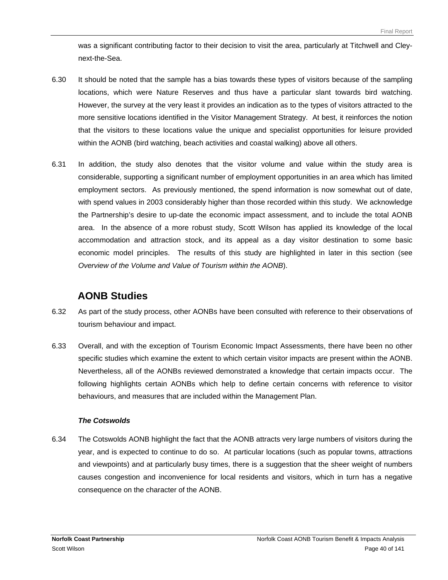was a significant contributing factor to their decision to visit the area, particularly at Titchwell and Cleynext-the-Sea.

- 6.30 It should be noted that the sample has a bias towards these types of visitors because of the sampling locations, which were Nature Reserves and thus have a particular slant towards bird watching. However, the survey at the very least it provides an indication as to the types of visitors attracted to the more sensitive locations identified in the Visitor Management Strategy. At best, it reinforces the notion that the visitors to these locations value the unique and specialist opportunities for leisure provided within the AONB (bird watching, beach activities and coastal walking) above all others.
- 6.31 In addition, the study also denotes that the visitor volume and value within the study area is considerable, supporting a significant number of employment opportunities in an area which has limited employment sectors. As previously mentioned, the spend information is now somewhat out of date, with spend values in 2003 considerably higher than those recorded within this study. We acknowledge the Partnership's desire to up-date the economic impact assessment, and to include the total AONB area. In the absence of a more robust study, Scott Wilson has applied its knowledge of the local accommodation and attraction stock, and its appeal as a day visitor destination to some basic economic model principles. The results of this study are highlighted in later in this section (see *Overview of the Volume and Value of Tourism within the AONB*).

# **AONB Studies**

- 6.32 As part of the study process, other AONBs have been consulted with reference to their observations of tourism behaviour and impact.
- 6.33 Overall, and with the exception of Tourism Economic Impact Assessments, there have been no other specific studies which examine the extent to which certain visitor impacts are present within the AONB. Nevertheless, all of the AONBs reviewed demonstrated a knowledge that certain impacts occur. The following highlights certain AONBs which help to define certain concerns with reference to visitor behaviours, and measures that are included within the Management Plan.

## *The Cotswolds*

6.34 The Cotswolds AONB highlight the fact that the AONB attracts very large numbers of visitors during the year, and is expected to continue to do so. At particular locations (such as popular towns, attractions and viewpoints) and at particularly busy times, there is a suggestion that the sheer weight of numbers causes congestion and inconvenience for local residents and visitors, which in turn has a negative consequence on the character of the AONB.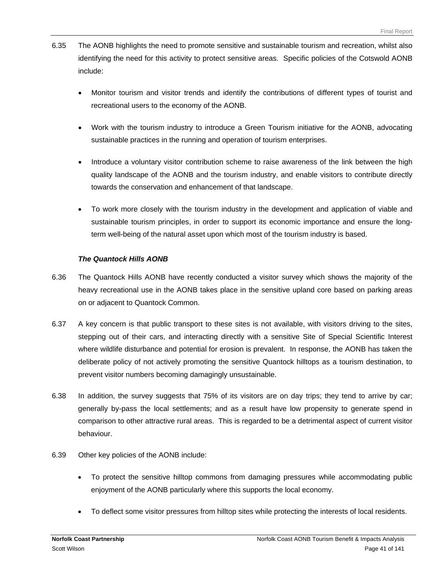- 6.35 The AONB highlights the need to promote sensitive and sustainable tourism and recreation, whilst also identifying the need for this activity to protect sensitive areas. Specific policies of the Cotswold AONB include:
	- Monitor tourism and visitor trends and identify the contributions of different types of tourist and recreational users to the economy of the AONB.
	- Work with the tourism industry to introduce a Green Tourism initiative for the AONB, advocating sustainable practices in the running and operation of tourism enterprises.
	- Introduce a voluntary visitor contribution scheme to raise awareness of the link between the high quality landscape of the AONB and the tourism industry, and enable visitors to contribute directly towards the conservation and enhancement of that landscape.
	- To work more closely with the tourism industry in the development and application of viable and sustainable tourism principles, in order to support its economic importance and ensure the longterm well-being of the natural asset upon which most of the tourism industry is based.

#### *The Quantock Hills AONB*

- 6.36 The Quantock Hills AONB have recently conducted a visitor survey which shows the majority of the heavy recreational use in the AONB takes place in the sensitive upland core based on parking areas on or adjacent to Quantock Common.
- 6.37 A key concern is that public transport to these sites is not available, with visitors driving to the sites, stepping out of their cars, and interacting directly with a sensitive Site of Special Scientific Interest where wildlife disturbance and potential for erosion is prevalent. In response, the AONB has taken the deliberate policy of not actively promoting the sensitive Quantock hilltops as a tourism destination, to prevent visitor numbers becoming damagingly unsustainable.
- 6.38 In addition, the survey suggests that 75% of its visitors are on day trips; they tend to arrive by car; generally by-pass the local settlements; and as a result have low propensity to generate spend in comparison to other attractive rural areas. This is regarded to be a detrimental aspect of current visitor behaviour.
- 6.39 Other key policies of the AONB include:
	- To protect the sensitive hilltop commons from damaging pressures while accommodating public enjoyment of the AONB particularly where this supports the local economy.
	- To deflect some visitor pressures from hilltop sites while protecting the interests of local residents.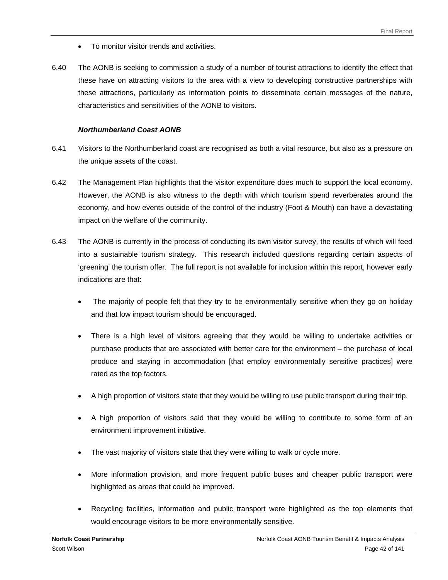- To monitor visitor trends and activities.
- 6.40 The AONB is seeking to commission a study of a number of tourist attractions to identify the effect that these have on attracting visitors to the area with a view to developing constructive partnerships with these attractions, particularly as information points to disseminate certain messages of the nature, characteristics and sensitivities of the AONB to visitors.

#### *Northumberland Coast AONB*

- 6.41 Visitors to the Northumberland coast are recognised as both a vital resource, but also as a pressure on the unique assets of the coast.
- 6.42 The Management Plan highlights that the visitor expenditure does much to support the local economy. However, the AONB is also witness to the depth with which tourism spend reverberates around the economy, and how events outside of the control of the industry (Foot & Mouth) can have a devastating impact on the welfare of the community.
- 6.43 The AONB is currently in the process of conducting its own visitor survey, the results of which will feed into a sustainable tourism strategy. This research included questions regarding certain aspects of 'greening' the tourism offer. The full report is not available for inclusion within this report, however early indications are that:
	- The majority of people felt that they try to be environmentally sensitive when they go on holiday and that low impact tourism should be encouraged.
	- There is a high level of visitors agreeing that they would be willing to undertake activities or purchase products that are associated with better care for the environment – the purchase of local produce and staying in accommodation [that employ environmentally sensitive practices] were rated as the top factors.
	- A high proportion of visitors state that they would be willing to use public transport during their trip.
	- A high proportion of visitors said that they would be willing to contribute to some form of an environment improvement initiative.
	- The vast majority of visitors state that they were willing to walk or cycle more.
	- More information provision, and more frequent public buses and cheaper public transport were highlighted as areas that could be improved.
	- Recycling facilities, information and public transport were highlighted as the top elements that would encourage visitors to be more environmentally sensitive.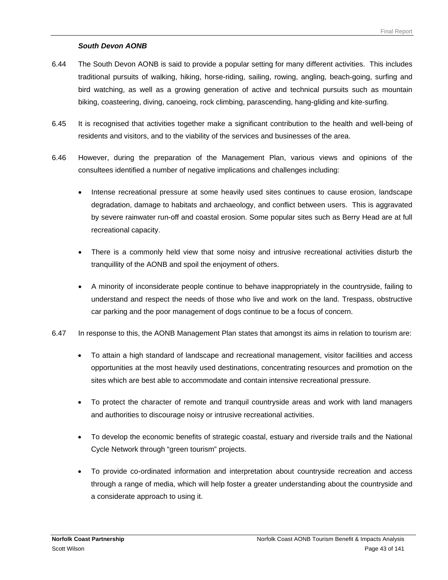### *South Devon AONB*

- 6.44 The South Devon AONB is said to provide a popular setting for many different activities. This includes traditional pursuits of walking, hiking, horse-riding, sailing, rowing, angling, beach-going, surfing and bird watching, as well as a growing generation of active and technical pursuits such as mountain biking, coasteering, diving, canoeing, rock climbing, parascending, hang-gliding and kite-surfing.
- 6.45 It is recognised that activities together make a significant contribution to the health and well-being of residents and visitors, and to the viability of the services and businesses of the area.
- 6.46 However, during the preparation of the Management Plan, various views and opinions of the consultees identified a number of negative implications and challenges including:
	- Intense recreational pressure at some heavily used sites continues to cause erosion, landscape degradation, damage to habitats and archaeology, and conflict between users. This is aggravated by severe rainwater run-off and coastal erosion. Some popular sites such as Berry Head are at full recreational capacity.
	- There is a commonly held view that some noisy and intrusive recreational activities disturb the tranquillity of the AONB and spoil the enjoyment of others.
	- A minority of inconsiderate people continue to behave inappropriately in the countryside, failing to understand and respect the needs of those who live and work on the land. Trespass, obstructive car parking and the poor management of dogs continue to be a focus of concern.
- 6.47 In response to this, the AONB Management Plan states that amongst its aims in relation to tourism are:
	- To attain a high standard of landscape and recreational management, visitor facilities and access opportunities at the most heavily used destinations, concentrating resources and promotion on the sites which are best able to accommodate and contain intensive recreational pressure.
	- To protect the character of remote and tranquil countryside areas and work with land managers and authorities to discourage noisy or intrusive recreational activities.
	- To develop the economic benefits of strategic coastal, estuary and riverside trails and the National Cycle Network through "green tourism" projects.
	- To provide co-ordinated information and interpretation about countryside recreation and access through a range of media, which will help foster a greater understanding about the countryside and a considerate approach to using it.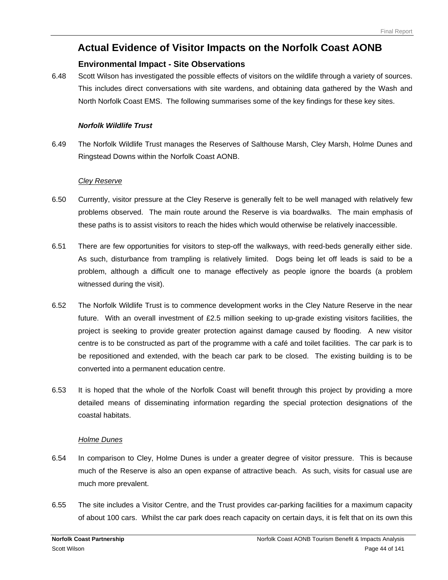# **Actual Evidence of Visitor Impacts on the Norfolk Coast AONB**

## **Environmental Impact - Site Observations**

6.48 Scott Wilson has investigated the possible effects of visitors on the wildlife through a variety of sources. This includes direct conversations with site wardens, and obtaining data gathered by the Wash and North Norfolk Coast EMS. The following summarises some of the key findings for these key sites.

#### *Norfolk Wildlife Trust*

6.49 The Norfolk Wildlife Trust manages the Reserves of Salthouse Marsh, Cley Marsh, Holme Dunes and Ringstead Downs within the Norfolk Coast AONB.

#### *Cley Reserve*

- 6.50 Currently, visitor pressure at the Cley Reserve is generally felt to be well managed with relatively few problems observed. The main route around the Reserve is via boardwalks. The main emphasis of these paths is to assist visitors to reach the hides which would otherwise be relatively inaccessible.
- 6.51 There are few opportunities for visitors to step-off the walkways, with reed-beds generally either side. As such, disturbance from trampling is relatively limited. Dogs being let off leads is said to be a problem, although a difficult one to manage effectively as people ignore the boards (a problem witnessed during the visit).
- 6.52 The Norfolk Wildlife Trust is to commence development works in the Cley Nature Reserve in the near future. With an overall investment of £2.5 million seeking to up-grade existing visitors facilities, the project is seeking to provide greater protection against damage caused by flooding. A new visitor centre is to be constructed as part of the programme with a café and toilet facilities. The car park is to be repositioned and extended, with the beach car park to be closed. The existing building is to be converted into a permanent education centre.
- 6.53 It is hoped that the whole of the Norfolk Coast will benefit through this project by providing a more detailed means of disseminating information regarding the special protection designations of the coastal habitats.

#### *Holme Dunes*

- 6.54 In comparison to Cley, Holme Dunes is under a greater degree of visitor pressure. This is because much of the Reserve is also an open expanse of attractive beach. As such, visits for casual use are much more prevalent.
- 6.55 The site includes a Visitor Centre, and the Trust provides car-parking facilities for a maximum capacity of about 100 cars. Whilst the car park does reach capacity on certain days, it is felt that on its own this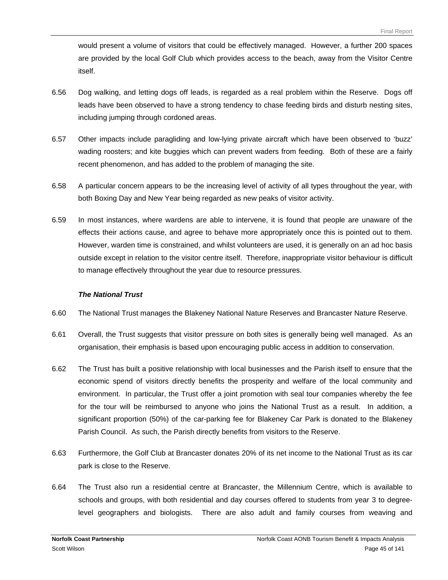would present a volume of visitors that could be effectively managed. However, a further 200 spaces are provided by the local Golf Club which provides access to the beach, away from the Visitor Centre itself.

- 6.56 Dog walking, and letting dogs off leads, is regarded as a real problem within the Reserve. Dogs off leads have been observed to have a strong tendency to chase feeding birds and disturb nesting sites, including jumping through cordoned areas.
- 6.57 Other impacts include paragliding and low-lying private aircraft which have been observed to 'buzz' wading roosters; and kite buggies which can prevent waders from feeding. Both of these are a fairly recent phenomenon, and has added to the problem of managing the site.
- 6.58 A particular concern appears to be the increasing level of activity of all types throughout the year, with both Boxing Day and New Year being regarded as new peaks of visitor activity.
- 6.59 In most instances, where wardens are able to intervene, it is found that people are unaware of the effects their actions cause, and agree to behave more appropriately once this is pointed out to them. However, warden time is constrained, and whilst volunteers are used, it is generally on an ad hoc basis outside except in relation to the visitor centre itself. Therefore, inappropriate visitor behaviour is difficult to manage effectively throughout the year due to resource pressures.

#### *The National Trust*

- 6.60 The National Trust manages the Blakeney National Nature Reserves and Brancaster Nature Reserve.
- 6.61 Overall, the Trust suggests that visitor pressure on both sites is generally being well managed. As an organisation, their emphasis is based upon encouraging public access in addition to conservation.
- 6.62 The Trust has built a positive relationship with local businesses and the Parish itself to ensure that the economic spend of visitors directly benefits the prosperity and welfare of the local community and environment. In particular, the Trust offer a joint promotion with seal tour companies whereby the fee for the tour will be reimbursed to anyone who joins the National Trust as a result. In addition, a significant proportion (50%) of the car-parking fee for Blakeney Car Park is donated to the Blakeney Parish Council. As such, the Parish directly benefits from visitors to the Reserve.
- 6.63 Furthermore, the Golf Club at Brancaster donates 20% of its net income to the National Trust as its car park is close to the Reserve.
- 6.64 The Trust also run a residential centre at Brancaster, the Millennium Centre, which is available to schools and groups, with both residential and day courses offered to students from year 3 to degreelevel geographers and biologists. There are also adult and family courses from weaving and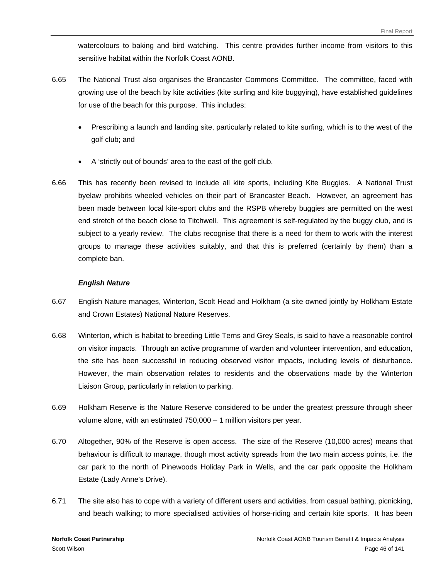watercolours to baking and bird watching. This centre provides further income from visitors to this sensitive habitat within the Norfolk Coast AONB.

- 6.65 The National Trust also organises the Brancaster Commons Committee. The committee, faced with growing use of the beach by kite activities (kite surfing and kite buggying), have established guidelines for use of the beach for this purpose. This includes:
	- Prescribing a launch and landing site, particularly related to kite surfing, which is to the west of the golf club; and
	- A 'strictly out of bounds' area to the east of the golf club.
- 6.66 This has recently been revised to include all kite sports, including Kite Buggies. A National Trust byelaw prohibits wheeled vehicles on their part of Brancaster Beach. However, an agreement has been made between local kite-sport clubs and the RSPB whereby buggies are permitted on the west end stretch of the beach close to Titchwell. This agreement is self-regulated by the buggy club, and is subject to a yearly review. The clubs recognise that there is a need for them to work with the interest groups to manage these activities suitably, and that this is preferred (certainly by them) than a complete ban.

#### *English Nature*

- 6.67 English Nature manages, Winterton, Scolt Head and Holkham (a site owned jointly by Holkham Estate and Crown Estates) National Nature Reserves.
- 6.68 Winterton, which is habitat to breeding Little Terns and Grey Seals, is said to have a reasonable control on visitor impacts. Through an active programme of warden and volunteer intervention, and education, the site has been successful in reducing observed visitor impacts, including levels of disturbance. However, the main observation relates to residents and the observations made by the Winterton Liaison Group, particularly in relation to parking.
- 6.69 Holkham Reserve is the Nature Reserve considered to be under the greatest pressure through sheer volume alone, with an estimated 750,000 – 1 million visitors per year.
- 6.70 Altogether, 90% of the Reserve is open access. The size of the Reserve (10,000 acres) means that behaviour is difficult to manage, though most activity spreads from the two main access points, i.e. the car park to the north of Pinewoods Holiday Park in Wells, and the car park opposite the Holkham Estate (Lady Anne's Drive).
- 6.71 The site also has to cope with a variety of different users and activities, from casual bathing, picnicking, and beach walking; to more specialised activities of horse-riding and certain kite sports. It has been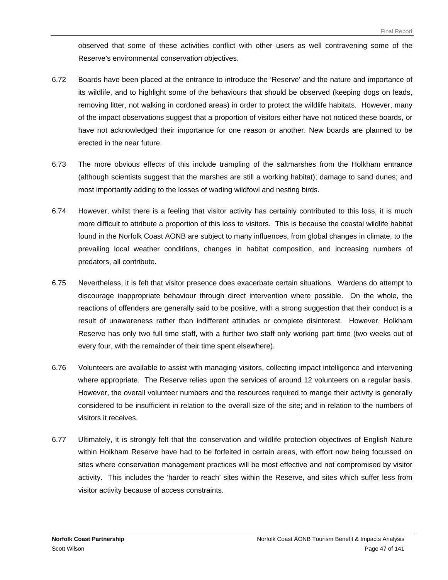observed that some of these activities conflict with other users as well contravening some of the Reserve's environmental conservation objectives.

- 6.72 Boards have been placed at the entrance to introduce the 'Reserve' and the nature and importance of its wildlife, and to highlight some of the behaviours that should be observed (keeping dogs on leads, removing litter, not walking in cordoned areas) in order to protect the wildlife habitats. However, many of the impact observations suggest that a proportion of visitors either have not noticed these boards, or have not acknowledged their importance for one reason or another. New boards are planned to be erected in the near future.
- 6.73 The more obvious effects of this include trampling of the saltmarshes from the Holkham entrance (although scientists suggest that the marshes are still a working habitat); damage to sand dunes; and most importantly adding to the losses of wading wildfowl and nesting birds.
- 6.74 However, whilst there is a feeling that visitor activity has certainly contributed to this loss, it is much more difficult to attribute a proportion of this loss to visitors. This is because the coastal wildlife habitat found in the Norfolk Coast AONB are subject to many influences, from global changes in climate, to the prevailing local weather conditions, changes in habitat composition, and increasing numbers of predators, all contribute.
- 6.75 Nevertheless, it is felt that visitor presence does exacerbate certain situations. Wardens do attempt to discourage inappropriate behaviour through direct intervention where possible. On the whole, the reactions of offenders are generally said to be positive, with a strong suggestion that their conduct is a result of unawareness rather than indifferent attitudes or complete disinterest. However, Holkham Reserve has only two full time staff, with a further two staff only working part time (two weeks out of every four, with the remainder of their time spent elsewhere).
- 6.76 Volunteers are available to assist with managing visitors, collecting impact intelligence and intervening where appropriate. The Reserve relies upon the services of around 12 volunteers on a regular basis. However, the overall volunteer numbers and the resources required to mange their activity is generally considered to be insufficient in relation to the overall size of the site; and in relation to the numbers of visitors it receives.
- 6.77 Ultimately, it is strongly felt that the conservation and wildlife protection objectives of English Nature within Holkham Reserve have had to be forfeited in certain areas, with effort now being focussed on sites where conservation management practices will be most effective and not compromised by visitor activity. This includes the 'harder to reach' sites within the Reserve, and sites which suffer less from visitor activity because of access constraints.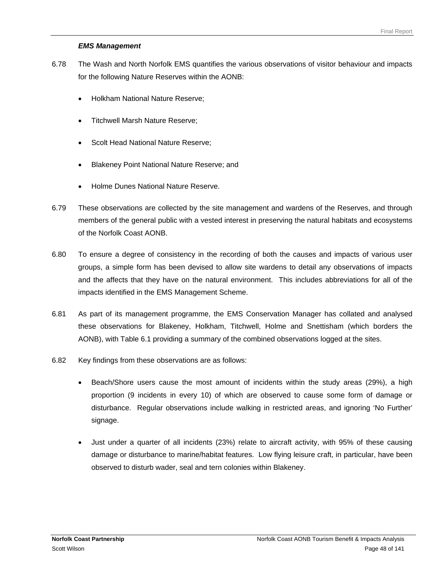#### *EMS Management*

- 6.78 The Wash and North Norfolk EMS quantifies the various observations of visitor behaviour and impacts for the following Nature Reserves within the AONB:
	- Holkham National Nature Reserve;
	- Titchwell Marsh Nature Reserve;
	- Scolt Head National Nature Reserve;
	- Blakeney Point National Nature Reserve; and
	- Holme Dunes National Nature Reserve.
- 6.79 These observations are collected by the site management and wardens of the Reserves, and through members of the general public with a vested interest in preserving the natural habitats and ecosystems of the Norfolk Coast AONB.
- 6.80 To ensure a degree of consistency in the recording of both the causes and impacts of various user groups, a simple form has been devised to allow site wardens to detail any observations of impacts and the affects that they have on the natural environment. This includes abbreviations for all of the impacts identified in the EMS Management Scheme.
- 6.81 As part of its management programme, the EMS Conservation Manager has collated and analysed these observations for Blakeney, Holkham, Titchwell, Holme and Snettisham (which borders the AONB), with Table 6.1 providing a summary of the combined observations logged at the sites.
- 6.82 Key findings from these observations are as follows:
	- Beach/Shore users cause the most amount of incidents within the study areas (29%), a high proportion (9 incidents in every 10) of which are observed to cause some form of damage or disturbance. Regular observations include walking in restricted areas, and ignoring 'No Further' signage.
	- Just under a quarter of all incidents (23%) relate to aircraft activity, with 95% of these causing damage or disturbance to marine/habitat features. Low flying leisure craft, in particular, have been observed to disturb wader, seal and tern colonies within Blakeney.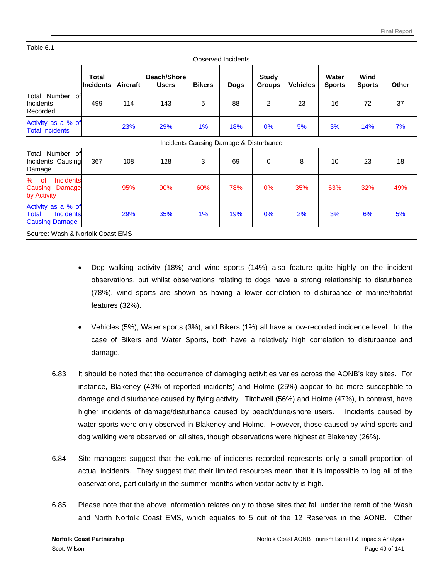| <b>Total</b><br>Incidents | Aircraft                                                                                                                                              | Beach/Shore<br><b>Users</b> | <b>Bikers</b> | <b>Dogs</b> | <b>Study</b><br><b>Groups</b> | <b>Vehicles</b>                        | Water<br><b>Sports</b> | Wind<br><b>Sports</b> | <b>Other</b> |
|---------------------------|-------------------------------------------------------------------------------------------------------------------------------------------------------|-----------------------------|---------------|-------------|-------------------------------|----------------------------------------|------------------------|-----------------------|--------------|
| 499                       | 114                                                                                                                                                   | 143                         | 5             | 88          | 2                             | 23                                     | 16                     | 72                    | 37           |
|                           | 23%                                                                                                                                                   | 29%                         | 1%            | 18%         | 0%                            | 5%                                     | 3%                     | 14%                   | 7%           |
|                           |                                                                                                                                                       |                             |               |             |                               |                                        |                        |                       |              |
| 367                       | 108                                                                                                                                                   | 128                         | 3             | 69          | 0                             | 8                                      | 10                     | 23                    | 18           |
|                           | 95%                                                                                                                                                   | 90%                         | 60%           | 78%         | 0%                            | 35%                                    | 63%                    | 32%                   | 49%          |
|                           | 29%                                                                                                                                                   | 35%                         | 1%            | 19%         | 0%                            | 2%                                     | 3%                     | 6%                    | 5%           |
|                           | Total Number of<br>Activity as a % of<br>Total Number of<br>Incidents Causing<br><b>Incidents</b><br>Damage<br>Activity as a % of<br><b>Incidents</b> |                             |               |             | <b>Observed Incidents</b>     | Incidents Causing Damage & Disturbance |                        |                       |              |

- Dog walking activity (18%) and wind sports (14%) also feature quite highly on the incident observations, but whilst observations relating to dogs have a strong relationship to disturbance (78%), wind sports are shown as having a lower correlation to disturbance of marine/habitat features (32%).
- Vehicles (5%), Water sports (3%), and Bikers (1%) all have a low-recorded incidence level. In the case of Bikers and Water Sports, both have a relatively high correlation to disturbance and damage.
- 6.83 It should be noted that the occurrence of damaging activities varies across the AONB's key sites. For instance, Blakeney (43% of reported incidents) and Holme (25%) appear to be more susceptible to damage and disturbance caused by flying activity. Titchwell (56%) and Holme (47%), in contrast, have higher incidents of damage/disturbance caused by beach/dune/shore users. Incidents caused by water sports were only observed in Blakeney and Holme. However, those caused by wind sports and dog walking were observed on all sites, though observations were highest at Blakeney (26%).
- 6.84 Site managers suggest that the volume of incidents recorded represents only a small proportion of actual incidents. They suggest that their limited resources mean that it is impossible to log all of the observations, particularly in the summer months when visitor activity is high.
- 6.85 Please note that the above information relates only to those sites that fall under the remit of the Wash and North Norfolk Coast EMS, which equates to 5 out of the 12 Reserves in the AONB. Other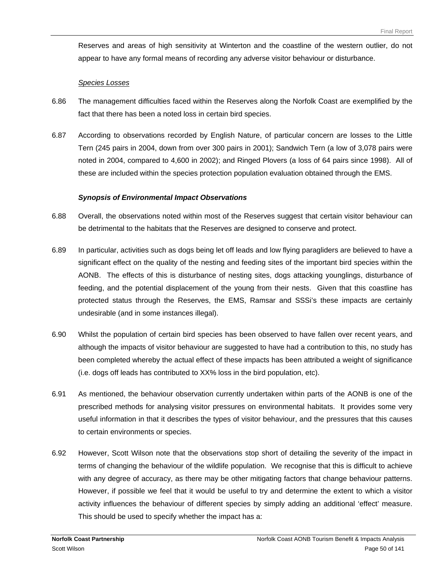Reserves and areas of high sensitivity at Winterton and the coastline of the western outlier, do not appear to have any formal means of recording any adverse visitor behaviour or disturbance.

#### *Species Losses*

- 6.86 The management difficulties faced within the Reserves along the Norfolk Coast are exemplified by the fact that there has been a noted loss in certain bird species.
- 6.87 According to observations recorded by English Nature, of particular concern are losses to the Little Tern (245 pairs in 2004, down from over 300 pairs in 2001); Sandwich Tern (a low of 3,078 pairs were noted in 2004, compared to 4,600 in 2002); and Ringed Plovers (a loss of 64 pairs since 1998). All of these are included within the species protection population evaluation obtained through the EMS.

#### *Synopsis of Environmental Impact Observations*

- 6.88 Overall, the observations noted within most of the Reserves suggest that certain visitor behaviour can be detrimental to the habitats that the Reserves are designed to conserve and protect.
- 6.89 In particular, activities such as dogs being let off leads and low flying paragliders are believed to have a significant effect on the quality of the nesting and feeding sites of the important bird species within the AONB. The effects of this is disturbance of nesting sites, dogs attacking younglings, disturbance of feeding, and the potential displacement of the young from their nests. Given that this coastline has protected status through the Reserves, the EMS, Ramsar and SSSi's these impacts are certainly undesirable (and in some instances illegal).
- 6.90 Whilst the population of certain bird species has been observed to have fallen over recent years, and although the impacts of visitor behaviour are suggested to have had a contribution to this, no study has been completed whereby the actual effect of these impacts has been attributed a weight of significance (i.e. dogs off leads has contributed to XX% loss in the bird population, etc).
- 6.91 As mentioned, the behaviour observation currently undertaken within parts of the AONB is one of the prescribed methods for analysing visitor pressures on environmental habitats. It provides some very useful information in that it describes the types of visitor behaviour, and the pressures that this causes to certain environments or species.
- 6.92 However, Scott Wilson note that the observations stop short of detailing the severity of the impact in terms of changing the behaviour of the wildlife population. We recognise that this is difficult to achieve with any degree of accuracy, as there may be other mitigating factors that change behaviour patterns. However, if possible we feel that it would be useful to try and determine the extent to which a visitor activity influences the behaviour of different species by simply adding an additional 'effect' measure. This should be used to specify whether the impact has a: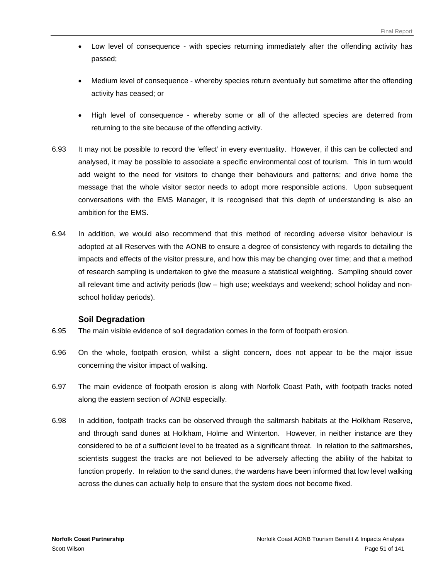- Low level of consequence with species returning immediately after the offending activity has passed;
- Medium level of consequence whereby species return eventually but sometime after the offending activity has ceased; or
- High level of consequence whereby some or all of the affected species are deterred from returning to the site because of the offending activity.
- 6.93 It may not be possible to record the 'effect' in every eventuality. However, if this can be collected and analysed, it may be possible to associate a specific environmental cost of tourism. This in turn would add weight to the need for visitors to change their behaviours and patterns; and drive home the message that the whole visitor sector needs to adopt more responsible actions. Upon subsequent conversations with the EMS Manager, it is recognised that this depth of understanding is also an ambition for the EMS.
- 6.94 In addition, we would also recommend that this method of recording adverse visitor behaviour is adopted at all Reserves with the AONB to ensure a degree of consistency with regards to detailing the impacts and effects of the visitor pressure, and how this may be changing over time; and that a method of research sampling is undertaken to give the measure a statistical weighting. Sampling should cover all relevant time and activity periods (low – high use; weekdays and weekend; school holiday and nonschool holiday periods).

# **Soil Degradation**

- 6.95 The main visible evidence of soil degradation comes in the form of footpath erosion.
- 6.96 On the whole, footpath erosion, whilst a slight concern, does not appear to be the major issue concerning the visitor impact of walking.
- 6.97 The main evidence of footpath erosion is along with Norfolk Coast Path, with footpath tracks noted along the eastern section of AONB especially.
- 6.98 In addition, footpath tracks can be observed through the saltmarsh habitats at the Holkham Reserve, and through sand dunes at Holkham, Holme and Winterton. However, in neither instance are they considered to be of a sufficient level to be treated as a significant threat. In relation to the saltmarshes, scientists suggest the tracks are not believed to be adversely affecting the ability of the habitat to function properly. In relation to the sand dunes, the wardens have been informed that low level walking across the dunes can actually help to ensure that the system does not become fixed.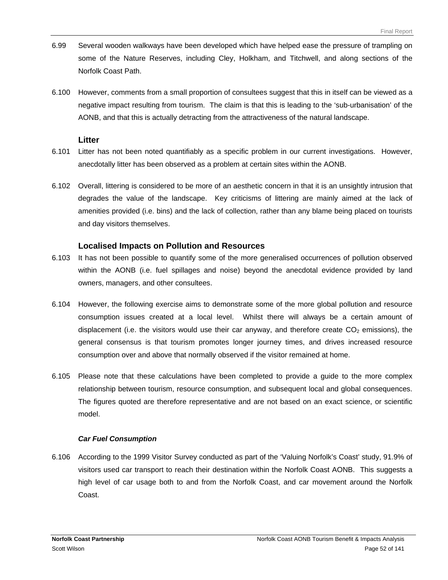- 6.99 Several wooden walkways have been developed which have helped ease the pressure of trampling on some of the Nature Reserves, including Cley, Holkham, and Titchwell, and along sections of the Norfolk Coast Path.
- 6.100 However, comments from a small proportion of consultees suggest that this in itself can be viewed as a negative impact resulting from tourism. The claim is that this is leading to the 'sub-urbanisation' of the AONB, and that this is actually detracting from the attractiveness of the natural landscape.

#### **Litter**

- 6.101 Litter has not been noted quantifiably as a specific problem in our current investigations. However, anecdotally litter has been observed as a problem at certain sites within the AONB.
- 6.102 Overall, littering is considered to be more of an aesthetic concern in that it is an unsightly intrusion that degrades the value of the landscape. Key criticisms of littering are mainly aimed at the lack of amenities provided (i.e. bins) and the lack of collection, rather than any blame being placed on tourists and day visitors themselves.

### **Localised Impacts on Pollution and Resources**

- 6.103 It has not been possible to quantify some of the more generalised occurrences of pollution observed within the AONB (i.e. fuel spillages and noise) beyond the anecdotal evidence provided by land owners, managers, and other consultees.
- 6.104 However, the following exercise aims to demonstrate some of the more global pollution and resource consumption issues created at a local level. Whilst there will always be a certain amount of displacement (i.e. the visitors would use their car anyway, and therefore create  $CO<sub>2</sub>$  emissions), the general consensus is that tourism promotes longer journey times, and drives increased resource consumption over and above that normally observed if the visitor remained at home.
- 6.105 Please note that these calculations have been completed to provide a guide to the more complex relationship between tourism, resource consumption, and subsequent local and global consequences. The figures quoted are therefore representative and are not based on an exact science, or scientific model.

#### *Car Fuel Consumption*

6.106 According to the 1999 Visitor Survey conducted as part of the 'Valuing Norfolk's Coast' study, 91.9% of visitors used car transport to reach their destination within the Norfolk Coast AONB. This suggests a high level of car usage both to and from the Norfolk Coast, and car movement around the Norfolk Coast.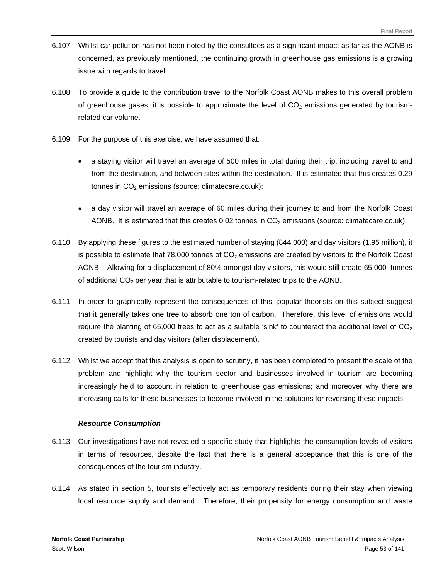- 6.107 Whilst car pollution has not been noted by the consultees as a significant impact as far as the AONB is concerned, as previously mentioned, the continuing growth in greenhouse gas emissions is a growing issue with regards to travel.
- 6.108 To provide a guide to the contribution travel to the Norfolk Coast AONB makes to this overall problem of greenhouse gases, it is possible to approximate the level of  $CO<sub>2</sub>$  emissions generated by tourismrelated car volume.
- 6.109 For the purpose of this exercise, we have assumed that:
	- a staying visitor will travel an average of 500 miles in total during their trip, including travel to and from the destination, and between sites within the destination. It is estimated that this creates 0.29 tonnes in  $CO<sub>2</sub>$  emissions (source: climatecare.co.uk);
	- a day visitor will travel an average of 60 miles during their journey to and from the Norfolk Coast AONB. It is estimated that this creates  $0.02$  tonnes in  $CO<sub>2</sub>$  emissions (source: climatecare.co.uk).
- 6.110 By applying these figures to the estimated number of staying (844,000) and day visitors (1.95 million), it is possible to estimate that  $78,000$  tonnes of  $CO<sub>2</sub>$  emissions are created by visitors to the Norfolk Coast AONB. Allowing for a displacement of 80% amongst day visitors, this would still create 65,000 tonnes of additional  $CO<sub>2</sub>$  per year that is attributable to tourism-related trips to the AONB.
- 6.111 In order to graphically represent the consequences of this, popular theorists on this subject suggest that it generally takes one tree to absorb one ton of carbon. Therefore, this level of emissions would require the planting of 65,000 trees to act as a suitable 'sink' to counteract the additional level of  $CO<sub>2</sub>$ created by tourists and day visitors (after displacement).
- 6.112 Whilst we accept that this analysis is open to scrutiny, it has been completed to present the scale of the problem and highlight why the tourism sector and businesses involved in tourism are becoming increasingly held to account in relation to greenhouse gas emissions; and moreover why there are increasing calls for these businesses to become involved in the solutions for reversing these impacts.

#### *Resource Consumption*

- 6.113 Our investigations have not revealed a specific study that highlights the consumption levels of visitors in terms of resources, despite the fact that there is a general acceptance that this is one of the consequences of the tourism industry.
- 6.114 As stated in section 5, tourists effectively act as temporary residents during their stay when viewing local resource supply and demand. Therefore, their propensity for energy consumption and waste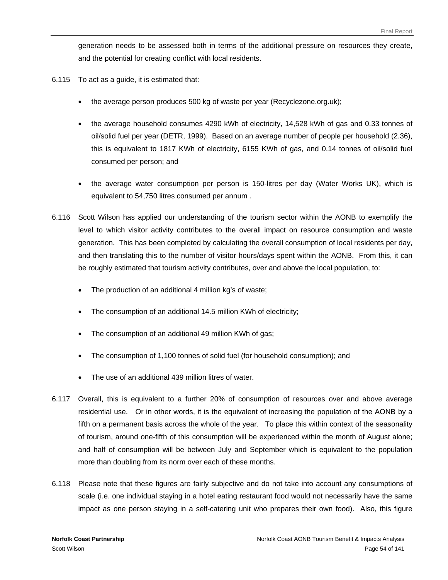generation needs to be assessed both in terms of the additional pressure on resources they create, and the potential for creating conflict with local residents.

- 6.115 To act as a guide, it is estimated that:
	- the average person produces 500 kg of waste per year (Recyclezone.org.uk);
	- the average household consumes 4290 kWh of electricity, 14,528 kWh of gas and 0.33 tonnes of oil/solid fuel per year (DETR, 1999). Based on an average number of people per household (2.36), this is equivalent to 1817 KWh of electricity, 6155 KWh of gas, and 0.14 tonnes of oil/solid fuel consumed per person; and
	- the average water consumption per person is 150-litres per day (Water Works UK), which is equivalent to 54,750 litres consumed per annum .
- 6.116 Scott Wilson has applied our understanding of the tourism sector within the AONB to exemplify the level to which visitor activity contributes to the overall impact on resource consumption and waste generation. This has been completed by calculating the overall consumption of local residents per day, and then translating this to the number of visitor hours/days spent within the AONB. From this, it can be roughly estimated that tourism activity contributes, over and above the local population, to:
	- The production of an additional 4 million kg's of waste;
	- The consumption of an additional 14.5 million KWh of electricity;
	- The consumption of an additional 49 million KWh of gas;
	- The consumption of 1,100 tonnes of solid fuel (for household consumption); and
	- The use of an additional 439 million litres of water.
- 6.117 Overall, this is equivalent to a further 20% of consumption of resources over and above average residential use. Or in other words, it is the equivalent of increasing the population of the AONB by a fifth on a permanent basis across the whole of the year. To place this within context of the seasonality of tourism, around one-fifth of this consumption will be experienced within the month of August alone; and half of consumption will be between July and September which is equivalent to the population more than doubling from its norm over each of these months.
- 6.118 Please note that these figures are fairly subjective and do not take into account any consumptions of scale (i.e. one individual staying in a hotel eating restaurant food would not necessarily have the same impact as one person staying in a self-catering unit who prepares their own food). Also, this figure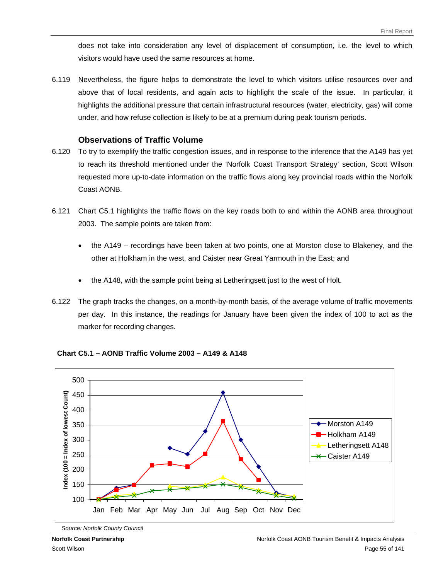does not take into consideration any level of displacement of consumption, i.e. the level to which visitors would have used the same resources at home.

6.119 Nevertheless, the figure helps to demonstrate the level to which visitors utilise resources over and above that of local residents, and again acts to highlight the scale of the issue. In particular, it highlights the additional pressure that certain infrastructural resources (water, electricity, gas) will come under, and how refuse collection is likely to be at a premium during peak tourism periods.

#### **Observations of Traffic Volume**

- 6.120 To try to exemplify the traffic congestion issues, and in response to the inference that the A149 has yet to reach its threshold mentioned under the 'Norfolk Coast Transport Strategy' section, Scott Wilson requested more up-to-date information on the traffic flows along key provincial roads within the Norfolk Coast AONB.
- 6.121 Chart C5.1 highlights the traffic flows on the key roads both to and within the AONB area throughout 2003. The sample points are taken from:
	- the A149 recordings have been taken at two points, one at Morston close to Blakeney, and the other at Holkham in the west, and Caister near Great Yarmouth in the East; and
	- the A148, with the sample point being at Letheringsett just to the west of Holt.
- 6.122 The graph tracks the changes, on a month-by-month basis, of the average volume of traffic movements per day. In this instance, the readings for January have been given the index of 100 to act as the marker for recording changes.



**Chart C5.1 – AONB Traffic Volume 2003 – A149 & A148** 

*Source: Norfolk County Council*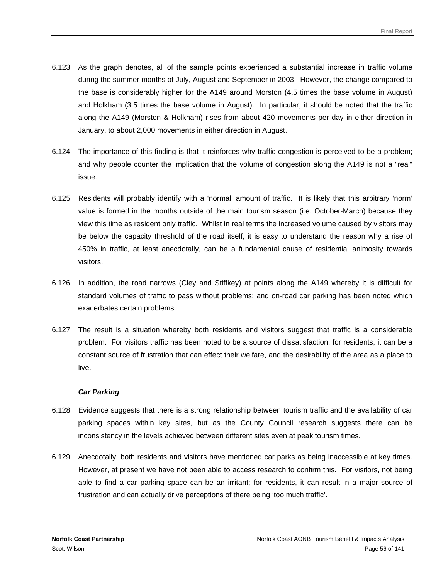- 6.123 As the graph denotes, all of the sample points experienced a substantial increase in traffic volume during the summer months of July, August and September in 2003. However, the change compared to the base is considerably higher for the A149 around Morston (4.5 times the base volume in August) and Holkham (3.5 times the base volume in August). In particular, it should be noted that the traffic along the A149 (Morston & Holkham) rises from about 420 movements per day in either direction in January, to about 2,000 movements in either direction in August.
- 6.124 The importance of this finding is that it reinforces why traffic congestion is perceived to be a problem; and why people counter the implication that the volume of congestion along the A149 is not a "real" issue.
- 6.125 Residents will probably identify with a 'normal' amount of traffic. It is likely that this arbitrary 'norm' value is formed in the months outside of the main tourism season (i.e. October-March) because they view this time as resident only traffic. Whilst in real terms the increased volume caused by visitors may be below the capacity threshold of the road itself, it is easy to understand the reason why a rise of 450% in traffic, at least anecdotally, can be a fundamental cause of residential animosity towards visitors.
- 6.126 In addition, the road narrows (Cley and Stiffkey) at points along the A149 whereby it is difficult for standard volumes of traffic to pass without problems; and on-road car parking has been noted which exacerbates certain problems.
- 6.127 The result is a situation whereby both residents and visitors suggest that traffic is a considerable problem. For visitors traffic has been noted to be a source of dissatisfaction; for residents, it can be a constant source of frustration that can effect their welfare, and the desirability of the area as a place to live.

#### *Car Parking*

- 6.128 Evidence suggests that there is a strong relationship between tourism traffic and the availability of car parking spaces within key sites, but as the County Council research suggests there can be inconsistency in the levels achieved between different sites even at peak tourism times.
- 6.129 Anecdotally, both residents and visitors have mentioned car parks as being inaccessible at key times. However, at present we have not been able to access research to confirm this. For visitors, not being able to find a car parking space can be an irritant; for residents, it can result in a major source of frustration and can actually drive perceptions of there being 'too much traffic'.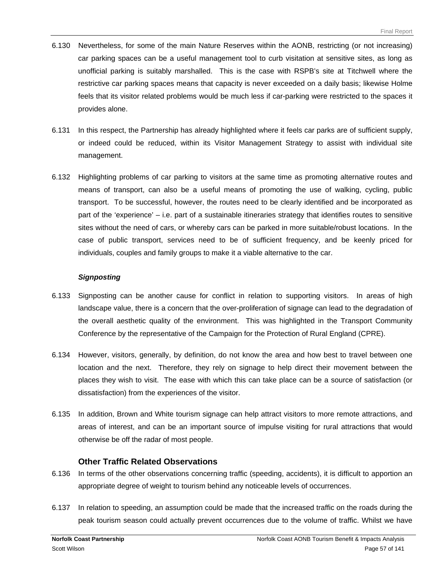- 6.130 Nevertheless, for some of the main Nature Reserves within the AONB, restricting (or not increasing) car parking spaces can be a useful management tool to curb visitation at sensitive sites, as long as unofficial parking is suitably marshalled. This is the case with RSPB's site at Titchwell where the restrictive car parking spaces means that capacity is never exceeded on a daily basis; likewise Holme feels that its visitor related problems would be much less if car-parking were restricted to the spaces it provides alone.
- 6.131 In this respect, the Partnership has already highlighted where it feels car parks are of sufficient supply, or indeed could be reduced, within its Visitor Management Strategy to assist with individual site management.
- 6.132 Highlighting problems of car parking to visitors at the same time as promoting alternative routes and means of transport, can also be a useful means of promoting the use of walking, cycling, public transport. To be successful, however, the routes need to be clearly identified and be incorporated as part of the 'experience' – i.e. part of a sustainable itineraries strategy that identifies routes to sensitive sites without the need of cars, or whereby cars can be parked in more suitable/robust locations. In the case of public transport, services need to be of sufficient frequency, and be keenly priced for individuals, couples and family groups to make it a viable alternative to the car.

#### *Signposting*

- 6.133 Signposting can be another cause for conflict in relation to supporting visitors. In areas of high landscape value, there is a concern that the over-proliferation of signage can lead to the degradation of the overall aesthetic quality of the environment. This was highlighted in the Transport Community Conference by the representative of the Campaign for the Protection of Rural England (CPRE).
- 6.134 However, visitors, generally, by definition, do not know the area and how best to travel between one location and the next. Therefore, they rely on signage to help direct their movement between the places they wish to visit. The ease with which this can take place can be a source of satisfaction (or dissatisfaction) from the experiences of the visitor.
- 6.135 In addition, Brown and White tourism signage can help attract visitors to more remote attractions, and areas of interest, and can be an important source of impulse visiting for rural attractions that would otherwise be off the radar of most people.

#### **Other Traffic Related Observations**

- 6.136 In terms of the other observations concerning traffic (speeding, accidents), it is difficult to apportion an appropriate degree of weight to tourism behind any noticeable levels of occurrences.
- 6.137 In relation to speeding, an assumption could be made that the increased traffic on the roads during the peak tourism season could actually prevent occurrences due to the volume of traffic. Whilst we have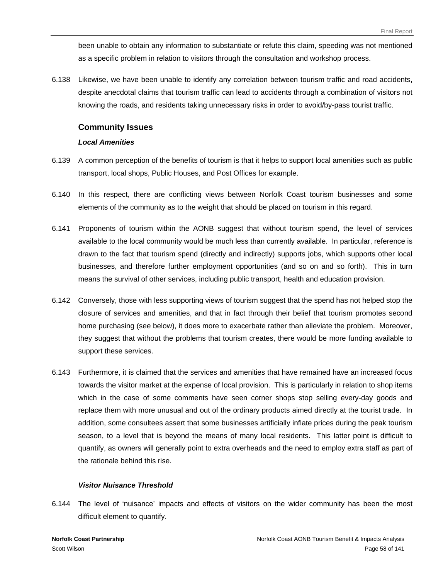been unable to obtain any information to substantiate or refute this claim, speeding was not mentioned as a specific problem in relation to visitors through the consultation and workshop process.

6.138 Likewise, we have been unable to identify any correlation between tourism traffic and road accidents, despite anecdotal claims that tourism traffic can lead to accidents through a combination of visitors not knowing the roads, and residents taking unnecessary risks in order to avoid/by-pass tourist traffic.

### **Community Issues**

#### *Local Amenities*

- 6.139 A common perception of the benefits of tourism is that it helps to support local amenities such as public transport, local shops, Public Houses, and Post Offices for example.
- 6.140 In this respect, there are conflicting views between Norfolk Coast tourism businesses and some elements of the community as to the weight that should be placed on tourism in this regard.
- 6.141 Proponents of tourism within the AONB suggest that without tourism spend, the level of services available to the local community would be much less than currently available. In particular, reference is drawn to the fact that tourism spend (directly and indirectly) supports jobs, which supports other local businesses, and therefore further employment opportunities (and so on and so forth). This in turn means the survival of other services, including public transport, health and education provision.
- 6.142 Conversely, those with less supporting views of tourism suggest that the spend has not helped stop the closure of services and amenities, and that in fact through their belief that tourism promotes second home purchasing (see below), it does more to exacerbate rather than alleviate the problem. Moreover, they suggest that without the problems that tourism creates, there would be more funding available to support these services.
- 6.143 Furthermore, it is claimed that the services and amenities that have remained have an increased focus towards the visitor market at the expense of local provision. This is particularly in relation to shop items which in the case of some comments have seen corner shops stop selling every-day goods and replace them with more unusual and out of the ordinary products aimed directly at the tourist trade. In addition, some consultees assert that some businesses artificially inflate prices during the peak tourism season, to a level that is beyond the means of many local residents. This latter point is difficult to quantify, as owners will generally point to extra overheads and the need to employ extra staff as part of the rationale behind this rise.

#### *Visitor Nuisance Threshold*

6.144 The level of 'nuisance' impacts and effects of visitors on the wider community has been the most difficult element to quantify.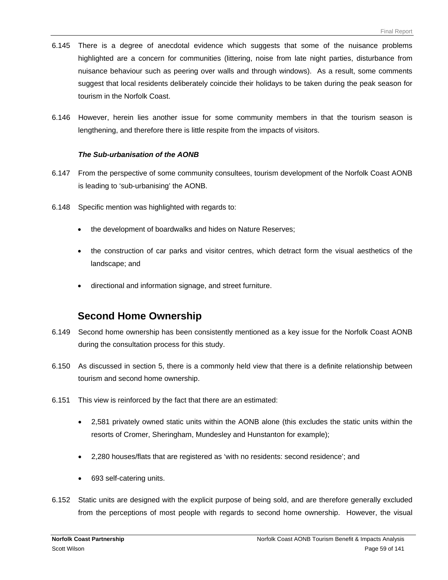- 6.145 There is a degree of anecdotal evidence which suggests that some of the nuisance problems highlighted are a concern for communities (littering, noise from late night parties, disturbance from nuisance behaviour such as peering over walls and through windows). As a result, some comments suggest that local residents deliberately coincide their holidays to be taken during the peak season for tourism in the Norfolk Coast.
- 6.146 However, herein lies another issue for some community members in that the tourism season is lengthening, and therefore there is little respite from the impacts of visitors.

#### *The Sub-urbanisation of the AONB*

- 6.147 From the perspective of some community consultees, tourism development of the Norfolk Coast AONB is leading to 'sub-urbanising' the AONB.
- 6.148 Specific mention was highlighted with regards to:
	- the development of boardwalks and hides on Nature Reserves;
	- the construction of car parks and visitor centres, which detract form the visual aesthetics of the landscape; and
	- directional and information signage, and street furniture.

# **Second Home Ownership**

- 6.149 Second home ownership has been consistently mentioned as a key issue for the Norfolk Coast AONB during the consultation process for this study.
- 6.150 As discussed in section 5, there is a commonly held view that there is a definite relationship between tourism and second home ownership.
- 6.151 This view is reinforced by the fact that there are an estimated:
	- 2,581 privately owned static units within the AONB alone (this excludes the static units within the resorts of Cromer, Sheringham, Mundesley and Hunstanton for example);
	- 2,280 houses/flats that are registered as 'with no residents: second residence'; and
	- 693 self-catering units.
- 6.152 Static units are designed with the explicit purpose of being sold, and are therefore generally excluded from the perceptions of most people with regards to second home ownership. However, the visual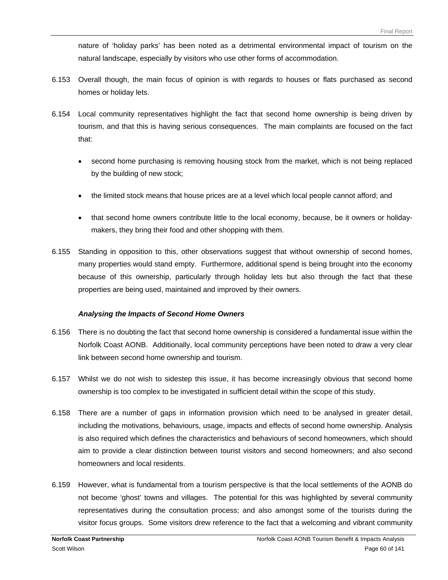nature of 'holiday parks' has been noted as a detrimental environmental impact of tourism on the natural landscape, especially by visitors who use other forms of accommodation.

- 6.153 Overall though, the main focus of opinion is with regards to houses or flats purchased as second homes or holiday lets.
- 6.154 Local community representatives highlight the fact that second home ownership is being driven by tourism, and that this is having serious consequences. The main complaints are focused on the fact that:
	- second home purchasing is removing housing stock from the market, which is not being replaced by the building of new stock;
	- the limited stock means that house prices are at a level which local people cannot afford; and
	- that second home owners contribute little to the local economy, because, be it owners or holidaymakers, they bring their food and other shopping with them.
- 6.155 Standing in opposition to this, other observations suggest that without ownership of second homes, many properties would stand empty. Furthermore, additional spend is being brought into the economy because of this ownership, particularly through holiday lets but also through the fact that these properties are being used, maintained and improved by their owners.

#### *Analysing the Impacts of Second Home Owners*

- 6.156 There is no doubting the fact that second home ownership is considered a fundamental issue within the Norfolk Coast AONB. Additionally, local community perceptions have been noted to draw a very clear link between second home ownership and tourism.
- 6.157 Whilst we do not wish to sidestep this issue, it has become increasingly obvious that second home ownership is too complex to be investigated in sufficient detail within the scope of this study.
- 6.158 There are a number of gaps in information provision which need to be analysed in greater detail, including the motivations, behaviours, usage, impacts and effects of second home ownership. Analysis is also required which defines the characteristics and behaviours of second homeowners, which should aim to provide a clear distinction between tourist visitors and second homeowners; and also second homeowners and local residents.
- 6.159 However, what is fundamental from a tourism perspective is that the local settlements of the AONB do not become 'ghost' towns and villages. The potential for this was highlighted by several community representatives during the consultation process; and also amongst some of the tourists during the visitor focus groups. Some visitors drew reference to the fact that a welcoming and vibrant community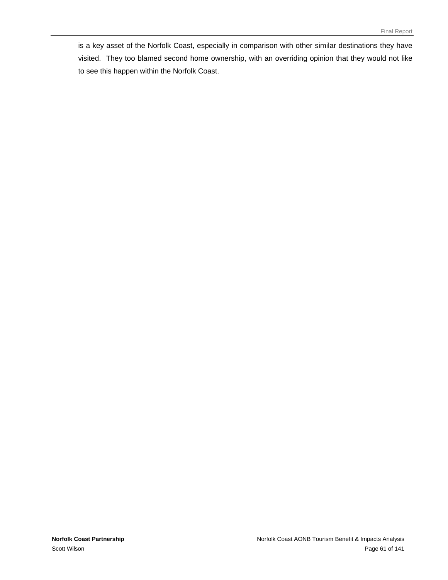is a key asset of the Norfolk Coast, especially in comparison with other similar destinations they have visited. They too blamed second home ownership, with an overriding opinion that they would not like to see this happen within the Norfolk Coast.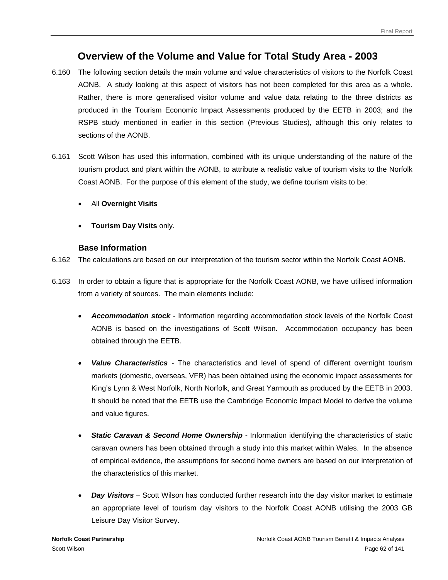# **Overview of the Volume and Value for Total Study Area - 2003**

- 6.160 The following section details the main volume and value characteristics of visitors to the Norfolk Coast AONB. A study looking at this aspect of visitors has not been completed for this area as a whole. Rather, there is more generalised visitor volume and value data relating to the three districts as produced in the Tourism Economic Impact Assessments produced by the EETB in 2003; and the RSPB study mentioned in earlier in this section (Previous Studies), although this only relates to sections of the AONB.
- 6.161 Scott Wilson has used this information, combined with its unique understanding of the nature of the tourism product and plant within the AONB, to attribute a realistic value of tourism visits to the Norfolk Coast AONB. For the purpose of this element of the study, we define tourism visits to be:
	- All **Overnight Visits**
	- **Tourism Day Visits** only.

# **Base Information**

- 6.162 The calculations are based on our interpretation of the tourism sector within the Norfolk Coast AONB.
- 6.163 In order to obtain a figure that is appropriate for the Norfolk Coast AONB, we have utilised information from a variety of sources. The main elements include:
	- *Accommodation stock* Information regarding accommodation stock levels of the Norfolk Coast AONB is based on the investigations of Scott Wilson. Accommodation occupancy has been obtained through the EETB.
	- *Value Characteristics* The characteristics and level of spend of different overnight tourism markets (domestic, overseas, VFR) has been obtained using the economic impact assessments for King's Lynn & West Norfolk, North Norfolk, and Great Yarmouth as produced by the EETB in 2003. It should be noted that the EETB use the Cambridge Economic Impact Model to derive the volume and value figures.
	- **Static Caravan & Second Home Ownership** Information identifying the characteristics of static caravan owners has been obtained through a study into this market within Wales. In the absence of empirical evidence, the assumptions for second home owners are based on our interpretation of the characteristics of this market.
	- *Day Visitors* Scott Wilson has conducted further research into the day visitor market to estimate an appropriate level of tourism day visitors to the Norfolk Coast AONB utilising the 2003 GB Leisure Day Visitor Survey.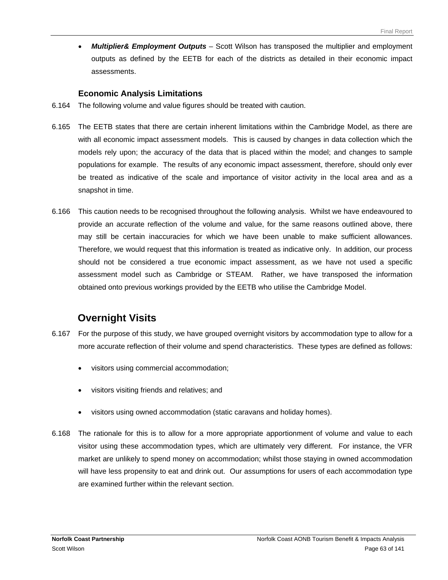• *Multiplier& Employment Outputs* – Scott Wilson has transposed the multiplier and employment outputs as defined by the EETB for each of the districts as detailed in their economic impact assessments.

### **Economic Analysis Limitations**

- 6.164 The following volume and value figures should be treated with caution.
- 6.165 The EETB states that there are certain inherent limitations within the Cambridge Model, as there are with all economic impact assessment models. This is caused by changes in data collection which the models rely upon; the accuracy of the data that is placed within the model; and changes to sample populations for example. The results of any economic impact assessment, therefore, should only ever be treated as indicative of the scale and importance of visitor activity in the local area and as a snapshot in time.
- 6.166 This caution needs to be recognised throughout the following analysis. Whilst we have endeavoured to provide an accurate reflection of the volume and value, for the same reasons outlined above, there may still be certain inaccuracies for which we have been unable to make sufficient allowances. Therefore, we would request that this information is treated as indicative only. In addition, our process should not be considered a true economic impact assessment, as we have not used a specific assessment model such as Cambridge or STEAM. Rather, we have transposed the information obtained onto previous workings provided by the EETB who utilise the Cambridge Model.

# **Overnight Visits**

- 6.167 For the purpose of this study, we have grouped overnight visitors by accommodation type to allow for a more accurate reflection of their volume and spend characteristics. These types are defined as follows:
	- visitors using commercial accommodation;
	- visitors visiting friends and relatives; and
	- visitors using owned accommodation (static caravans and holiday homes).
- 6.168 The rationale for this is to allow for a more appropriate apportionment of volume and value to each visitor using these accommodation types, which are ultimately very different. For instance, the VFR market are unlikely to spend money on accommodation; whilst those staying in owned accommodation will have less propensity to eat and drink out. Our assumptions for users of each accommodation type are examined further within the relevant section.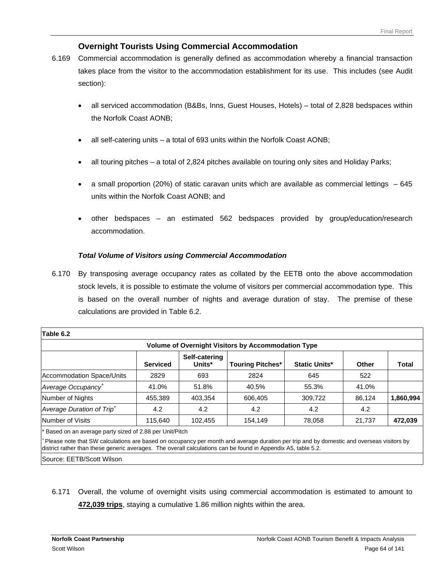# **Overnight Tourists Using Commercial Accommodation**

- 6.169 Commercial accommodation is generally defined as accommodation whereby a financial transaction takes place from the visitor to the accommodation establishment for its use. This includes (see Audit section):
	- all serviced accommodation (B&Bs, Inns, Guest Houses, Hotels) total of 2,828 bedspaces within the Norfolk Coast AONB;
	- all self-catering units a total of 693 units within the Norfolk Coast AONB;
	- all touring pitches a total of 2,824 pitches available on touring only sites and Holiday Parks;
	- a small proportion (20%) of static caravan units which are available as commercial lettings 645 units within the Norfolk Coast AONB; and
	- other bedspaces an estimated 562 bedspaces provided by group/education/research accommodation.

## *Total Volume of Visitors using Commercial Accommodation*

6.170 By transposing average occupancy rates as collated by the EETB onto the above accommodation stock levels, it is possible to estimate the volume of visitors per commercial accommodation type. This is based on the overall number of nights and average duration of stay. The premise of these calculations are provided in Table 6.2.

| Table 6.2                                                 |                 |                         |                         |                      |        |           |  |  |
|-----------------------------------------------------------|-----------------|-------------------------|-------------------------|----------------------|--------|-----------|--|--|
| <b>Volume of Overnight Visitors by Accommodation Type</b> |                 |                         |                         |                      |        |           |  |  |
|                                                           | <b>Serviced</b> | Self-catering<br>Units* | <b>Touring Pitches*</b> | <b>Static Units*</b> | Other  | Total     |  |  |
| Accommodation Space/Units                                 | 2829            | 693                     | 2824                    | 645                  | 522    |           |  |  |
| Average Occupancy <sup>+</sup>                            | 41.0%           | 51.8%                   | 40.5%                   | 55.3%                | 41.0%  |           |  |  |
| Number of Nights                                          | 455,389         | 403,354                 | 606,405                 | 309,722              | 86,124 | 1,860,994 |  |  |
| Average Duration of Trip <sup>+</sup>                     | 4.2             | 4.2                     | 4.2                     | 4.2                  | 4.2    |           |  |  |
| Number of Visits                                          | 115,640         | 102,455                 | 154,149                 | 78,058               | 21,737 | 472,039   |  |  |
| * Based on an average party sized of 2.88 per Unit/Pitch  |                 |                         |                         |                      |        |           |  |  |

*<sup>+</sup>*Please note that SW calculations are based on occupancy per month and average duration per trip and by domestic and overseas visitors by district rather than these generic averages. The overall calculations can be found in Appendix A5, table 5.2.

Source: EETB/Scott Wilson

6.171 Overall, the volume of overnight visits using commercial accommodation is estimated to amount to **472,039 trips**, staying a cumulative 1.86 million nights within the area.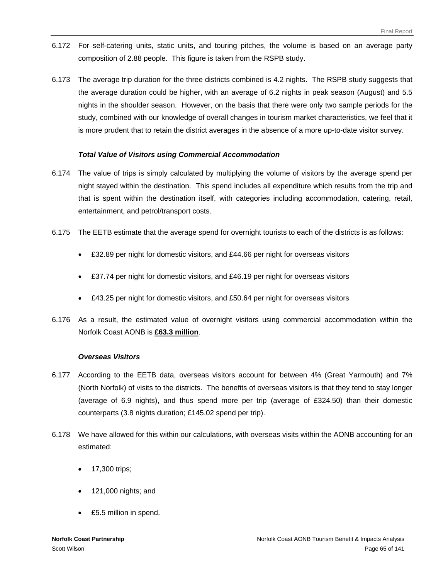- 6.172 For self-catering units, static units, and touring pitches, the volume is based on an average party composition of 2.88 people. This figure is taken from the RSPB study.
- 6.173 The average trip duration for the three districts combined is 4.2 nights. The RSPB study suggests that the average duration could be higher, with an average of 6.2 nights in peak season (August) and 5.5 nights in the shoulder season. However, on the basis that there were only two sample periods for the study, combined with our knowledge of overall changes in tourism market characteristics, we feel that it is more prudent that to retain the district averages in the absence of a more up-to-date visitor survey.

#### *Total Value of Visitors using Commercial Accommodation*

- 6.174 The value of trips is simply calculated by multiplying the volume of visitors by the average spend per night stayed within the destination. This spend includes all expenditure which results from the trip and that is spent within the destination itself, with categories including accommodation, catering, retail, entertainment, and petrol/transport costs.
- 6.175 The EETB estimate that the average spend for overnight tourists to each of the districts is as follows:
	- £32.89 per night for domestic visitors, and £44.66 per night for overseas visitors
	- £37.74 per night for domestic visitors, and £46.19 per night for overseas visitors
	- £43.25 per night for domestic visitors, and £50.64 per night for overseas visitors
- 6.176 As a result, the estimated value of overnight visitors using commercial accommodation within the Norfolk Coast AONB is **£63.3 million**.

#### *Overseas Visitors*

- 6.177 According to the EETB data, overseas visitors account for between 4% (Great Yarmouth) and 7% (North Norfolk) of visits to the districts. The benefits of overseas visitors is that they tend to stay longer (average of 6.9 nights), and thus spend more per trip (average of £324.50) than their domestic counterparts (3.8 nights duration; £145.02 spend per trip).
- 6.178 We have allowed for this within our calculations, with overseas visits within the AONB accounting for an estimated:
	- 17,300 trips;
	- 121,000 nights; and
	- £5.5 million in spend.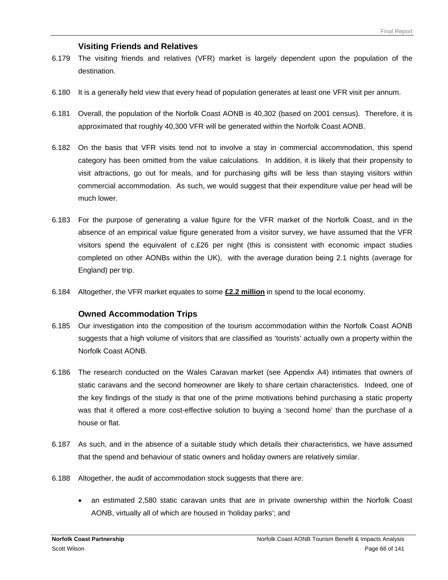## **Visiting Friends and Relatives**

- 6.179 The visiting friends and relatives (VFR) market is largely dependent upon the population of the destination.
- 6.180 It is a generally held view that every head of population generates at least one VFR visit per annum.
- 6.181 Overall, the population of the Norfolk Coast AONB is 40,302 (based on 2001 census). Therefore, it is approximated that roughly 40,300 VFR will be generated within the Norfolk Coast AONB.
- 6.182 On the basis that VFR visits tend not to involve a stay in commercial accommodation, this spend category has been omitted from the value calculations. In addition, it is likely that their propensity to visit attractions, go out for meals, and for purchasing gifts will be less than staying visitors within commercial accommodation. As such, we would suggest that their expenditure value per head will be much lower.
- 6.183 For the purpose of generating a value figure for the VFR market of the Norfolk Coast, and in the absence of an empirical value figure generated from a visitor survey, we have assumed that the VFR visitors spend the equivalent of c.£26 per night (this is consistent with economic impact studies completed on other AONBs within the UK), with the average duration being 2.1 nights (average for England) per trip.
- 6.184 Altogether, the VFR market equates to some **£2.2 million** in spend to the local economy.

#### **Owned Accommodation Trips**

- 6.185 Our investigation into the composition of the tourism accommodation within the Norfolk Coast AONB suggests that a high volume of visitors that are classified as 'tourists' actually own a property within the Norfolk Coast AONB.
- 6.186 The research conducted on the Wales Caravan market (see Appendix A4) intimates that owners of static caravans and the second homeowner are likely to share certain characteristics. Indeed, one of the key findings of the study is that one of the prime motivations behind purchasing a static property was that it offered a more cost-effective solution to buying a 'second home' than the purchase of a house or flat.
- 6.187 As such, and in the absence of a suitable study which details their characteristics, we have assumed that the spend and behaviour of static owners and holiday owners are relatively similar.
- 6.188 Altogether, the audit of accommodation stock suggests that there are:
	- an estimated 2,580 static caravan units that are in private ownership within the Norfolk Coast AONB, virtually all of which are housed in 'holiday parks'; and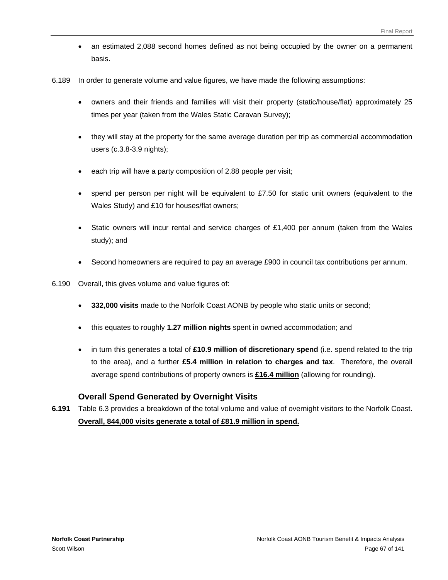- an estimated 2,088 second homes defined as not being occupied by the owner on a permanent basis.
- 6.189 In order to generate volume and value figures, we have made the following assumptions:
	- owners and their friends and families will visit their property (static/house/flat) approximately 25 times per year (taken from the Wales Static Caravan Survey);
	- they will stay at the property for the same average duration per trip as commercial accommodation users (c.3.8-3.9 nights);
	- each trip will have a party composition of 2.88 people per visit;
	- spend per person per night will be equivalent to  $£7.50$  for static unit owners (equivalent to the Wales Study) and £10 for houses/flat owners;
	- Static owners will incur rental and service charges of £1,400 per annum (taken from the Wales study); and
	- Second homeowners are required to pay an average £900 in council tax contributions per annum.
- 6.190 Overall, this gives volume and value figures of:
	- **332,000 visits** made to the Norfolk Coast AONB by people who static units or second;
	- this equates to roughly **1.27 million nights** spent in owned accommodation; and
	- in turn this generates a total of **£10.9 million of discretionary spend** (i.e. spend related to the trip to the area), and a further **£5.4 million in relation to charges and tax**. Therefore, the overall average spend contributions of property owners is **£16.4 million** (allowing for rounding).

## **Overall Spend Generated by Overnight Visits**

**6.191** Table 6.3 provides a breakdown of the total volume and value of overnight visitors to the Norfolk Coast. **Overall, 844,000 visits generate a total of £81.9 million in spend.**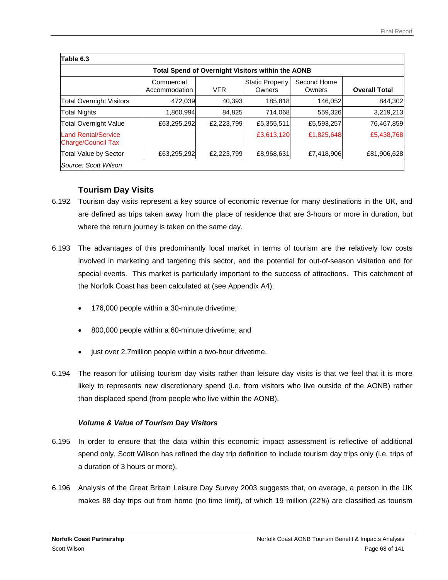| Table 6.3                                               |                             |            |                                  |                       |                      |  |  |
|---------------------------------------------------------|-----------------------------|------------|----------------------------------|-----------------------|----------------------|--|--|
| Total Spend of Overnight Visitors within the AONB       |                             |            |                                  |                       |                      |  |  |
|                                                         | Commercial<br>Accommodation | <b>VFR</b> | <b>Static Property</b><br>Owners | Second Home<br>Owners | <b>Overall Total</b> |  |  |
| <b>Total Overnight Visitors</b>                         | 472,039                     | 40,393     | 185,818                          | 146,052               | 844,302              |  |  |
| <b>Total Nights</b>                                     | 1,860,994                   | 84,825     | 714,068                          | 559,326               | 3,219,213            |  |  |
| <b>Total Overnight Value</b>                            | £63,295,292                 | £2,223,799 | £5,355,511                       | £5,593,257            | 76,467,859           |  |  |
| <b>Land Rental/Service</b><br><b>Charge/Council Tax</b> |                             |            | £3,613,120                       | £1,825,648            | £5,438,768           |  |  |
| <b>Total Value by Sector</b>                            | £63,295,292                 | £2,223,799 | £8,968,631                       | £7,418,906            | £81,906,628          |  |  |
| Source: Scott Wilson                                    |                             |            |                                  |                       |                      |  |  |

# **Tourism Day Visits**

- 6.192 Tourism day visits represent a key source of economic revenue for many destinations in the UK, and are defined as trips taken away from the place of residence that are 3-hours or more in duration, but where the return journey is taken on the same day.
- 6.193 The advantages of this predominantly local market in terms of tourism are the relatively low costs involved in marketing and targeting this sector, and the potential for out-of-season visitation and for special events. This market is particularly important to the success of attractions. This catchment of the Norfolk Coast has been calculated at (see Appendix A4):
	- 176,000 people within a 30-minute drivetime;
	- 800,000 people within a 60-minute drivetime; and
	- just over 2.7 million people within a two-hour drivetime.
- 6.194 The reason for utilising tourism day visits rather than leisure day visits is that we feel that it is more likely to represents new discretionary spend (i.e. from visitors who live outside of the AONB) rather than displaced spend (from people who live within the AONB).

## *Volume & Value of Tourism Day Visitors*

- 6.195 In order to ensure that the data within this economic impact assessment is reflective of additional spend only, Scott Wilson has refined the day trip definition to include tourism day trips only (i.e. trips of a duration of 3 hours or more).
- 6.196 Analysis of the Great Britain Leisure Day Survey 2003 suggests that, on average, a person in the UK makes 88 day trips out from home (no time limit), of which 19 million (22%) are classified as tourism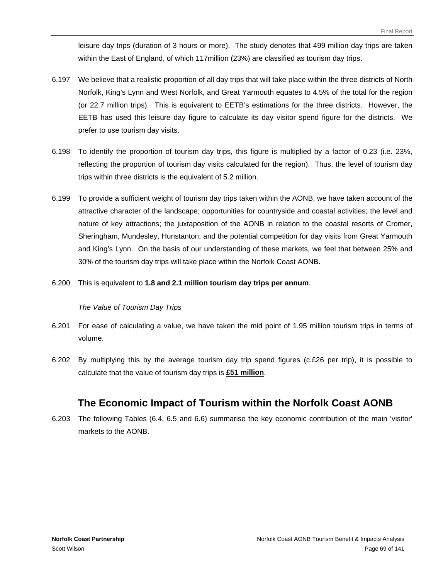leisure day trips (duration of 3 hours or more). The study denotes that 499 million day trips are taken within the East of England, of which 117million (23%) are classified as tourism day trips.

- 6.197 We believe that a realistic proportion of all day trips that will take place within the three districts of North Norfolk, King's Lynn and West Norfolk, and Great Yarmouth equates to 4.5% of the total for the region (or 22.7 million trips). This is equivalent to EETB's estimations for the three districts. However, the EETB has used this leisure day figure to calculate its day visitor spend figure for the districts. We prefer to use tourism day visits.
- 6.198 To identify the proportion of tourism day trips, this figure is multiplied by a factor of 0.23 (i.e. 23%, reflecting the proportion of tourism day visits calculated for the region). Thus, the level of tourism day trips within three districts is the equivalent of 5.2 million.
- 6.199 To provide a sufficient weight of tourism day trips taken within the AONB, we have taken account of the attractive character of the landscape; opportunities for countryside and coastal activities; the level and nature of key attractions; the juxtaposition of the AONB in relation to the coastal resorts of Cromer, Sheringham, Mundesley, Hunstanton; and the potential competition for day visits from Great Yarmouth and King's Lynn. On the basis of our understanding of these markets, we feel that between 25% and 30% of the tourism day trips will take place within the Norfolk Coast AONB.
- 6.200 This is equivalent to **1.8 and 2.1 million tourism day trips per annum**.

#### *The Value of Tourism Day Trips*

- 6.201 For ease of calculating a value, we have taken the mid point of 1.95 million tourism trips in terms of volume.
- 6.202 By multiplying this by the average tourism day trip spend figures (c.£26 per trip), it is possible to calculate that the value of tourism day trips is **£51 million**.

# **The Economic Impact of Tourism within the Norfolk Coast AONB**

6.203 The following Tables (6.4, 6.5 and 6.6) summarise the key economic contribution of the main 'visitor' markets to the AONB.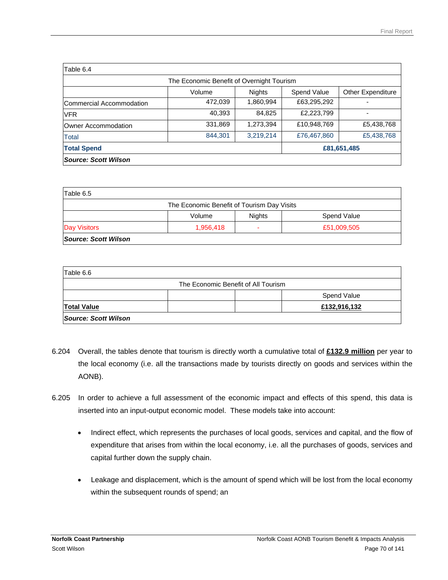| Table 6.4                |                                           |               |             |                          |
|--------------------------|-------------------------------------------|---------------|-------------|--------------------------|
|                          | The Economic Benefit of Overnight Tourism |               |             |                          |
|                          | Volume                                    | <b>Nights</b> | Spend Value | <b>Other Expenditure</b> |
| Commercial Accommodation | 472,039                                   | 1,860,994     | £63,295,292 |                          |
| <b>VFR</b>               | 40,393                                    | 84,825        | £2,223,799  | ۰                        |
| Owner Accommodation      | 331,869                                   | 1,273,394     | £10,948,769 | £5,438,768               |
| Total                    | 844,301                                   | 3,219,214     | £76,467,860 | £5,438,768               |
| <b>Total Spend</b>       |                                           | £81,651,485   |             |                          |
| Source: Scott Wilson     |                                           |               |             |                          |

| Table 6.5            |                                            |               |             |
|----------------------|--------------------------------------------|---------------|-------------|
|                      | The Economic Benefit of Tourism Day Visits |               |             |
|                      | Volume                                     | <b>Nights</b> | Spend Value |
| <b>Day Visitors</b>  | 1,956,418                                  | -             | £51,009,505 |
| Source: Scott Wilson |                                            |               |             |

| Table 6.6            |                                     |              |
|----------------------|-------------------------------------|--------------|
|                      | The Economic Benefit of All Tourism |              |
|                      |                                     | Spend Value  |
| <b>Total Value</b>   |                                     | £132,916,132 |
| Source: Scott Wilson |                                     |              |

- 6.204 Overall, the tables denote that tourism is directly worth a cumulative total of **£132.9 million** per year to the local economy (i.e. all the transactions made by tourists directly on goods and services within the AONB).
- 6.205 In order to achieve a full assessment of the economic impact and effects of this spend, this data is inserted into an input-output economic model. These models take into account:
	- Indirect effect, which represents the purchases of local goods, services and capital, and the flow of expenditure that arises from within the local economy, i.e. all the purchases of goods, services and capital further down the supply chain.
	- Leakage and displacement, which is the amount of spend which will be lost from the local economy within the subsequent rounds of spend; an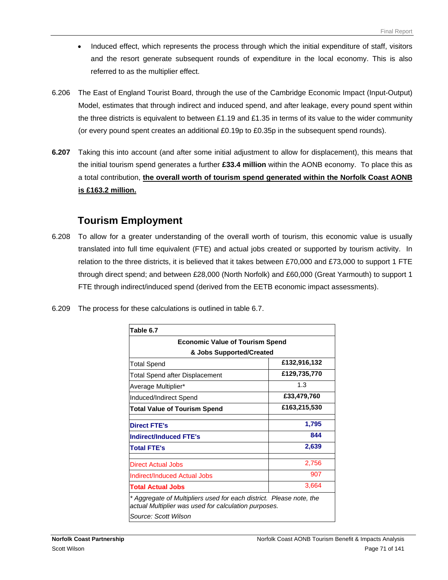- Induced effect, which represents the process through which the initial expenditure of staff, visitors and the resort generate subsequent rounds of expenditure in the local economy. This is also referred to as the multiplier effect.
- 6.206 The East of England Tourist Board, through the use of the Cambridge Economic Impact (Input-Output) Model, estimates that through indirect and induced spend, and after leakage, every pound spent within the three districts is equivalent to between £1.19 and £1.35 in terms of its value to the wider community (or every pound spent creates an additional £0.19p to £0.35p in the subsequent spend rounds).
- **6.207** Taking this into account (and after some initial adjustment to allow for displacement), this means that the initial tourism spend generates a further **£33.4 million** within the AONB economy. To place this as a total contribution, **the overall worth of tourism spend generated within the Norfolk Coast AONB is £163.2 million.**

# **Tourism Employment**

- 6.208 To allow for a greater understanding of the overall worth of tourism, this economic value is usually translated into full time equivalent (FTE) and actual jobs created or supported by tourism activity. In relation to the three districts, it is believed that it takes between £70,000 and £73,000 to support 1 FTE through direct spend; and between £28,000 (North Norfolk) and £60,000 (Great Yarmouth) to support 1 FTE through indirect/induced spend (derived from the EETB economic impact assessments).
- 6.209 The process for these calculations is outlined in table 6.7.

| Table 6.7                                                                                                                   |              |
|-----------------------------------------------------------------------------------------------------------------------------|--------------|
| <b>Economic Value of Tourism Spend</b><br>& Jobs Supported/Created                                                          |              |
|                                                                                                                             |              |
| <b>Total Spend after Displacement</b>                                                                                       | £129,735,770 |
| Average Multiplier*                                                                                                         | 1.3          |
| Induced/Indirect Spend                                                                                                      | £33,479,760  |
| Total Value of Tourism Spend                                                                                                | £163,215,530 |
| <b>Direct FTE's</b>                                                                                                         | 1,795        |
| <b>Indirect/Induced FTE's</b>                                                                                               | 844          |
| <b>Total FTE's</b>                                                                                                          | 2,639        |
| Direct Actual Jobs                                                                                                          | 2,756        |
| <b>Indirect/Induced Actual Jobs</b>                                                                                         | 907          |
| <b>Total Actual Jobs</b>                                                                                                    | 3,664        |
| * Aggregate of Multipliers used for each district. Please note, the<br>actual Multiplier was used for calculation purposes. |              |
| Source: Scott Wilson                                                                                                        |              |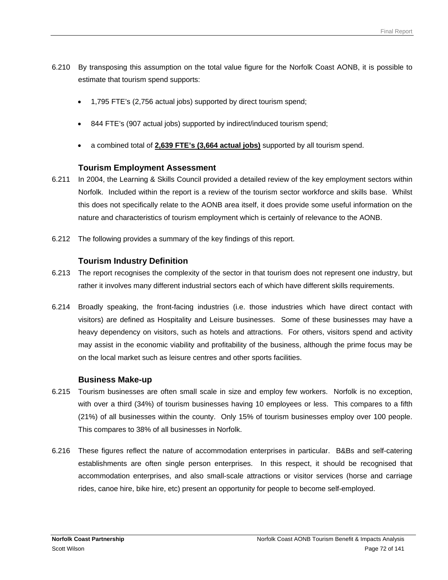- 6.210 By transposing this assumption on the total value figure for the Norfolk Coast AONB, it is possible to estimate that tourism spend supports:
	- 1,795 FTE's (2,756 actual jobs) supported by direct tourism spend;
	- 844 FTE's (907 actual jobs) supported by indirect/induced tourism spend;
	- a combined total of **2,639 FTE's (3,664 actual jobs)** supported by all tourism spend.

# **Tourism Employment Assessment**

- 6.211 In 2004, the Learning & Skills Council provided a detailed review of the key employment sectors within Norfolk. Included within the report is a review of the tourism sector workforce and skills base. Whilst this does not specifically relate to the AONB area itself, it does provide some useful information on the nature and characteristics of tourism employment which is certainly of relevance to the AONB.
- 6.212 The following provides a summary of the key findings of this report.

# **Tourism Industry Definition**

- 6.213 The report recognises the complexity of the sector in that tourism does not represent one industry, but rather it involves many different industrial sectors each of which have different skills requirements.
- 6.214 Broadly speaking, the front-facing industries (i.e. those industries which have direct contact with visitors) are defined as Hospitality and Leisure businesses. Some of these businesses may have a heavy dependency on visitors, such as hotels and attractions. For others, visitors spend and activity may assist in the economic viability and profitability of the business, although the prime focus may be on the local market such as leisure centres and other sports facilities.

# **Business Make-up**

- 6.215 Tourism businesses are often small scale in size and employ few workers. Norfolk is no exception, with over a third (34%) of tourism businesses having 10 employees or less. This compares to a fifth (21%) of all businesses within the county. Only 15% of tourism businesses employ over 100 people. This compares to 38% of all businesses in Norfolk.
- 6.216 These figures reflect the nature of accommodation enterprises in particular. B&Bs and self-catering establishments are often single person enterprises. In this respect, it should be recognised that accommodation enterprises, and also small-scale attractions or visitor services (horse and carriage rides, canoe hire, bike hire, etc) present an opportunity for people to become self-employed.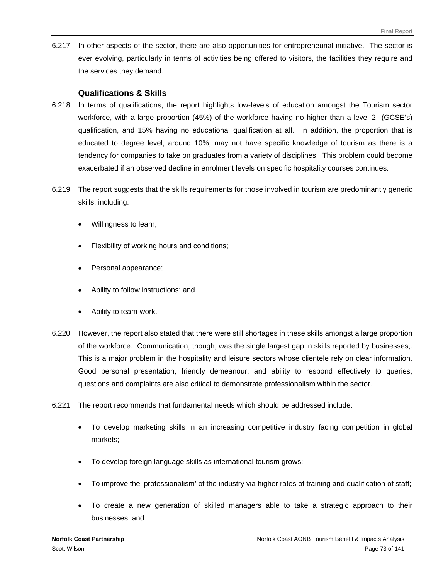6.217 In other aspects of the sector, there are also opportunities for entrepreneurial initiative. The sector is ever evolving, particularly in terms of activities being offered to visitors, the facilities they require and the services they demand.

# **Qualifications & Skills**

- 6.218 In terms of qualifications, the report highlights low-levels of education amongst the Tourism sector workforce, with a large proportion (45%) of the workforce having no higher than a level 2 (GCSE's) qualification, and 15% having no educational qualification at all. In addition, the proportion that is educated to degree level, around 10%, may not have specific knowledge of tourism as there is a tendency for companies to take on graduates from a variety of disciplines. This problem could become exacerbated if an observed decline in enrolment levels on specific hospitality courses continues.
- 6.219 The report suggests that the skills requirements for those involved in tourism are predominantly generic skills, including:
	- Willingness to learn;
	- Flexibility of working hours and conditions;
	- Personal appearance;
	- Ability to follow instructions; and
	- Ability to team-work.
- 6.220 However, the report also stated that there were still shortages in these skills amongst a large proportion of the workforce. Communication, though, was the single largest gap in skills reported by businesses,. This is a major problem in the hospitality and leisure sectors whose clientele rely on clear information. Good personal presentation, friendly demeanour, and ability to respond effectively to queries, questions and complaints are also critical to demonstrate professionalism within the sector.
- 6.221 The report recommends that fundamental needs which should be addressed include:
	- To develop marketing skills in an increasing competitive industry facing competition in global markets;
	- To develop foreign language skills as international tourism grows;
	- To improve the 'professionalism' of the industry via higher rates of training and qualification of staff;
	- To create a new generation of skilled managers able to take a strategic approach to their businesses; and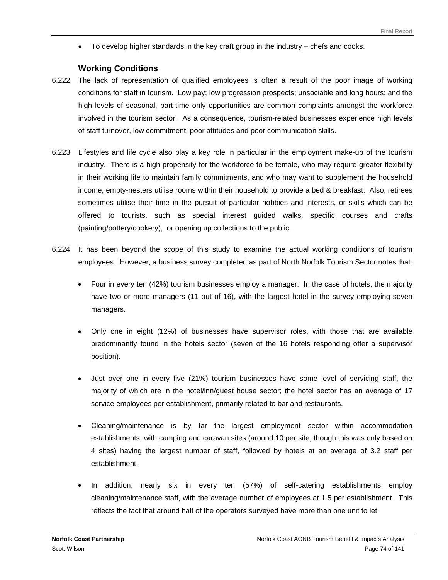• To develop higher standards in the key craft group in the industry – chefs and cooks.

# **Working Conditions**

- 6.222 The lack of representation of qualified employees is often a result of the poor image of working conditions for staff in tourism. Low pay; low progression prospects; unsociable and long hours; and the high levels of seasonal, part-time only opportunities are common complaints amongst the workforce involved in the tourism sector. As a consequence, tourism-related businesses experience high levels of staff turnover, low commitment, poor attitudes and poor communication skills.
- 6.223 Lifestyles and life cycle also play a key role in particular in the employment make-up of the tourism industry. There is a high propensity for the workforce to be female, who may require greater flexibility in their working life to maintain family commitments, and who may want to supplement the household income; empty-nesters utilise rooms within their household to provide a bed & breakfast. Also, retirees sometimes utilise their time in the pursuit of particular hobbies and interests, or skills which can be offered to tourists, such as special interest guided walks, specific courses and crafts (painting/pottery/cookery), or opening up collections to the public.
- 6.224 It has been beyond the scope of this study to examine the actual working conditions of tourism employees. However, a business survey completed as part of North Norfolk Tourism Sector notes that:
	- Four in every ten (42%) tourism businesses employ a manager. In the case of hotels, the majority have two or more managers (11 out of 16), with the largest hotel in the survey employing seven managers.
	- Only one in eight (12%) of businesses have supervisor roles, with those that are available predominantly found in the hotels sector (seven of the 16 hotels responding offer a supervisor position).
	- Just over one in every five (21%) tourism businesses have some level of servicing staff, the majority of which are in the hotel/inn/guest house sector; the hotel sector has an average of 17 service employees per establishment, primarily related to bar and restaurants.
	- Cleaning/maintenance is by far the largest employment sector within accommodation establishments, with camping and caravan sites (around 10 per site, though this was only based on 4 sites) having the largest number of staff, followed by hotels at an average of 3.2 staff per establishment.
	- In addition, nearly six in every ten (57%) of self-catering establishments employ cleaning/maintenance staff, with the average number of employees at 1.5 per establishment. This reflects the fact that around half of the operators surveyed have more than one unit to let.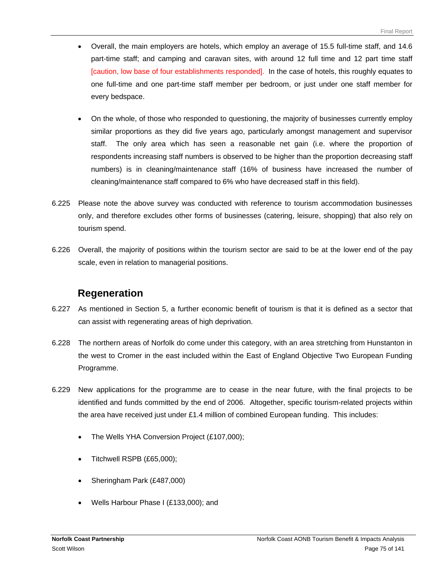- Overall, the main employers are hotels, which employ an average of 15.5 full-time staff, and 14.6 part-time staff; and camping and caravan sites, with around 12 full time and 12 part time staff [caution, low base of four establishments responded]. In the case of hotels, this roughly equates to one full-time and one part-time staff member per bedroom, or just under one staff member for every bedspace.
- On the whole, of those who responded to questioning, the majority of businesses currently employ similar proportions as they did five years ago, particularly amongst management and supervisor staff. The only area which has seen a reasonable net gain (i.e. where the proportion of respondents increasing staff numbers is observed to be higher than the proportion decreasing staff numbers) is in cleaning/maintenance staff (16% of business have increased the number of cleaning/maintenance staff compared to 6% who have decreased staff in this field).
- 6.225 Please note the above survey was conducted with reference to tourism accommodation businesses only, and therefore excludes other forms of businesses (catering, leisure, shopping) that also rely on tourism spend.
- 6.226 Overall, the majority of positions within the tourism sector are said to be at the lower end of the pay scale, even in relation to managerial positions.

# **Regeneration**

- 6.227 As mentioned in Section 5, a further economic benefit of tourism is that it is defined as a sector that can assist with regenerating areas of high deprivation.
- 6.228 The northern areas of Norfolk do come under this category, with an area stretching from Hunstanton in the west to Cromer in the east included within the East of England Objective Two European Funding Programme.
- 6.229 New applications for the programme are to cease in the near future, with the final projects to be identified and funds committed by the end of 2006. Altogether, specific tourism-related projects within the area have received just under £1.4 million of combined European funding. This includes:
	- The Wells YHA Conversion Project (£107,000);
	- Titchwell RSPB (£65,000);
	- Sheringham Park (£487,000)
	- Wells Harbour Phase I (£133,000); and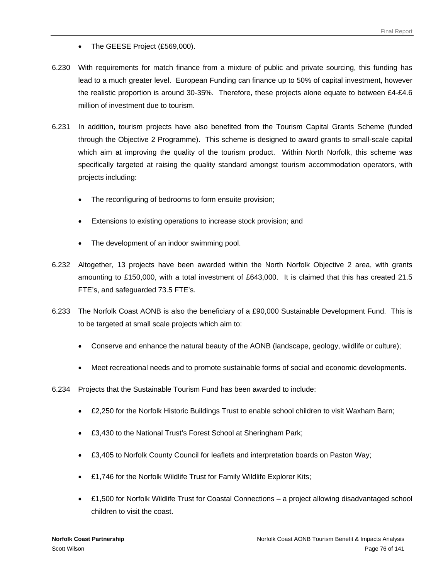- The GEESE Project (£569,000).
- 6.230 With requirements for match finance from a mixture of public and private sourcing, this funding has lead to a much greater level. European Funding can finance up to 50% of capital investment, however the realistic proportion is around 30-35%. Therefore, these projects alone equate to between £4-£4.6 million of investment due to tourism.
- 6.231 In addition, tourism projects have also benefited from the Tourism Capital Grants Scheme (funded through the Objective 2 Programme). This scheme is designed to award grants to small-scale capital which aim at improving the quality of the tourism product. Within North Norfolk, this scheme was specifically targeted at raising the quality standard amongst tourism accommodation operators, with projects including:
	- The reconfiguring of bedrooms to form ensuite provision;
	- Extensions to existing operations to increase stock provision; and
	- The development of an indoor swimming pool.
- 6.232 Altogether, 13 projects have been awarded within the North Norfolk Objective 2 area, with grants amounting to £150,000, with a total investment of £643,000. It is claimed that this has created 21.5 FTE's, and safeguarded 73.5 FTE's.
- 6.233 The Norfolk Coast AONB is also the beneficiary of a £90,000 Sustainable Development Fund. This is to be targeted at small scale projects which aim to:
	- Conserve and enhance the natural beauty of the AONB (landscape, geology, wildlife or culture);
	- Meet recreational needs and to promote sustainable forms of social and economic developments.
- 6.234 Projects that the Sustainable Tourism Fund has been awarded to include:
	- £2,250 for the Norfolk Historic Buildings Trust to enable school children to visit Waxham Barn;
	- £3,430 to the National Trust's Forest School at Sheringham Park;
	- £3,405 to Norfolk County Council for leaflets and interpretation boards on Paston Way;
	- £1,746 for the Norfolk Wildlife Trust for Family Wildlife Explorer Kits;
	- £1,500 for Norfolk Wildlife Trust for Coastal Connections a project allowing disadvantaged school children to visit the coast.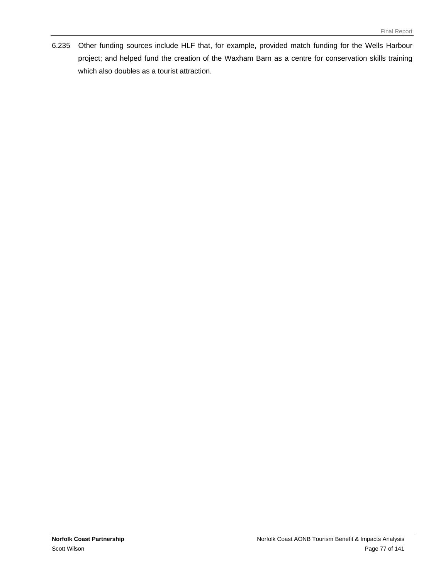6.235 Other funding sources include HLF that, for example, provided match funding for the Wells Harbour project; and helped fund the creation of the Waxham Barn as a centre for conservation skills training which also doubles as a tourist attraction.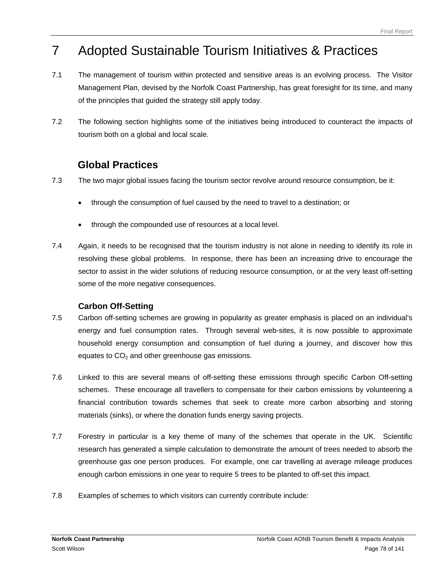# 7 Adopted Sustainable Tourism Initiatives & Practices

- 7.1 The management of tourism within protected and sensitive areas is an evolving process. The Visitor Management Plan, devised by the Norfolk Coast Partnership, has great foresight for its time, and many of the principles that guided the strategy still apply today.
- 7.2 The following section highlights some of the initiatives being introduced to counteract the impacts of tourism both on a global and local scale.

# **Global Practices**

- 7.3 The two major global issues facing the tourism sector revolve around resource consumption, be it:
	- through the consumption of fuel caused by the need to travel to a destination; or
	- through the compounded use of resources at a local level.
- 7.4 Again, it needs to be recognised that the tourism industry is not alone in needing to identify its role in resolving these global problems. In response, there has been an increasing drive to encourage the sector to assist in the wider solutions of reducing resource consumption, or at the very least off-setting some of the more negative consequences.

# **Carbon Off-Setting**

- 7.5 Carbon off-setting schemes are growing in popularity as greater emphasis is placed on an individual's energy and fuel consumption rates. Through several web-sites, it is now possible to approximate household energy consumption and consumption of fuel during a journey, and discover how this equates to  $CO<sub>2</sub>$  and other greenhouse gas emissions.
- 7.6 Linked to this are several means of off-setting these emissions through specific Carbon Off-setting schemes. These encourage all travellers to compensate for their carbon emissions by volunteering a financial contribution towards schemes that seek to create more carbon absorbing and storing materials (sinks), or where the donation funds energy saving projects.
- 7.7 Forestry in particular is a key theme of many of the schemes that operate in the UK. Scientific research has generated a simple calculation to demonstrate the amount of trees needed to absorb the greenhouse gas one person produces. For example, one car travelling at average mileage produces enough carbon emissions in one year to require 5 trees to be planted to off-set this impact.
- 7.8 Examples of schemes to which visitors can currently contribute include: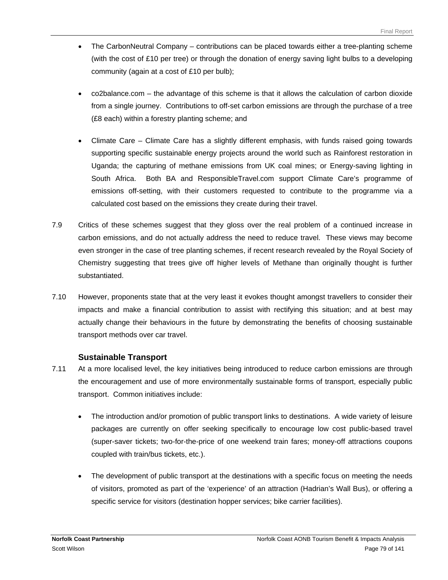- The CarbonNeutral Company contributions can be placed towards either a tree-planting scheme (with the cost of £10 per tree) or through the donation of energy saving light bulbs to a developing community (again at a cost of £10 per bulb);
- co2balance.com the advantage of this scheme is that it allows the calculation of carbon dioxide from a single journey. Contributions to off-set carbon emissions are through the purchase of a tree (£8 each) within a forestry planting scheme; and
- Climate Care Climate Care has a slightly different emphasis, with funds raised going towards supporting specific sustainable energy projects around the world such as Rainforest restoration in Uganda; the capturing of methane emissions from UK coal mines; or Energy-saving lighting in South Africa. Both BA and ResponsibleTravel.com support Climate Care's programme of emissions off-setting, with their customers requested to contribute to the programme via a calculated cost based on the emissions they create during their travel.
- 7.9 Critics of these schemes suggest that they gloss over the real problem of a continued increase in carbon emissions, and do not actually address the need to reduce travel. These views may become even stronger in the case of tree planting schemes, if recent research revealed by the Royal Society of Chemistry suggesting that trees give off higher levels of Methane than originally thought is further substantiated.
- 7.10 However, proponents state that at the very least it evokes thought amongst travellers to consider their impacts and make a financial contribution to assist with rectifying this situation; and at best may actually change their behaviours in the future by demonstrating the benefits of choosing sustainable transport methods over car travel.

# **Sustainable Transport**

- 7.11 At a more localised level, the key initiatives being introduced to reduce carbon emissions are through the encouragement and use of more environmentally sustainable forms of transport, especially public transport. Common initiatives include:
	- The introduction and/or promotion of public transport links to destinations. A wide variety of leisure packages are currently on offer seeking specifically to encourage low cost public-based travel (super-saver tickets; two-for-the-price of one weekend train fares; money-off attractions coupons coupled with train/bus tickets, etc.).
	- The development of public transport at the destinations with a specific focus on meeting the needs of visitors, promoted as part of the 'experience' of an attraction (Hadrian's Wall Bus), or offering a specific service for visitors (destination hopper services; bike carrier facilities).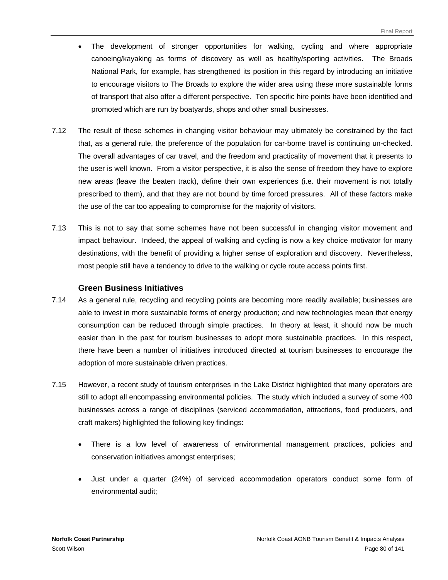- The development of stronger opportunities for walking, cycling and where appropriate canoeing/kayaking as forms of discovery as well as healthy/sporting activities. The Broads National Park, for example, has strengthened its position in this regard by introducing an initiative to encourage visitors to The Broads to explore the wider area using these more sustainable forms of transport that also offer a different perspective. Ten specific hire points have been identified and promoted which are run by boatyards, shops and other small businesses.
- 7.12 The result of these schemes in changing visitor behaviour may ultimately be constrained by the fact that, as a general rule, the preference of the population for car-borne travel is continuing un-checked. The overall advantages of car travel, and the freedom and practicality of movement that it presents to the user is well known. From a visitor perspective, it is also the sense of freedom they have to explore new areas (leave the beaten track), define their own experiences (i.e. their movement is not totally prescribed to them), and that they are not bound by time forced pressures. All of these factors make the use of the car too appealing to compromise for the majority of visitors.
- 7.13 This is not to say that some schemes have not been successful in changing visitor movement and impact behaviour. Indeed, the appeal of walking and cycling is now a key choice motivator for many destinations, with the benefit of providing a higher sense of exploration and discovery. Nevertheless, most people still have a tendency to drive to the walking or cycle route access points first.

#### **Green Business Initiatives**

- 7.14 As a general rule, recycling and recycling points are becoming more readily available; businesses are able to invest in more sustainable forms of energy production; and new technologies mean that energy consumption can be reduced through simple practices. In theory at least, it should now be much easier than in the past for tourism businesses to adopt more sustainable practices. In this respect, there have been a number of initiatives introduced directed at tourism businesses to encourage the adoption of more sustainable driven practices.
- 7.15 However, a recent study of tourism enterprises in the Lake District highlighted that many operators are still to adopt all encompassing environmental policies. The study which included a survey of some 400 businesses across a range of disciplines (serviced accommodation, attractions, food producers, and craft makers) highlighted the following key findings:
	- There is a low level of awareness of environmental management practices, policies and conservation initiatives amongst enterprises;
	- Just under a quarter (24%) of serviced accommodation operators conduct some form of environmental audit;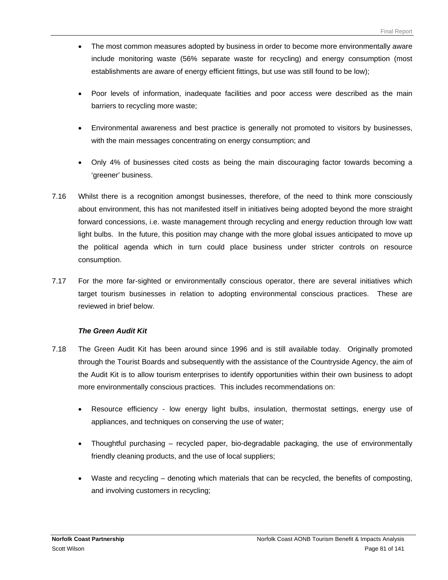- The most common measures adopted by business in order to become more environmentally aware include monitoring waste (56% separate waste for recycling) and energy consumption (most establishments are aware of energy efficient fittings, but use was still found to be low);
- Poor levels of information, inadequate facilities and poor access were described as the main barriers to recycling more waste;
- Environmental awareness and best practice is generally not promoted to visitors by businesses, with the main messages concentrating on energy consumption; and
- Only 4% of businesses cited costs as being the main discouraging factor towards becoming a 'greener' business.
- 7.16 Whilst there is a recognition amongst businesses, therefore, of the need to think more consciously about environment, this has not manifested itself in initiatives being adopted beyond the more straight forward concessions, i.e. waste management through recycling and energy reduction through low watt light bulbs. In the future, this position may change with the more global issues anticipated to move up the political agenda which in turn could place business under stricter controls on resource consumption.
- 7.17 For the more far-sighted or environmentally conscious operator, there are several initiatives which target tourism businesses in relation to adopting environmental conscious practices. These are reviewed in brief below.

#### *The Green Audit Kit*

- 7.18 The Green Audit Kit has been around since 1996 and is still available today. Originally promoted through the Tourist Boards and subsequently with the assistance of the Countryside Agency, the aim of the Audit Kit is to allow tourism enterprises to identify opportunities within their own business to adopt more environmentally conscious practices. This includes recommendations on:
	- Resource efficiency low energy light bulbs, insulation, thermostat settings, energy use of appliances, and techniques on conserving the use of water;
	- Thoughtful purchasing recycled paper, bio-degradable packaging, the use of environmentally friendly cleaning products, and the use of local suppliers;
	- Waste and recycling denoting which materials that can be recycled, the benefits of composting, and involving customers in recycling;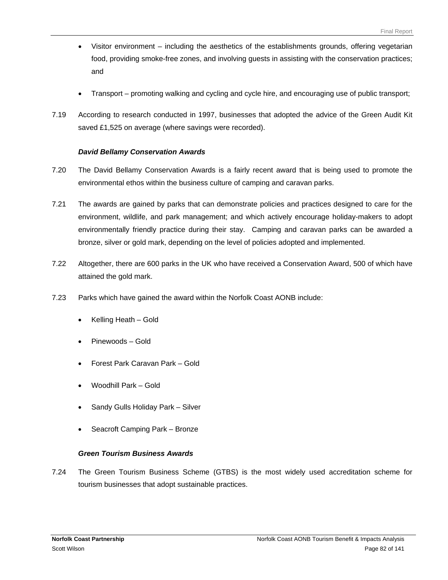- Visitor environment including the aesthetics of the establishments grounds, offering vegetarian food, providing smoke-free zones, and involving guests in assisting with the conservation practices; and
- Transport promoting walking and cycling and cycle hire, and encouraging use of public transport;
- 7.19 According to research conducted in 1997, businesses that adopted the advice of the Green Audit Kit saved £1,525 on average (where savings were recorded).

#### *David Bellamy Conservation Awards*

- 7.20 The David Bellamy Conservation Awards is a fairly recent award that is being used to promote the environmental ethos within the business culture of camping and caravan parks.
- 7.21 The awards are gained by parks that can demonstrate policies and practices designed to care for the environment, wildlife, and park management; and which actively encourage holiday-makers to adopt environmentally friendly practice during their stay. Camping and caravan parks can be awarded a bronze, silver or gold mark, depending on the level of policies adopted and implemented.
- 7.22 Altogether, there are 600 parks in the UK who have received a Conservation Award, 500 of which have attained the gold mark.
- 7.23 Parks which have gained the award within the Norfolk Coast AONB include:
	- Kelling Heath Gold
	- Pinewoods Gold
	- Forest Park Caravan Park Gold
	- Woodhill Park Gold
	- Sandy Gulls Holiday Park Silver
	- Seacroft Camping Park Bronze

#### *Green Tourism Business Awards*

7.24 The Green Tourism Business Scheme (GTBS) is the most widely used accreditation scheme for tourism businesses that adopt sustainable practices.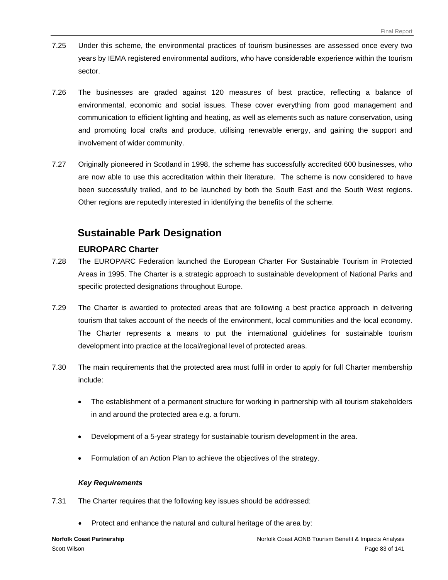- 7.25 Under this scheme, the environmental practices of tourism businesses are assessed once every two years by IEMA registered environmental auditors, who have considerable experience within the tourism sector.
- 7.26 The businesses are graded against 120 measures of best practice, reflecting a balance of environmental, economic and social issues. These cover everything from good management and communication to efficient lighting and heating, as well as elements such as nature conservation, using and promoting local crafts and produce, utilising renewable energy, and gaining the support and involvement of wider community.
- 7.27 Originally pioneered in Scotland in 1998, the scheme has successfully accredited 600 businesses, who are now able to use this accreditation within their literature. The scheme is now considered to have been successfully trailed, and to be launched by both the South East and the South West regions. Other regions are reputedly interested in identifying the benefits of the scheme.

# **Sustainable Park Designation**

# **EUROPARC Charter**

- 7.28 The EUROPARC Federation launched the European Charter For Sustainable Tourism in Protected Areas in 1995. The Charter is a strategic approach to sustainable development of National Parks and specific protected designations throughout Europe.
- 7.29 The Charter is awarded to protected areas that are following a best practice approach in delivering tourism that takes account of the needs of the environment, local communities and the local economy. The Charter represents a means to put the international guidelines for sustainable tourism development into practice at the local/regional level of protected areas.
- 7.30 The main requirements that the protected area must fulfil in order to apply for full Charter membership include:
	- The establishment of a permanent structure for working in partnership with all tourism stakeholders in and around the protected area e.g. a forum.
	- Development of a 5-year strategy for sustainable tourism development in the area.
	- Formulation of an Action Plan to achieve the objectives of the strategy.

#### *Key Requirements*

- 7.31 The Charter requires that the following key issues should be addressed:
	- Protect and enhance the natural and cultural heritage of the area by: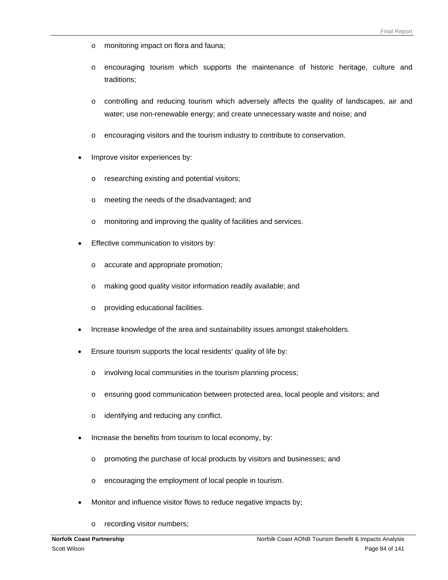- o monitoring impact on flora and fauna;
- o encouraging tourism which supports the maintenance of historic heritage, culture and traditions;
- o controlling and reducing tourism which adversely affects the quality of landscapes, air and water; use non-renewable energy; and create unnecessary waste and noise; and
- o encouraging visitors and the tourism industry to contribute to conservation.
- Improve visitor experiences by:
	- o researching existing and potential visitors;
	- o meeting the needs of the disadvantaged; and
	- o monitoring and improving the quality of facilities and services.
- Effective communication to visitors by:
	- o accurate and appropriate promotion;
	- o making good quality visitor information readily available; and
	- o providing educational facilities.
- Increase knowledge of the area and sustainability issues amongst stakeholders.
- Ensure tourism supports the local residents' quality of life by:
	- o involving local communities in the tourism planning process;
	- o ensuring good communication between protected area, local people and visitors; and
	- o identifying and reducing any conflict.
- Increase the benefits from tourism to local economy, by:
	- o promoting the purchase of local products by visitors and businesses; and
	- o encouraging the employment of local people in tourism.
- Monitor and influence visitor flows to reduce negative impacts by;
	- o recording visitor numbers;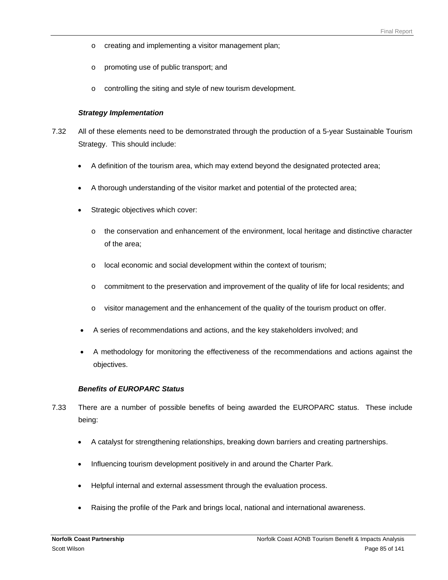- o creating and implementing a visitor management plan;
- o promoting use of public transport; and
- o controlling the siting and style of new tourism development.

#### *Strategy Implementation*

- 7.32 All of these elements need to be demonstrated through the production of a 5-year Sustainable Tourism Strategy. This should include:
	- A definition of the tourism area, which may extend beyond the designated protected area;
	- A thorough understanding of the visitor market and potential of the protected area;
	- Strategic objectives which cover:
		- $\circ$  the conservation and enhancement of the environment, local heritage and distinctive character of the area;
		- o local economic and social development within the context of tourism;
		- o commitment to the preservation and improvement of the quality of life for local residents; and
		- o visitor management and the enhancement of the quality of the tourism product on offer.
	- A series of recommendations and actions, and the key stakeholders involved; and
	- A methodology for monitoring the effectiveness of the recommendations and actions against the objectives.

#### *Benefits of EUROPARC Status*

- 7.33 There are a number of possible benefits of being awarded the EUROPARC status. These include being:
	- A catalyst for strengthening relationships, breaking down barriers and creating partnerships.
	- Influencing tourism development positively in and around the Charter Park.
	- Helpful internal and external assessment through the evaluation process.
	- Raising the profile of the Park and brings local, national and international awareness.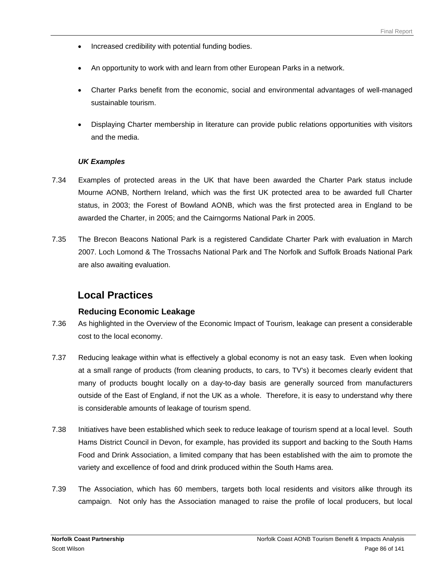- Increased credibility with potential funding bodies.
- An opportunity to work with and learn from other European Parks in a network.
- Charter Parks benefit from the economic, social and environmental advantages of well-managed sustainable tourism.
- Displaying Charter membership in literature can provide public relations opportunities with visitors and the media.

#### *UK Examples*

- 7.34 Examples of protected areas in the UK that have been awarded the Charter Park status include Mourne AONB, Northern Ireland, which was the first UK protected area to be awarded full Charter status, in 2003; the Forest of Bowland AONB, which was the first protected area in England to be awarded the Charter, in 2005; and the Cairngorms National Park in 2005.
- 7.35 The Brecon Beacons National Park is a registered Candidate Charter Park with evaluation in March 2007. Loch Lomond & The Trossachs National Park and The Norfolk and Suffolk Broads National Park are also awaiting evaluation.

# **Local Practices**

# **Reducing Economic Leakage**

- 7.36 As highlighted in the Overview of the Economic Impact of Tourism, leakage can present a considerable cost to the local economy.
- 7.37 Reducing leakage within what is effectively a global economy is not an easy task. Even when looking at a small range of products (from cleaning products, to cars, to TV's) it becomes clearly evident that many of products bought locally on a day-to-day basis are generally sourced from manufacturers outside of the East of England, if not the UK as a whole. Therefore, it is easy to understand why there is considerable amounts of leakage of tourism spend.
- 7.38 Initiatives have been established which seek to reduce leakage of tourism spend at a local level. South Hams District Council in Devon, for example, has provided its support and backing to the South Hams Food and Drink Association, a limited company that has been established with the aim to promote the variety and excellence of food and drink produced within the South Hams area.
- 7.39 The Association, which has 60 members, targets both local residents and visitors alike through its campaign. Not only has the Association managed to raise the profile of local producers, but local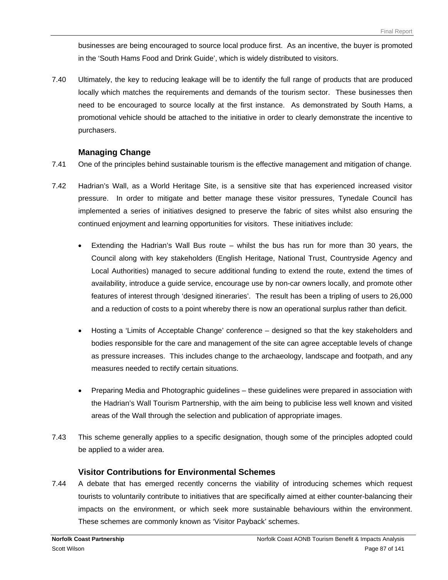businesses are being encouraged to source local produce first. As an incentive, the buyer is promoted in the 'South Hams Food and Drink Guide', which is widely distributed to visitors.

7.40 Ultimately, the key to reducing leakage will be to identify the full range of products that are produced locally which matches the requirements and demands of the tourism sector. These businesses then need to be encouraged to source locally at the first instance. As demonstrated by South Hams, a promotional vehicle should be attached to the initiative in order to clearly demonstrate the incentive to purchasers.

#### **Managing Change**

- 7.41 One of the principles behind sustainable tourism is the effective management and mitigation of change.
- 7.42 Hadrian's Wall, as a World Heritage Site, is a sensitive site that has experienced increased visitor pressure. In order to mitigate and better manage these visitor pressures, Tynedale Council has implemented a series of initiatives designed to preserve the fabric of sites whilst also ensuring the continued enjoyment and learning opportunities for visitors. These initiatives include:
	- Extending the Hadrian's Wall Bus route whilst the bus has run for more than 30 years, the Council along with key stakeholders (English Heritage, National Trust, Countryside Agency and Local Authorities) managed to secure additional funding to extend the route, extend the times of availability, introduce a guide service, encourage use by non-car owners locally, and promote other features of interest through 'designed itineraries'. The result has been a tripling of users to 26,000 and a reduction of costs to a point whereby there is now an operational surplus rather than deficit.
	- Hosting a 'Limits of Acceptable Change' conference designed so that the key stakeholders and bodies responsible for the care and management of the site can agree acceptable levels of change as pressure increases. This includes change to the archaeology, landscape and footpath, and any measures needed to rectify certain situations.
	- Preparing Media and Photographic guidelines these guidelines were prepared in association with the Hadrian's Wall Tourism Partnership, with the aim being to publicise less well known and visited areas of the Wall through the selection and publication of appropriate images.
- 7.43 This scheme generally applies to a specific designation, though some of the principles adopted could be applied to a wider area.

#### **Visitor Contributions for Environmental Schemes**

7.44 A debate that has emerged recently concerns the viability of introducing schemes which request tourists to voluntarily contribute to initiatives that are specifically aimed at either counter-balancing their impacts on the environment, or which seek more sustainable behaviours within the environment. These schemes are commonly known as 'Visitor Payback' schemes.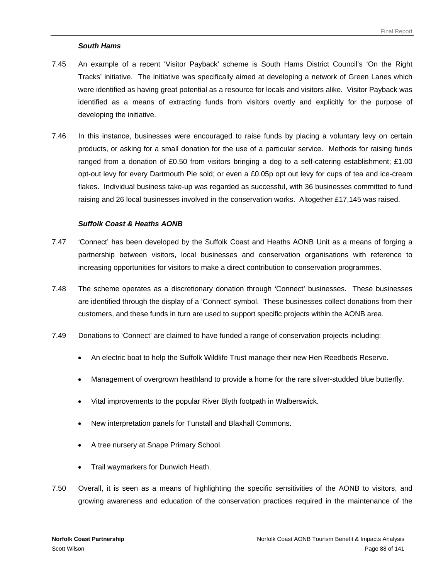#### *South Hams*

- 7.45 An example of a recent 'Visitor Payback' scheme is South Hams District Council's 'On the Right Tracks' initiative. The initiative was specifically aimed at developing a network of Green Lanes which were identified as having great potential as a resource for locals and visitors alike. Visitor Payback was identified as a means of extracting funds from visitors overtly and explicitly for the purpose of developing the initiative.
- 7.46 In this instance, businesses were encouraged to raise funds by placing a voluntary levy on certain products, or asking for a small donation for the use of a particular service. Methods for raising funds ranged from a donation of £0.50 from visitors bringing a dog to a self-catering establishment; £1.00 opt-out levy for every Dartmouth Pie sold; or even a £0.05p opt out levy for cups of tea and ice-cream flakes. Individual business take-up was regarded as successful, with 36 businesses committed to fund raising and 26 local businesses involved in the conservation works. Altogether £17,145 was raised.

#### *Suffolk Coast & Heaths AONB*

- 7.47 'Connect' has been developed by the Suffolk Coast and Heaths AONB Unit as a means of forging a partnership between visitors, local businesses and conservation organisations with reference to increasing opportunities for visitors to make a direct contribution to conservation programmes.
- 7.48 The scheme operates as a discretionary donation through 'Connect' businesses. These businesses are identified through the display of a 'Connect' symbol. These businesses collect donations from their customers, and these funds in turn are used to support specific projects within the AONB area.
- 7.49 Donations to 'Connect' are claimed to have funded a range of conservation projects including:
	- An electric boat to help the Suffolk Wildlife Trust manage their new Hen Reedbeds Reserve.
	- Management of overgrown heathland to provide a home for the rare silver-studded blue butterfly.
	- Vital improvements to the popular River Blyth footpath in Walberswick.
	- New interpretation panels for Tunstall and Blaxhall Commons.
	- A tree nursery at Snape Primary School.
	- Trail waymarkers for Dunwich Heath.
- 7.50 Overall, it is seen as a means of highlighting the specific sensitivities of the AONB to visitors, and growing awareness and education of the conservation practices required in the maintenance of the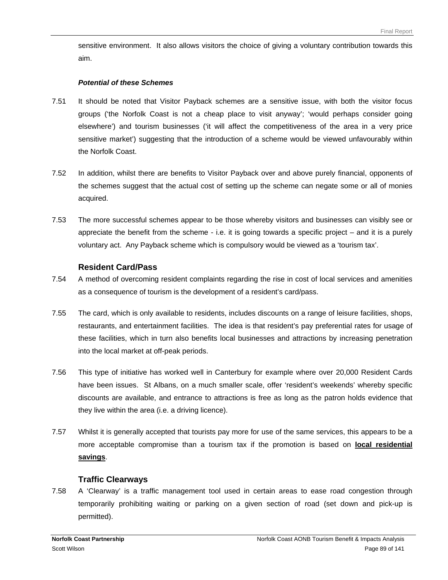sensitive environment. It also allows visitors the choice of giving a voluntary contribution towards this aim.

#### *Potential of these Schemes*

- 7.51 It should be noted that Visitor Payback schemes are a sensitive issue, with both the visitor focus groups ('the Norfolk Coast is not a cheap place to visit anyway'; 'would perhaps consider going elsewhere') and tourism businesses ('it will affect the competitiveness of the area in a very price sensitive market') suggesting that the introduction of a scheme would be viewed unfavourably within the Norfolk Coast.
- 7.52 In addition, whilst there are benefits to Visitor Payback over and above purely financial, opponents of the schemes suggest that the actual cost of setting up the scheme can negate some or all of monies acquired.
- 7.53 The more successful schemes appear to be those whereby visitors and businesses can visibly see or appreciate the benefit from the scheme - i.e. it is going towards a specific project – and it is a purely voluntary act. Any Payback scheme which is compulsory would be viewed as a 'tourism tax'.

# **Resident Card/Pass**

- 7.54 A method of overcoming resident complaints regarding the rise in cost of local services and amenities as a consequence of tourism is the development of a resident's card/pass.
- 7.55 The card, which is only available to residents, includes discounts on a range of leisure facilities, shops, restaurants, and entertainment facilities. The idea is that resident's pay preferential rates for usage of these facilities, which in turn also benefits local businesses and attractions by increasing penetration into the local market at off-peak periods.
- 7.56 This type of initiative has worked well in Canterbury for example where over 20,000 Resident Cards have been issues. St Albans, on a much smaller scale, offer 'resident's weekends' whereby specific discounts are available, and entrance to attractions is free as long as the patron holds evidence that they live within the area (i.e. a driving licence).
- 7.57 Whilst it is generally accepted that tourists pay more for use of the same services, this appears to be a more acceptable compromise than a tourism tax if the promotion is based on **local residential savings**.

# **Traffic Clearways**

7.58 A 'Clearway' is a traffic management tool used in certain areas to ease road congestion through temporarily prohibiting waiting or parking on a given section of road (set down and pick-up is permitted).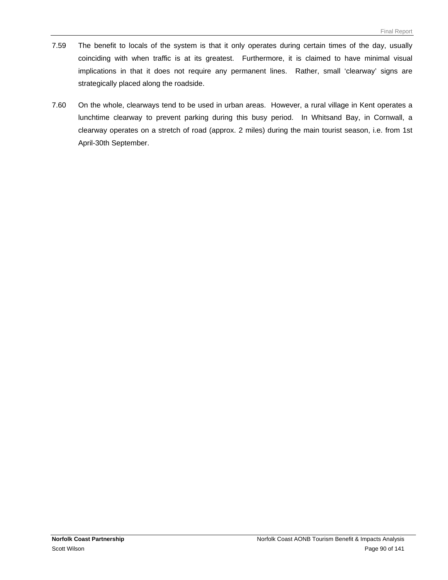- 7.59 The benefit to locals of the system is that it only operates during certain times of the day, usually coinciding with when traffic is at its greatest. Furthermore, it is claimed to have minimal visual implications in that it does not require any permanent lines. Rather, small 'clearway' signs are strategically placed along the roadside.
- 7.60 On the whole, clearways tend to be used in urban areas. However, a rural village in Kent operates a lunchtime clearway to prevent parking during this busy period. In Whitsand Bay, in Cornwall, a clearway operates on a stretch of road (approx. 2 miles) during the main tourist season, i.e. from 1st April-30th September.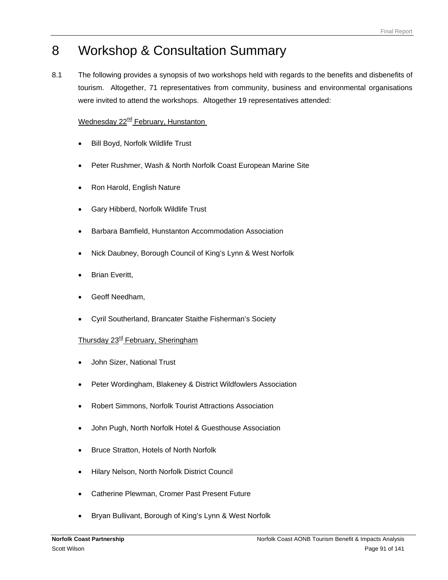# 8 Workshop & Consultation Summary

8.1 The following provides a synopsis of two workshops held with regards to the benefits and disbenefits of tourism. Altogether, 71 representatives from community, business and environmental organisations were invited to attend the workshops. Altogether 19 representatives attended:

# Wednesday 22<sup>nd</sup> February, Hunstanton

- Bill Boyd, Norfolk Wildlife Trust
- Peter Rushmer, Wash & North Norfolk Coast European Marine Site
- Ron Harold, English Nature
- Gary Hibberd, Norfolk Wildlife Trust
- Barbara Bamfield, Hunstanton Accommodation Association
- Nick Daubney, Borough Council of King's Lynn & West Norfolk
- **Brian Everitt,**
- Geoff Needham,
- Cyril Southerland, Brancater Staithe Fisherman's Society

# Thursday 23<sup>rd</sup> February, Sheringham

- John Sizer, National Trust
- Peter Wordingham, Blakeney & District Wildfowlers Association
- Robert Simmons, Norfolk Tourist Attractions Association
- John Pugh, North Norfolk Hotel & Guesthouse Association
- Bruce Stratton, Hotels of North Norfolk
- Hilary Nelson, North Norfolk District Council
- Catherine Plewman, Cromer Past Present Future
- Bryan Bullivant, Borough of King's Lynn & West Norfolk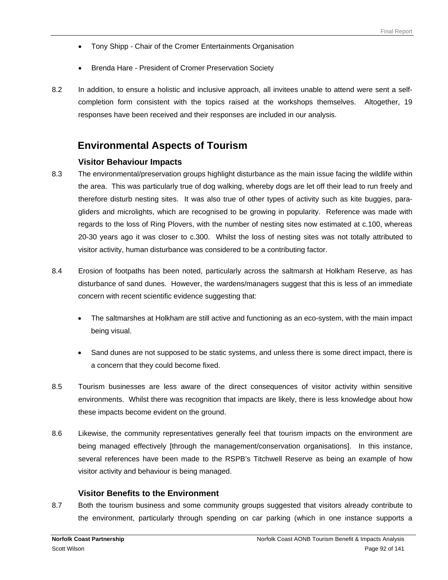- Tony Shipp Chair of the Cromer Entertainments Organisation
- Brenda Hare President of Cromer Preservation Society
- 8.2 In addition, to ensure a holistic and inclusive approach, all invitees unable to attend were sent a selfcompletion form consistent with the topics raised at the workshops themselves. Altogether, 19 responses have been received and their responses are included in our analysis.

# **Environmental Aspects of Tourism**

# **Visitor Behaviour Impacts**

- 8.3 The environmental/preservation groups highlight disturbance as the main issue facing the wildlife within the area. This was particularly true of dog walking, whereby dogs are let off their lead to run freely and therefore disturb nesting sites. It was also true of other types of activity such as kite buggies, paragliders and microlights, which are recognised to be growing in popularity. Reference was made with regards to the loss of Ring Plovers, with the number of nesting sites now estimated at c.100, whereas 20-30 years ago it was closer to c.300. Whilst the loss of nesting sites was not totally attributed to visitor activity, human disturbance was considered to be a contributing factor.
- 8.4 Erosion of footpaths has been noted, particularly across the saltmarsh at Holkham Reserve, as has disturbance of sand dunes. However, the wardens/managers suggest that this is less of an immediate concern with recent scientific evidence suggesting that:
	- The saltmarshes at Holkham are still active and functioning as an eco-system, with the main impact being visual.
	- Sand dunes are not supposed to be static systems, and unless there is some direct impact, there is a concern that they could become fixed.
- 8.5 Tourism businesses are less aware of the direct consequences of visitor activity within sensitive environments. Whilst there was recognition that impacts are likely, there is less knowledge about how these impacts become evident on the ground.
- 8.6 Likewise, the community representatives generally feel that tourism impacts on the environment are being managed effectively [through the management/conservation organisations]. In this instance, several references have been made to the RSPB's Titchwell Reserve as being an example of how visitor activity and behaviour is being managed.

# **Visitor Benefits to the Environment**

8.7 Both the tourism business and some community groups suggested that visitors already contribute to the environment, particularly through spending on car parking (which in one instance supports a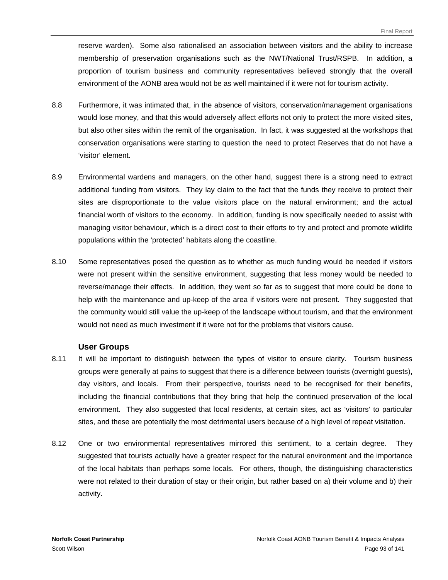reserve warden). Some also rationalised an association between visitors and the ability to increase membership of preservation organisations such as the NWT/National Trust/RSPB. In addition, a proportion of tourism business and community representatives believed strongly that the overall environment of the AONB area would not be as well maintained if it were not for tourism activity.

- 8.8 Furthermore, it was intimated that, in the absence of visitors, conservation/management organisations would lose money, and that this would adversely affect efforts not only to protect the more visited sites, but also other sites within the remit of the organisation. In fact, it was suggested at the workshops that conservation organisations were starting to question the need to protect Reserves that do not have a 'visitor' element.
- 8.9 Environmental wardens and managers, on the other hand, suggest there is a strong need to extract additional funding from visitors. They lay claim to the fact that the funds they receive to protect their sites are disproportionate to the value visitors place on the natural environment; and the actual financial worth of visitors to the economy. In addition, funding is now specifically needed to assist with managing visitor behaviour, which is a direct cost to their efforts to try and protect and promote wildlife populations within the 'protected' habitats along the coastline.
- 8.10 Some representatives posed the question as to whether as much funding would be needed if visitors were not present within the sensitive environment, suggesting that less money would be needed to reverse/manage their effects. In addition, they went so far as to suggest that more could be done to help with the maintenance and up-keep of the area if visitors were not present. They suggested that the community would still value the up-keep of the landscape without tourism, and that the environment would not need as much investment if it were not for the problems that visitors cause.

# **User Groups**

- 8.11 It will be important to distinguish between the types of visitor to ensure clarity. Tourism business groups were generally at pains to suggest that there is a difference between tourists (overnight guests), day visitors, and locals. From their perspective, tourists need to be recognised for their benefits, including the financial contributions that they bring that help the continued preservation of the local environment. They also suggested that local residents, at certain sites, act as 'visitors' to particular sites, and these are potentially the most detrimental users because of a high level of repeat visitation.
- 8.12 One or two environmental representatives mirrored this sentiment, to a certain degree. They suggested that tourists actually have a greater respect for the natural environment and the importance of the local habitats than perhaps some locals. For others, though, the distinguishing characteristics were not related to their duration of stay or their origin, but rather based on a) their volume and b) their activity.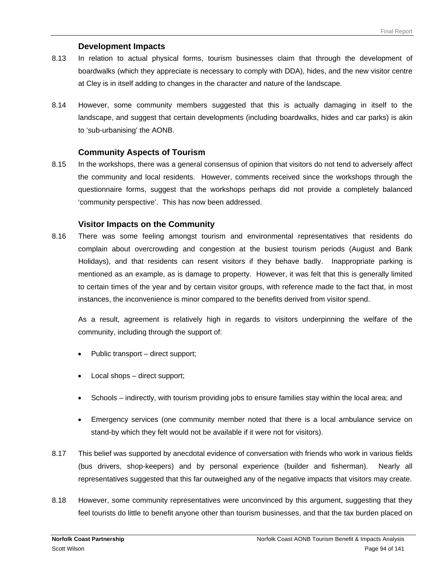#### **Development Impacts**

- 8.13 In relation to actual physical forms, tourism businesses claim that through the development of boardwalks (which they appreciate is necessary to comply with DDA), hides, and the new visitor centre at Cley is in itself adding to changes in the character and nature of the landscape.
- 8.14 However, some community members suggested that this is actually damaging in itself to the landscape, and suggest that certain developments (including boardwalks, hides and car parks) is akin to 'sub-urbanising' the AONB.

#### **Community Aspects of Tourism**

8.15 In the workshops, there was a general consensus of opinion that visitors do not tend to adversely affect the community and local residents. However, comments received since the workshops through the questionnaire forms, suggest that the workshops perhaps did not provide a completely balanced 'community perspective'. This has now been addressed.

#### **Visitor Impacts on the Community**

8.16 There was some feeling amongst tourism and environmental representatives that residents do complain about overcrowding and congestion at the busiest tourism periods (August and Bank Holidays), and that residents can resent visitors if they behave badly. Inappropriate parking is mentioned as an example, as is damage to property. However, it was felt that this is generally limited to certain times of the year and by certain visitor groups, with reference made to the fact that, in most instances, the inconvenience is minor compared to the benefits derived from visitor spend.

As a result, agreement is relatively high in regards to visitors underpinning the welfare of the community, including through the support of:

- Public transport direct support;
- Local shops direct support;
- Schools indirectly, with tourism providing jobs to ensure families stay within the local area; and
- Emergency services (one community member noted that there is a local ambulance service on stand-by which they felt would not be available if it were not for visitors).
- 8.17 This belief was supported by anecdotal evidence of conversation with friends who work in various fields (bus drivers, shop-keepers) and by personal experience (builder and fisherman). Nearly all representatives suggested that this far outweighed any of the negative impacts that visitors may create.
- 8.18 However, some community representatives were unconvinced by this argument, suggesting that they feel tourists do little to benefit anyone other than tourism businesses, and that the tax burden placed on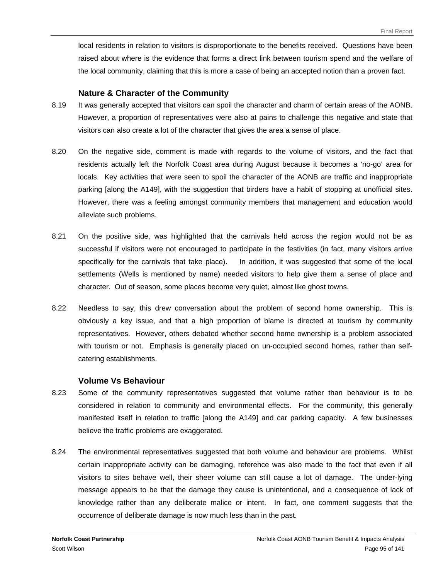local residents in relation to visitors is disproportionate to the benefits received. Questions have been raised about where is the evidence that forms a direct link between tourism spend and the welfare of the local community, claiming that this is more a case of being an accepted notion than a proven fact.

#### **Nature & Character of the Community**

- 8.19 It was generally accepted that visitors can spoil the character and charm of certain areas of the AONB. However, a proportion of representatives were also at pains to challenge this negative and state that visitors can also create a lot of the character that gives the area a sense of place.
- 8.20 On the negative side, comment is made with regards to the volume of visitors, and the fact that residents actually left the Norfolk Coast area during August because it becomes a 'no-go' area for locals. Key activities that were seen to spoil the character of the AONB are traffic and inappropriate parking [along the A149], with the suggestion that birders have a habit of stopping at unofficial sites. However, there was a feeling amongst community members that management and education would alleviate such problems.
- 8.21 On the positive side, was highlighted that the carnivals held across the region would not be as successful if visitors were not encouraged to participate in the festivities (in fact, many visitors arrive specifically for the carnivals that take place). In addition, it was suggested that some of the local settlements (Wells is mentioned by name) needed visitors to help give them a sense of place and character. Out of season, some places become very quiet, almost like ghost towns.
- 8.22 Needless to say, this drew conversation about the problem of second home ownership. This is obviously a key issue, and that a high proportion of blame is directed at tourism by community representatives. However, others debated whether second home ownership is a problem associated with tourism or not. Emphasis is generally placed on un-occupied second homes, rather than selfcatering establishments.

# **Volume Vs Behaviour**

- 8.23 Some of the community representatives suggested that volume rather than behaviour is to be considered in relation to community and environmental effects. For the community, this generally manifested itself in relation to traffic [along the A149] and car parking capacity. A few businesses believe the traffic problems are exaggerated.
- 8.24 The environmental representatives suggested that both volume and behaviour are problems. Whilst certain inappropriate activity can be damaging, reference was also made to the fact that even if all visitors to sites behave well, their sheer volume can still cause a lot of damage. The under-lying message appears to be that the damage they cause is unintentional, and a consequence of lack of knowledge rather than any deliberate malice or intent. In fact, one comment suggests that the occurrence of deliberate damage is now much less than in the past.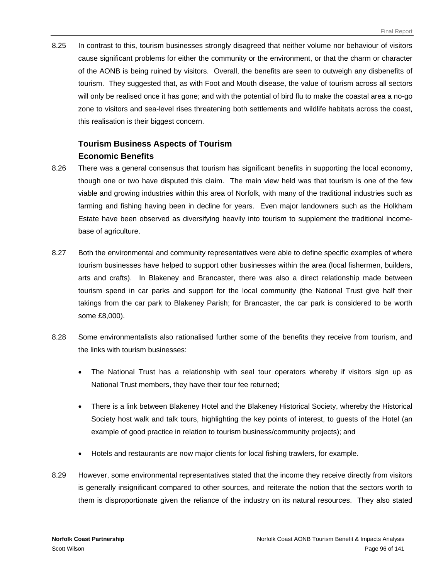8.25 In contrast to this, tourism businesses strongly disagreed that neither volume nor behaviour of visitors cause significant problems for either the community or the environment, or that the charm or character of the AONB is being ruined by visitors. Overall, the benefits are seen to outweigh any disbenefits of tourism. They suggested that, as with Foot and Mouth disease, the value of tourism across all sectors will only be realised once it has gone; and with the potential of bird flu to make the coastal area a no-go zone to visitors and sea-level rises threatening both settlements and wildlife habitats across the coast, this realisation is their biggest concern.

# **Tourism Business Aspects of Tourism Economic Benefits**

- 8.26 There was a general consensus that tourism has significant benefits in supporting the local economy, though one or two have disputed this claim. The main view held was that tourism is one of the few viable and growing industries within this area of Norfolk, with many of the traditional industries such as farming and fishing having been in decline for years. Even major landowners such as the Holkham Estate have been observed as diversifying heavily into tourism to supplement the traditional incomebase of agriculture.
- 8.27 Both the environmental and community representatives were able to define specific examples of where tourism businesses have helped to support other businesses within the area (local fishermen, builders, arts and crafts). In Blakeney and Brancaster, there was also a direct relationship made between tourism spend in car parks and support for the local community (the National Trust give half their takings from the car park to Blakeney Parish; for Brancaster, the car park is considered to be worth some £8,000).
- 8.28 Some environmentalists also rationalised further some of the benefits they receive from tourism, and the links with tourism businesses:
	- The National Trust has a relationship with seal tour operators whereby if visitors sign up as National Trust members, they have their tour fee returned;
	- There is a link between Blakeney Hotel and the Blakeney Historical Society, whereby the Historical Society host walk and talk tours, highlighting the key points of interest, to guests of the Hotel (an example of good practice in relation to tourism business/community projects); and
	- Hotels and restaurants are now major clients for local fishing trawlers, for example.
- 8.29 However, some environmental representatives stated that the income they receive directly from visitors is generally insignificant compared to other sources, and reiterate the notion that the sectors worth to them is disproportionate given the reliance of the industry on its natural resources. They also stated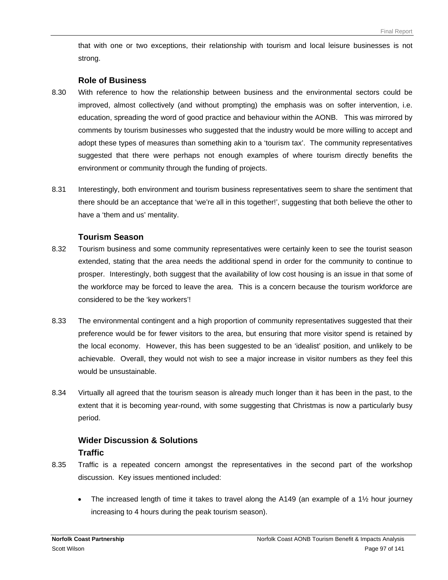that with one or two exceptions, their relationship with tourism and local leisure businesses is not strong.

#### **Role of Business**

- 8.30 With reference to how the relationship between business and the environmental sectors could be improved, almost collectively (and without prompting) the emphasis was on softer intervention, i.e. education, spreading the word of good practice and behaviour within the AONB. This was mirrored by comments by tourism businesses who suggested that the industry would be more willing to accept and adopt these types of measures than something akin to a 'tourism tax'. The community representatives suggested that there were perhaps not enough examples of where tourism directly benefits the environment or community through the funding of projects.
- 8.31 Interestingly, both environment and tourism business representatives seem to share the sentiment that there should be an acceptance that 'we're all in this together!', suggesting that both believe the other to have a 'them and us' mentality.

#### **Tourism Season**

- 8.32 Tourism business and some community representatives were certainly keen to see the tourist season extended, stating that the area needs the additional spend in order for the community to continue to prosper. Interestingly, both suggest that the availability of low cost housing is an issue in that some of the workforce may be forced to leave the area. This is a concern because the tourism workforce are considered to be the 'key workers'!
- 8.33 The environmental contingent and a high proportion of community representatives suggested that their preference would be for fewer visitors to the area, but ensuring that more visitor spend is retained by the local economy. However, this has been suggested to be an 'idealist' position, and unlikely to be achievable. Overall, they would not wish to see a major increase in visitor numbers as they feel this would be unsustainable.
- 8.34 Virtually all agreed that the tourism season is already much longer than it has been in the past, to the extent that it is becoming year-round, with some suggesting that Christmas is now a particularly busy period.

# **Wider Discussion & Solutions Traffic**

- 8.35 Traffic is a repeated concern amongst the representatives in the second part of the workshop discussion. Key issues mentioned included:
	- The increased length of time it takes to travel along the A149 (an example of a  $1\frac{1}{2}$  hour journey increasing to 4 hours during the peak tourism season).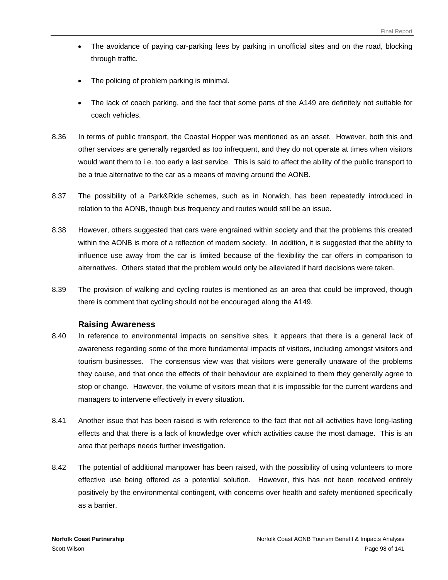- The avoidance of paying car-parking fees by parking in unofficial sites and on the road, blocking through traffic.
- The policing of problem parking is minimal.
- The lack of coach parking, and the fact that some parts of the A149 are definitely not suitable for coach vehicles.
- 8.36 In terms of public transport, the Coastal Hopper was mentioned as an asset. However, both this and other services are generally regarded as too infrequent, and they do not operate at times when visitors would want them to i.e. too early a last service. This is said to affect the ability of the public transport to be a true alternative to the car as a means of moving around the AONB.
- 8.37 The possibility of a Park&Ride schemes, such as in Norwich, has been repeatedly introduced in relation to the AONB, though bus frequency and routes would still be an issue.
- 8.38 However, others suggested that cars were engrained within society and that the problems this created within the AONB is more of a reflection of modern society. In addition, it is suggested that the ability to influence use away from the car is limited because of the flexibility the car offers in comparison to alternatives. Others stated that the problem would only be alleviated if hard decisions were taken.
- 8.39 The provision of walking and cycling routes is mentioned as an area that could be improved, though there is comment that cycling should not be encouraged along the A149.

#### **Raising Awareness**

- 8.40 In reference to environmental impacts on sensitive sites, it appears that there is a general lack of awareness regarding some of the more fundamental impacts of visitors, including amongst visitors and tourism businesses. The consensus view was that visitors were generally unaware of the problems they cause, and that once the effects of their behaviour are explained to them they generally agree to stop or change. However, the volume of visitors mean that it is impossible for the current wardens and managers to intervene effectively in every situation.
- 8.41 Another issue that has been raised is with reference to the fact that not all activities have long-lasting effects and that there is a lack of knowledge over which activities cause the most damage. This is an area that perhaps needs further investigation.
- 8.42 The potential of additional manpower has been raised, with the possibility of using volunteers to more effective use being offered as a potential solution. However, this has not been received entirely positively by the environmental contingent, with concerns over health and safety mentioned specifically as a barrier.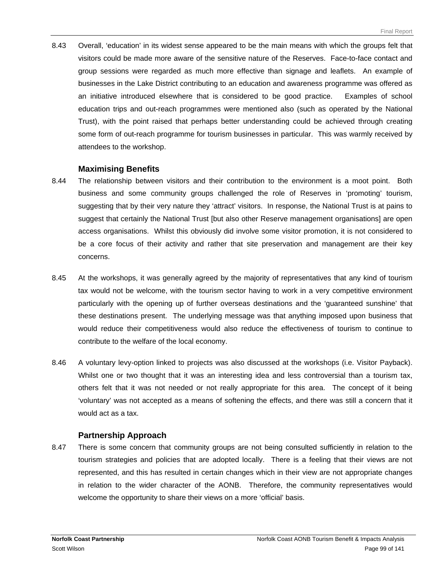8.43 Overall, 'education' in its widest sense appeared to be the main means with which the groups felt that visitors could be made more aware of the sensitive nature of the Reserves. Face-to-face contact and group sessions were regarded as much more effective than signage and leaflets. An example of businesses in the Lake District contributing to an education and awareness programme was offered as an initiative introduced elsewhere that is considered to be good practice. Examples of school education trips and out-reach programmes were mentioned also (such as operated by the National Trust), with the point raised that perhaps better understanding could be achieved through creating some form of out-reach programme for tourism businesses in particular. This was warmly received by attendees to the workshop.

#### **Maximising Benefits**

- 8.44 The relationship between visitors and their contribution to the environment is a moot point. Both business and some community groups challenged the role of Reserves in 'promoting' tourism, suggesting that by their very nature they 'attract' visitors. In response, the National Trust is at pains to suggest that certainly the National Trust [but also other Reserve management organisations] are open access organisations. Whilst this obviously did involve some visitor promotion, it is not considered to be a core focus of their activity and rather that site preservation and management are their key concerns.
- 8.45 At the workshops, it was generally agreed by the majority of representatives that any kind of tourism tax would not be welcome, with the tourism sector having to work in a very competitive environment particularly with the opening up of further overseas destinations and the 'guaranteed sunshine' that these destinations present. The underlying message was that anything imposed upon business that would reduce their competitiveness would also reduce the effectiveness of tourism to continue to contribute to the welfare of the local economy.
- 8.46 A voluntary levy-option linked to projects was also discussed at the workshops (i.e. Visitor Payback). Whilst one or two thought that it was an interesting idea and less controversial than a tourism tax, others felt that it was not needed or not really appropriate for this area. The concept of it being 'voluntary' was not accepted as a means of softening the effects, and there was still a concern that it would act as a tax.

#### **Partnership Approach**

8.47 There is some concern that community groups are not being consulted sufficiently in relation to the tourism strategies and policies that are adopted locally. There is a feeling that their views are not represented, and this has resulted in certain changes which in their view are not appropriate changes in relation to the wider character of the AONB. Therefore, the community representatives would welcome the opportunity to share their views on a more 'official' basis.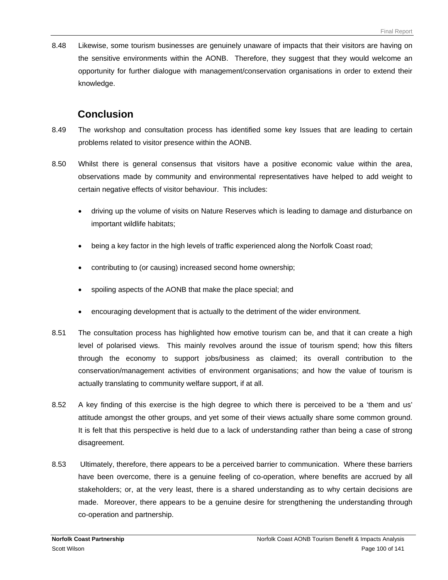8.48 Likewise, some tourism businesses are genuinely unaware of impacts that their visitors are having on the sensitive environments within the AONB. Therefore, they suggest that they would welcome an opportunity for further dialogue with management/conservation organisations in order to extend their knowledge.

# **Conclusion**

- 8.49 The workshop and consultation process has identified some key Issues that are leading to certain problems related to visitor presence within the AONB.
- 8.50 Whilst there is general consensus that visitors have a positive economic value within the area, observations made by community and environmental representatives have helped to add weight to certain negative effects of visitor behaviour. This includes:
	- driving up the volume of visits on Nature Reserves which is leading to damage and disturbance on important wildlife habitats;
	- being a key factor in the high levels of traffic experienced along the Norfolk Coast road;
	- contributing to (or causing) increased second home ownership;
	- spoiling aspects of the AONB that make the place special; and
	- encouraging development that is actually to the detriment of the wider environment.
- 8.51 The consultation process has highlighted how emotive tourism can be, and that it can create a high level of polarised views. This mainly revolves around the issue of tourism spend; how this filters through the economy to support jobs/business as claimed; its overall contribution to the conservation/management activities of environment organisations; and how the value of tourism is actually translating to community welfare support, if at all.
- 8.52 A key finding of this exercise is the high degree to which there is perceived to be a 'them and us' attitude amongst the other groups, and yet some of their views actually share some common ground. It is felt that this perspective is held due to a lack of understanding rather than being a case of strong disagreement.
- 8.53 Ultimately, therefore, there appears to be a perceived barrier to communication. Where these barriers have been overcome, there is a genuine feeling of co-operation, where benefits are accrued by all stakeholders; or, at the very least, there is a shared understanding as to why certain decisions are made. Moreover, there appears to be a genuine desire for strengthening the understanding through co-operation and partnership.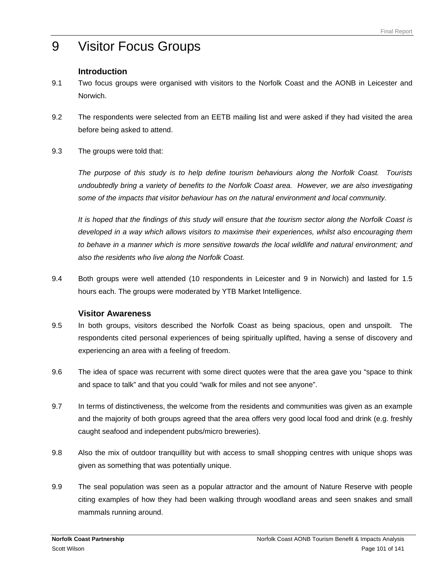# 9 Visitor Focus Groups

# **Introduction**

- 9.1 Two focus groups were organised with visitors to the Norfolk Coast and the AONB in Leicester and Norwich.
- 9.2 The respondents were selected from an EETB mailing list and were asked if they had visited the area before being asked to attend.
- 9.3 The groups were told that:

*The purpose of this study is to help define tourism behaviours along the Norfolk Coast. Tourists undoubtedly bring a variety of benefits to the Norfolk Coast area. However, we are also investigating some of the impacts that visitor behaviour has on the natural environment and local community.* 

*It is hoped that the findings of this study will ensure that the tourism sector along the Norfolk Coast is developed in a way which allows visitors to maximise their experiences, whilst also encouraging them*  to behave in a manner which is more sensitive towards the local wildlife and natural environment; and *also the residents who live along the Norfolk Coast.* 

9.4 Both groups were well attended (10 respondents in Leicester and 9 in Norwich) and lasted for 1.5 hours each. The groups were moderated by YTB Market Intelligence.

# **Visitor Awareness**

- 9.5 In both groups, visitors described the Norfolk Coast as being spacious, open and unspoilt. The respondents cited personal experiences of being spiritually uplifted, having a sense of discovery and experiencing an area with a feeling of freedom.
- 9.6 The idea of space was recurrent with some direct quotes were that the area gave you "space to think and space to talk" and that you could "walk for miles and not see anyone".
- 9.7 In terms of distinctiveness, the welcome from the residents and communities was given as an example and the majority of both groups agreed that the area offers very good local food and drink (e.g. freshly caught seafood and independent pubs/micro breweries).
- 9.8 Also the mix of outdoor tranquillity but with access to small shopping centres with unique shops was given as something that was potentially unique.
- 9.9 The seal population was seen as a popular attractor and the amount of Nature Reserve with people citing examples of how they had been walking through woodland areas and seen snakes and small mammals running around.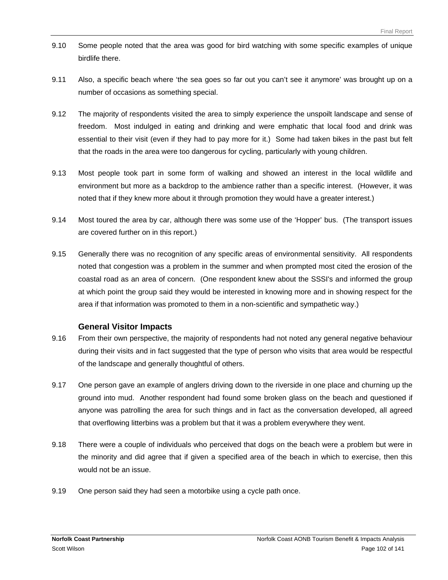- 9.10 Some people noted that the area was good for bird watching with some specific examples of unique birdlife there.
- 9.11 Also, a specific beach where 'the sea goes so far out you can't see it anymore' was brought up on a number of occasions as something special.
- 9.12 The majority of respondents visited the area to simply experience the unspoilt landscape and sense of freedom. Most indulged in eating and drinking and were emphatic that local food and drink was essential to their visit (even if they had to pay more for it.) Some had taken bikes in the past but felt that the roads in the area were too dangerous for cycling, particularly with young children.
- 9.13 Most people took part in some form of walking and showed an interest in the local wildlife and environment but more as a backdrop to the ambience rather than a specific interest. (However, it was noted that if they knew more about it through promotion they would have a greater interest.)
- 9.14 Most toured the area by car, although there was some use of the 'Hopper' bus. (The transport issues are covered further on in this report.)
- 9.15 Generally there was no recognition of any specific areas of environmental sensitivity. All respondents noted that congestion was a problem in the summer and when prompted most cited the erosion of the coastal road as an area of concern. (One respondent knew about the SSSI's and informed the group at which point the group said they would be interested in knowing more and in showing respect for the area if that information was promoted to them in a non-scientific and sympathetic way.)

# **General Visitor Impacts**

- 9.16 From their own perspective, the majority of respondents had not noted any general negative behaviour during their visits and in fact suggested that the type of person who visits that area would be respectful of the landscape and generally thoughtful of others.
- 9.17 One person gave an example of anglers driving down to the riverside in one place and churning up the ground into mud. Another respondent had found some broken glass on the beach and questioned if anyone was patrolling the area for such things and in fact as the conversation developed, all agreed that overflowing litterbins was a problem but that it was a problem everywhere they went.
- 9.18 There were a couple of individuals who perceived that dogs on the beach were a problem but were in the minority and did agree that if given a specified area of the beach in which to exercise, then this would not be an issue.
- 9.19 One person said they had seen a motorbike using a cycle path once.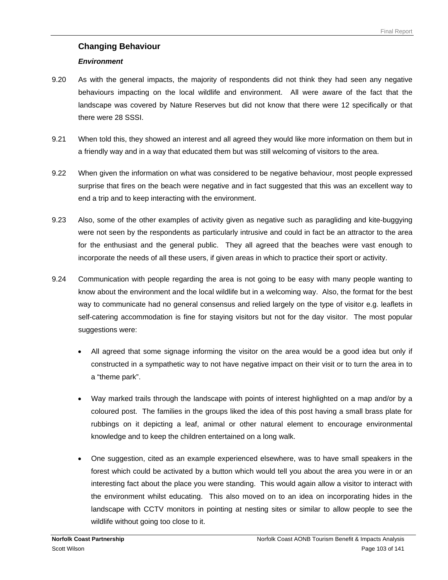# **Changing Behaviour**

#### *Environment*

- 9.20 As with the general impacts, the majority of respondents did not think they had seen any negative behaviours impacting on the local wildlife and environment. All were aware of the fact that the landscape was covered by Nature Reserves but did not know that there were 12 specifically or that there were 28 SSSI.
- 9.21 When told this, they showed an interest and all agreed they would like more information on them but in a friendly way and in a way that educated them but was still welcoming of visitors to the area.
- 9.22 When given the information on what was considered to be negative behaviour, most people expressed surprise that fires on the beach were negative and in fact suggested that this was an excellent way to end a trip and to keep interacting with the environment.
- 9.23 Also, some of the other examples of activity given as negative such as paragliding and kite-buggying were not seen by the respondents as particularly intrusive and could in fact be an attractor to the area for the enthusiast and the general public. They all agreed that the beaches were vast enough to incorporate the needs of all these users, if given areas in which to practice their sport or activity.
- 9.24 Communication with people regarding the area is not going to be easy with many people wanting to know about the environment and the local wildlife but in a welcoming way. Also, the format for the best way to communicate had no general consensus and relied largely on the type of visitor e.g. leaflets in self-catering accommodation is fine for staying visitors but not for the day visitor. The most popular suggestions were:
	- All agreed that some signage informing the visitor on the area would be a good idea but only if constructed in a sympathetic way to not have negative impact on their visit or to turn the area in to a "theme park".
	- Way marked trails through the landscape with points of interest highlighted on a map and/or by a coloured post. The families in the groups liked the idea of this post having a small brass plate for rubbings on it depicting a leaf, animal or other natural element to encourage environmental knowledge and to keep the children entertained on a long walk.
	- One suggestion, cited as an example experienced elsewhere, was to have small speakers in the forest which could be activated by a button which would tell you about the area you were in or an interesting fact about the place you were standing. This would again allow a visitor to interact with the environment whilst educating. This also moved on to an idea on incorporating hides in the landscape with CCTV monitors in pointing at nesting sites or similar to allow people to see the wildlife without going too close to it.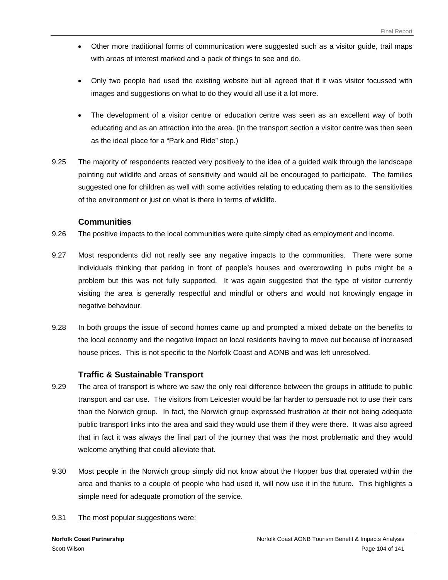- Other more traditional forms of communication were suggested such as a visitor guide, trail maps with areas of interest marked and a pack of things to see and do.
- Only two people had used the existing website but all agreed that if it was visitor focussed with images and suggestions on what to do they would all use it a lot more.
- The development of a visitor centre or education centre was seen as an excellent way of both educating and as an attraction into the area. (In the transport section a visitor centre was then seen as the ideal place for a "Park and Ride" stop.)
- 9.25 The majority of respondents reacted very positively to the idea of a guided walk through the landscape pointing out wildlife and areas of sensitivity and would all be encouraged to participate. The families suggested one for children as well with some activities relating to educating them as to the sensitivities of the environment or just on what is there in terms of wildlife.

#### **Communities**

- 9.26 The positive impacts to the local communities were quite simply cited as employment and income.
- 9.27 Most respondents did not really see any negative impacts to the communities. There were some individuals thinking that parking in front of people's houses and overcrowding in pubs might be a problem but this was not fully supported. It was again suggested that the type of visitor currently visiting the area is generally respectful and mindful or others and would not knowingly engage in negative behaviour.
- 9.28 In both groups the issue of second homes came up and prompted a mixed debate on the benefits to the local economy and the negative impact on local residents having to move out because of increased house prices. This is not specific to the Norfolk Coast and AONB and was left unresolved.

# **Traffic & Sustainable Transport**

- 9.29 The area of transport is where we saw the only real difference between the groups in attitude to public transport and car use. The visitors from Leicester would be far harder to persuade not to use their cars than the Norwich group. In fact, the Norwich group expressed frustration at their not being adequate public transport links into the area and said they would use them if they were there. It was also agreed that in fact it was always the final part of the journey that was the most problematic and they would welcome anything that could alleviate that.
- 9.30 Most people in the Norwich group simply did not know about the Hopper bus that operated within the area and thanks to a couple of people who had used it, will now use it in the future. This highlights a simple need for adequate promotion of the service.
- 9.31 The most popular suggestions were: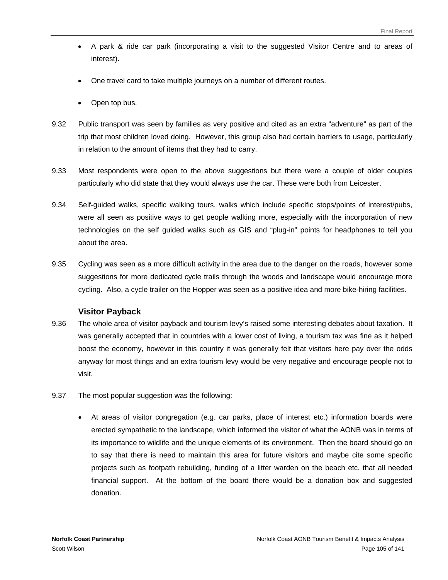- A park & ride car park (incorporating a visit to the suggested Visitor Centre and to areas of interest).
- One travel card to take multiple journeys on a number of different routes.
- Open top bus.
- 9.32 Public transport was seen by families as very positive and cited as an extra "adventure" as part of the trip that most children loved doing. However, this group also had certain barriers to usage, particularly in relation to the amount of items that they had to carry.
- 9.33 Most respondents were open to the above suggestions but there were a couple of older couples particularly who did state that they would always use the car. These were both from Leicester.
- 9.34 Self-guided walks, specific walking tours, walks which include specific stops/points of interest/pubs, were all seen as positive ways to get people walking more, especially with the incorporation of new technologies on the self guided walks such as GIS and "plug-in" points for headphones to tell you about the area.
- 9.35 Cycling was seen as a more difficult activity in the area due to the danger on the roads, however some suggestions for more dedicated cycle trails through the woods and landscape would encourage more cycling. Also, a cycle trailer on the Hopper was seen as a positive idea and more bike-hiring facilities.

# **Visitor Payback**

- 9.36 The whole area of visitor payback and tourism levy's raised some interesting debates about taxation. It was generally accepted that in countries with a lower cost of living, a tourism tax was fine as it helped boost the economy, however in this country it was generally felt that visitors here pay over the odds anyway for most things and an extra tourism levy would be very negative and encourage people not to visit.
- 9.37 The most popular suggestion was the following:
	- At areas of visitor congregation (e.g. car parks, place of interest etc.) information boards were erected sympathetic to the landscape, which informed the visitor of what the AONB was in terms of its importance to wildlife and the unique elements of its environment. Then the board should go on to say that there is need to maintain this area for future visitors and maybe cite some specific projects such as footpath rebuilding, funding of a litter warden on the beach etc. that all needed financial support. At the bottom of the board there would be a donation box and suggested donation.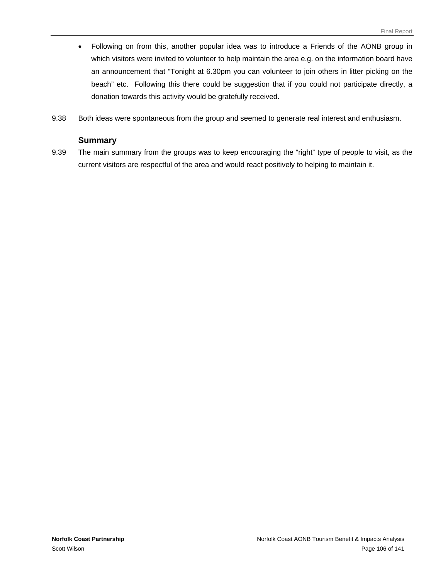- Following on from this, another popular idea was to introduce a Friends of the AONB group in which visitors were invited to volunteer to help maintain the area e.g. on the information board have an announcement that "Tonight at 6.30pm you can volunteer to join others in litter picking on the beach" etc. Following this there could be suggestion that if you could not participate directly, a donation towards this activity would be gratefully received.
- 9.38 Both ideas were spontaneous from the group and seemed to generate real interest and enthusiasm.

#### **Summary**

9.39 The main summary from the groups was to keep encouraging the "right" type of people to visit, as the current visitors are respectful of the area and would react positively to helping to maintain it.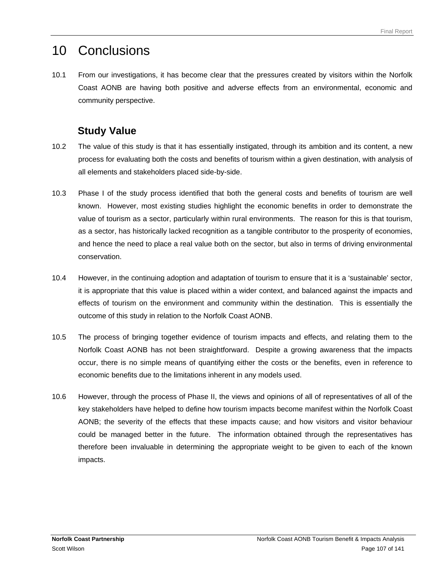# 10 Conclusions

10.1 From our investigations, it has become clear that the pressures created by visitors within the Norfolk Coast AONB are having both positive and adverse effects from an environmental, economic and community perspective.

# **Study Value**

- 10.2 The value of this study is that it has essentially instigated, through its ambition and its content, a new process for evaluating both the costs and benefits of tourism within a given destination, with analysis of all elements and stakeholders placed side-by-side.
- 10.3 Phase I of the study process identified that both the general costs and benefits of tourism are well known. However, most existing studies highlight the economic benefits in order to demonstrate the value of tourism as a sector, particularly within rural environments. The reason for this is that tourism, as a sector, has historically lacked recognition as a tangible contributor to the prosperity of economies, and hence the need to place a real value both on the sector, but also in terms of driving environmental conservation.
- 10.4 However, in the continuing adoption and adaptation of tourism to ensure that it is a 'sustainable' sector, it is appropriate that this value is placed within a wider context, and balanced against the impacts and effects of tourism on the environment and community within the destination. This is essentially the outcome of this study in relation to the Norfolk Coast AONB.
- 10.5 The process of bringing together evidence of tourism impacts and effects, and relating them to the Norfolk Coast AONB has not been straightforward. Despite a growing awareness that the impacts occur, there is no simple means of quantifying either the costs or the benefits, even in reference to economic benefits due to the limitations inherent in any models used.
- 10.6 However, through the process of Phase II, the views and opinions of all of representatives of all of the key stakeholders have helped to define how tourism impacts become manifest within the Norfolk Coast AONB; the severity of the effects that these impacts cause; and how visitors and visitor behaviour could be managed better in the future. The information obtained through the representatives has therefore been invaluable in determining the appropriate weight to be given to each of the known impacts.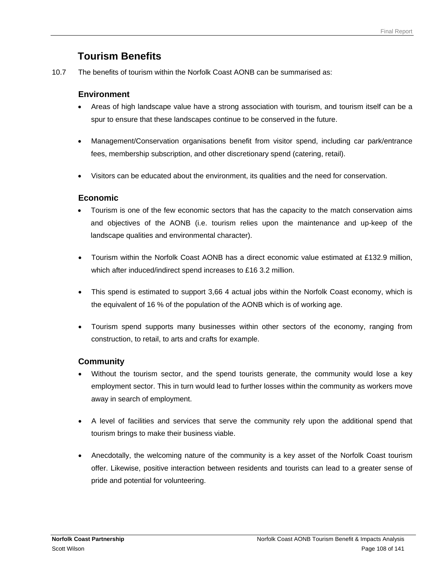### **Tourism Benefits**

10.7 The benefits of tourism within the Norfolk Coast AONB can be summarised as:

#### **Environment**

- Areas of high landscape value have a strong association with tourism, and tourism itself can be a spur to ensure that these landscapes continue to be conserved in the future.
- Management/Conservation organisations benefit from visitor spend, including car park/entrance fees, membership subscription, and other discretionary spend (catering, retail).
- Visitors can be educated about the environment, its qualities and the need for conservation.

#### **Economic**

- Tourism is one of the few economic sectors that has the capacity to the match conservation aims and objectives of the AONB (i.e. tourism relies upon the maintenance and up-keep of the landscape qualities and environmental character).
- Tourism within the Norfolk Coast AONB has a direct economic value estimated at £132.9 million, which after induced/indirect spend increases to £16 3.2 million.
- This spend is estimated to support 3,66 4 actual jobs within the Norfolk Coast economy, which is the equivalent of 16 % of the population of the AONB which is of working age.
- Tourism spend supports many businesses within other sectors of the economy, ranging from construction, to retail, to arts and crafts for example.

#### **Community**

- Without the tourism sector, and the spend tourists generate, the community would lose a key employment sector. This in turn would lead to further losses within the community as workers move away in search of employment.
- A level of facilities and services that serve the community rely upon the additional spend that tourism brings to make their business viable.
- Anecdotally, the welcoming nature of the community is a key asset of the Norfolk Coast tourism offer. Likewise, positive interaction between residents and tourists can lead to a greater sense of pride and potential for volunteering.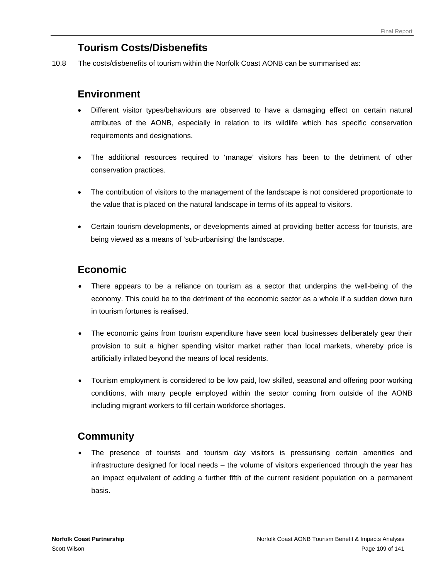# **Tourism Costs/Disbenefits**

10.8 The costs/disbenefits of tourism within the Norfolk Coast AONB can be summarised as:

### **Environment**

- Different visitor types/behaviours are observed to have a damaging effect on certain natural attributes of the AONB, especially in relation to its wildlife which has specific conservation requirements and designations.
- The additional resources required to 'manage' visitors has been to the detriment of other conservation practices.
- The contribution of visitors to the management of the landscape is not considered proportionate to the value that is placed on the natural landscape in terms of its appeal to visitors.
- Certain tourism developments, or developments aimed at providing better access for tourists, are being viewed as a means of 'sub-urbanising' the landscape.

# **Economic**

- There appears to be a reliance on tourism as a sector that underpins the well-being of the economy. This could be to the detriment of the economic sector as a whole if a sudden down turn in tourism fortunes is realised.
- The economic gains from tourism expenditure have seen local businesses deliberately gear their provision to suit a higher spending visitor market rather than local markets, whereby price is artificially inflated beyond the means of local residents.
- Tourism employment is considered to be low paid, low skilled, seasonal and offering poor working conditions, with many people employed within the sector coming from outside of the AONB including migrant workers to fill certain workforce shortages.

# **Community**

The presence of tourists and tourism day visitors is pressurising certain amenities and infrastructure designed for local needs – the volume of visitors experienced through the year has an impact equivalent of adding a further fifth of the current resident population on a permanent basis.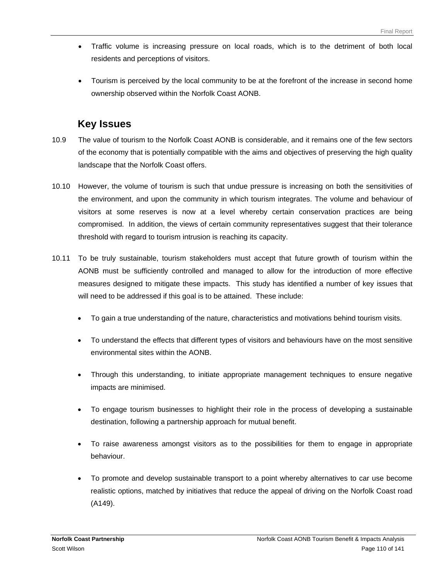- Traffic volume is increasing pressure on local roads, which is to the detriment of both local residents and perceptions of visitors.
- Tourism is perceived by the local community to be at the forefront of the increase in second home ownership observed within the Norfolk Coast AONB.

## **Key Issues**

- 10.9 The value of tourism to the Norfolk Coast AONB is considerable, and it remains one of the few sectors of the economy that is potentially compatible with the aims and objectives of preserving the high quality landscape that the Norfolk Coast offers.
- 10.10 However, the volume of tourism is such that undue pressure is increasing on both the sensitivities of the environment, and upon the community in which tourism integrates. The volume and behaviour of visitors at some reserves is now at a level whereby certain conservation practices are being compromised. In addition, the views of certain community representatives suggest that their tolerance threshold with regard to tourism intrusion is reaching its capacity.
- 10.11 To be truly sustainable, tourism stakeholders must accept that future growth of tourism within the AONB must be sufficiently controlled and managed to allow for the introduction of more effective measures designed to mitigate these impacts. This study has identified a number of key issues that will need to be addressed if this goal is to be attained. These include:
	- To gain a true understanding of the nature, characteristics and motivations behind tourism visits.
	- To understand the effects that different types of visitors and behaviours have on the most sensitive environmental sites within the AONB.
	- Through this understanding, to initiate appropriate management techniques to ensure negative impacts are minimised.
	- To engage tourism businesses to highlight their role in the process of developing a sustainable destination, following a partnership approach for mutual benefit.
	- To raise awareness amongst visitors as to the possibilities for them to engage in appropriate behaviour.
	- To promote and develop sustainable transport to a point whereby alternatives to car use become realistic options, matched by initiatives that reduce the appeal of driving on the Norfolk Coast road (A149).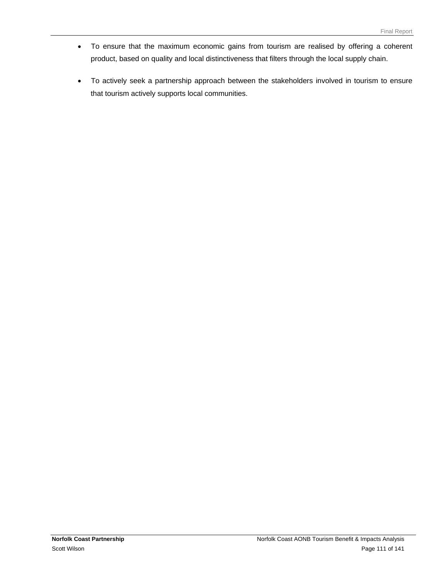- To ensure that the maximum economic gains from tourism are realised by offering a coherent product, based on quality and local distinctiveness that filters through the local supply chain.
- To actively seek a partnership approach between the stakeholders involved in tourism to ensure that tourism actively supports local communities.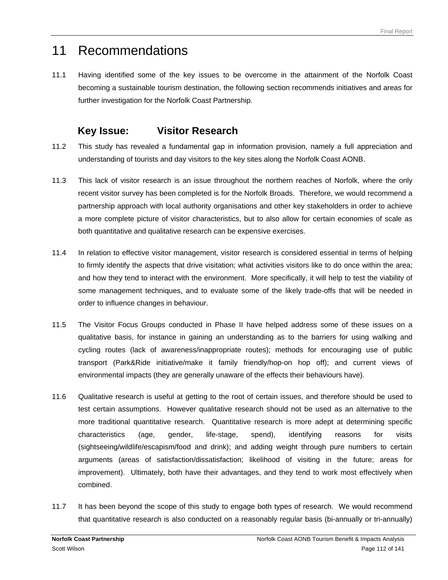# 11 Recommendations

11.1 Having identified some of the key issues to be overcome in the attainment of the Norfolk Coast becoming a sustainable tourism destination, the following section recommends initiatives and areas for further investigation for the Norfolk Coast Partnership.

### **Key Issue: Visitor Research**

- 11.2 This study has revealed a fundamental gap in information provision, namely a full appreciation and understanding of tourists and day visitors to the key sites along the Norfolk Coast AONB.
- 11.3 This lack of visitor research is an issue throughout the northern reaches of Norfolk, where the only recent visitor survey has been completed is for the Norfolk Broads. Therefore, we would recommend a partnership approach with local authority organisations and other key stakeholders in order to achieve a more complete picture of visitor characteristics, but to also allow for certain economies of scale as both quantitative and qualitative research can be expensive exercises.
- 11.4 In relation to effective visitor management, visitor research is considered essential in terms of helping to firmly identify the aspects that drive visitation; what activities visitors like to do once within the area; and how they tend to interact with the environment. More specifically, it will help to test the viability of some management techniques, and to evaluate some of the likely trade-offs that will be needed in order to influence changes in behaviour.
- 11.5 The Visitor Focus Groups conducted in Phase II have helped address some of these issues on a qualitative basis, for instance in gaining an understanding as to the barriers for using walking and cycling routes (lack of awareness/inappropriate routes); methods for encouraging use of public transport (Park&Ride initiative/make it family friendly/hop-on hop off); and current views of environmental impacts (they are generally unaware of the effects their behaviours have).
- 11.6 Qualitative research is useful at getting to the root of certain issues, and therefore should be used to test certain assumptions. However qualitative research should not be used as an alternative to the more traditional quantitative research. Quantitative research is more adept at determining specific characteristics (age, gender, life-stage, spend), identifying reasons for visits (sightseeing/wildlife/escapism/food and drink); and adding weight through pure numbers to certain arguments (areas of satisfaction/dissatisfaction; likelihood of visiting in the future; areas for improvement). Ultimately, both have their advantages, and they tend to work most effectively when combined.
- 11.7 It has been beyond the scope of this study to engage both types of research. We would recommend that quantitative research is also conducted on a reasonably regular basis (bi-annually or tri-annually)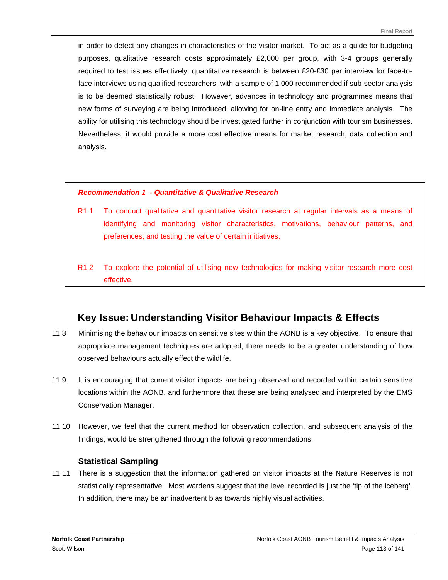in order to detect any changes in characteristics of the visitor market. To act as a guide for budgeting purposes, qualitative research costs approximately £2,000 per group, with 3-4 groups generally required to test issues effectively; quantitative research is between £20-£30 per interview for face-toface interviews using qualified researchers, with a sample of 1,000 recommended if sub-sector analysis is to be deemed statistically robust. However, advances in technology and programmes means that new forms of surveying are being introduced, allowing for on-line entry and immediate analysis. The ability for utilising this technology should be investigated further in conjunction with tourism businesses. Nevertheless, it would provide a more cost effective means for market research, data collection and analysis.

#### *Recommendation 1 - Quantitative & Qualitative Research*

- R1.1 To conduct qualitative and quantitative visitor research at regular intervals as a means of identifying and monitoring visitor characteristics, motivations, behaviour patterns, and preferences; and testing the value of certain initiatives.
- R1.2 To explore the potential of utilising new technologies for making visitor research more cost effective.

### **Key Issue: Understanding Visitor Behaviour Impacts & Effects**

- 11.8 Minimising the behaviour impacts on sensitive sites within the AONB is a key objective. To ensure that appropriate management techniques are adopted, there needs to be a greater understanding of how observed behaviours actually effect the wildlife.
- 11.9 It is encouraging that current visitor impacts are being observed and recorded within certain sensitive locations within the AONB, and furthermore that these are being analysed and interpreted by the EMS Conservation Manager.
- 11.10 However, we feel that the current method for observation collection, and subsequent analysis of the findings, would be strengthened through the following recommendations.

#### **Statistical Sampling**

11.11 There is a suggestion that the information gathered on visitor impacts at the Nature Reserves is not statistically representative. Most wardens suggest that the level recorded is just the 'tip of the iceberg'. In addition, there may be an inadvertent bias towards highly visual activities.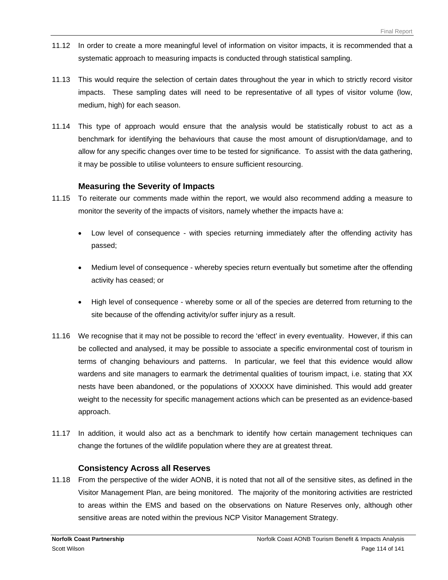- 11.12 In order to create a more meaningful level of information on visitor impacts, it is recommended that a systematic approach to measuring impacts is conducted through statistical sampling.
- 11.13 This would require the selection of certain dates throughout the year in which to strictly record visitor impacts. These sampling dates will need to be representative of all types of visitor volume (low, medium, high) for each season.
- 11.14 This type of approach would ensure that the analysis would be statistically robust to act as a benchmark for identifying the behaviours that cause the most amount of disruption/damage, and to allow for any specific changes over time to be tested for significance. To assist with the data gathering, it may be possible to utilise volunteers to ensure sufficient resourcing.

#### **Measuring the Severity of Impacts**

- 11.15 To reiterate our comments made within the report, we would also recommend adding a measure to monitor the severity of the impacts of visitors, namely whether the impacts have a:
	- Low level of consequence with species returning immediately after the offending activity has passed;
	- Medium level of consequence whereby species return eventually but sometime after the offending activity has ceased; or
	- High level of consequence whereby some or all of the species are deterred from returning to the site because of the offending activity/or suffer injury as a result.
- 11.16 We recognise that it may not be possible to record the 'effect' in every eventuality. However, if this can be collected and analysed, it may be possible to associate a specific environmental cost of tourism in terms of changing behaviours and patterns. In particular, we feel that this evidence would allow wardens and site managers to earmark the detrimental qualities of tourism impact, i.e. stating that XX nests have been abandoned, or the populations of XXXXX have diminished. This would add greater weight to the necessity for specific management actions which can be presented as an evidence-based approach.
- 11.17 In addition, it would also act as a benchmark to identify how certain management techniques can change the fortunes of the wildlife population where they are at greatest threat.

#### **Consistency Across all Reserves**

11.18 From the perspective of the wider AONB, it is noted that not all of the sensitive sites, as defined in the Visitor Management Plan, are being monitored. The majority of the monitoring activities are restricted to areas within the EMS and based on the observations on Nature Reserves only, although other sensitive areas are noted within the previous NCP Visitor Management Strategy.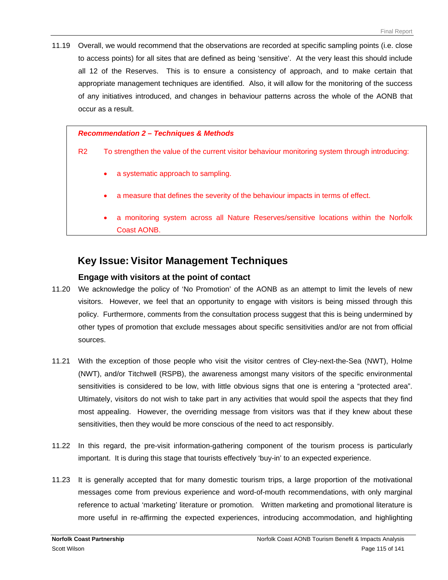11.19 Overall, we would recommend that the observations are recorded at specific sampling points (i.e. close to access points) for all sites that are defined as being 'sensitive'. At the very least this should include all 12 of the Reserves. This is to ensure a consistency of approach, and to make certain that appropriate management techniques are identified. Also, it will allow for the monitoring of the success of any initiatives introduced, and changes in behaviour patterns across the whole of the AONB that occur as a result.

#### *Recommendation 2 – Techniques & Methods*

R2 To strengthen the value of the current visitor behaviour monitoring system through introducing:

- a systematic approach to sampling.
- a measure that defines the severity of the behaviour impacts in terms of effect.
- a monitoring system across all Nature Reserves/sensitive locations within the Norfolk Coast AONB.

### **Key Issue: Visitor Management Techniques**

#### **Engage with visitors at the point of contact**

- 11.20 We acknowledge the policy of 'No Promotion' of the AONB as an attempt to limit the levels of new visitors. However, we feel that an opportunity to engage with visitors is being missed through this policy. Furthermore, comments from the consultation process suggest that this is being undermined by other types of promotion that exclude messages about specific sensitivities and/or are not from official sources.
- 11.21 With the exception of those people who visit the visitor centres of Cley-next-the-Sea (NWT), Holme (NWT), and/or Titchwell (RSPB), the awareness amongst many visitors of the specific environmental sensitivities is considered to be low, with little obvious signs that one is entering a "protected area". Ultimately, visitors do not wish to take part in any activities that would spoil the aspects that they find most appealing. However, the overriding message from visitors was that if they knew about these sensitivities, then they would be more conscious of the need to act responsibly.
- 11.22 In this regard, the pre-visit information-gathering component of the tourism process is particularly important. It is during this stage that tourists effectively 'buy-in' to an expected experience.
- 11.23 It is generally accepted that for many domestic tourism trips, a large proportion of the motivational messages come from previous experience and word-of-mouth recommendations, with only marginal reference to actual 'marketing' literature or promotion. Written marketing and promotional literature is more useful in re-affirming the expected experiences, introducing accommodation, and highlighting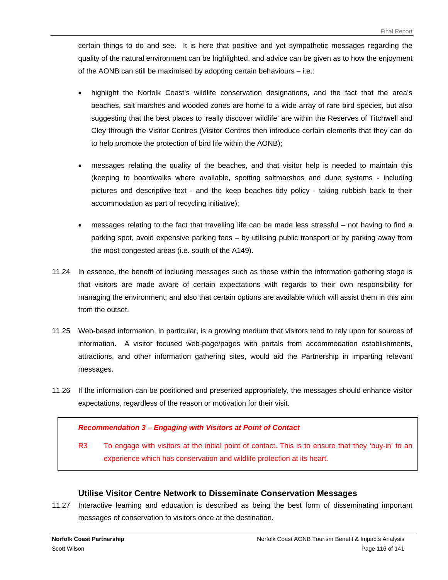certain things to do and see. It is here that positive and yet sympathetic messages regarding the quality of the natural environment can be highlighted, and advice can be given as to how the enjoyment of the AONB can still be maximised by adopting certain behaviours – i.e.:

- highlight the Norfolk Coast's wildlife conservation designations, and the fact that the area's beaches, salt marshes and wooded zones are home to a wide array of rare bird species, but also suggesting that the best places to 'really discover wildlife' are within the Reserves of Titchwell and Cley through the Visitor Centres (Visitor Centres then introduce certain elements that they can do to help promote the protection of bird life within the AONB);
- messages relating the quality of the beaches, and that visitor help is needed to maintain this (keeping to boardwalks where available, spotting saltmarshes and dune systems - including pictures and descriptive text - and the keep beaches tidy policy - taking rubbish back to their accommodation as part of recycling initiative);
- messages relating to the fact that travelling life can be made less stressful not having to find a parking spot, avoid expensive parking fees – by utilising public transport or by parking away from the most congested areas (i.e. south of the A149).
- 11.24 In essence, the benefit of including messages such as these within the information gathering stage is that visitors are made aware of certain expectations with regards to their own responsibility for managing the environment; and also that certain options are available which will assist them in this aim from the outset.
- 11.25 Web-based information, in particular, is a growing medium that visitors tend to rely upon for sources of information. A visitor focused web-page/pages with portals from accommodation establishments, attractions, and other information gathering sites, would aid the Partnership in imparting relevant messages.
- 11.26 If the information can be positioned and presented appropriately, the messages should enhance visitor expectations, regardless of the reason or motivation for their visit.

#### *Recommendation 3 – Engaging with Visitors at Point of Contact*

R3 To engage with visitors at the initial point of contact. This is to ensure that they 'buy-in' to an experience which has conservation and wildlife protection at its heart.

#### **Utilise Visitor Centre Network to Disseminate Conservation Messages**

11.27 Interactive learning and education is described as being the best form of disseminating important messages of conservation to visitors once at the destination.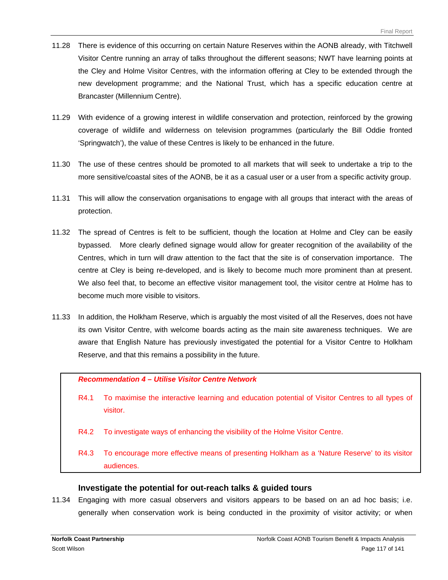- 11.28 There is evidence of this occurring on certain Nature Reserves within the AONB already, with Titchwell Visitor Centre running an array of talks throughout the different seasons; NWT have learning points at the Cley and Holme Visitor Centres, with the information offering at Cley to be extended through the new development programme; and the National Trust, which has a specific education centre at Brancaster (Millennium Centre).
- 11.29 With evidence of a growing interest in wildlife conservation and protection, reinforced by the growing coverage of wildlife and wilderness on television programmes (particularly the Bill Oddie fronted 'Springwatch'), the value of these Centres is likely to be enhanced in the future.
- 11.30 The use of these centres should be promoted to all markets that will seek to undertake a trip to the more sensitive/coastal sites of the AONB, be it as a casual user or a user from a specific activity group.
- 11.31 This will allow the conservation organisations to engage with all groups that interact with the areas of protection.
- 11.32 The spread of Centres is felt to be sufficient, though the location at Holme and Cley can be easily bypassed. More clearly defined signage would allow for greater recognition of the availability of the Centres, which in turn will draw attention to the fact that the site is of conservation importance. The centre at Cley is being re-developed, and is likely to become much more prominent than at present. We also feel that, to become an effective visitor management tool, the visitor centre at Holme has to become much more visible to visitors.
- 11.33 In addition, the Holkham Reserve, which is arguably the most visited of all the Reserves, does not have its own Visitor Centre, with welcome boards acting as the main site awareness techniques. We are aware that English Nature has previously investigated the potential for a Visitor Centre to Holkham Reserve, and that this remains a possibility in the future.

*Recommendation 4 – Utilise Visitor Centre Network* 

- R4.1 To maximise the interactive learning and education potential of Visitor Centres to all types of visitor.
- R4.2 To investigate ways of enhancing the visibility of the Holme Visitor Centre.
- R4.3 To encourage more effective means of presenting Holkham as a 'Nature Reserve' to its visitor audiences.

#### **Investigate the potential for out-reach talks & guided tours**

11.34 Engaging with more casual observers and visitors appears to be based on an ad hoc basis; i.e. generally when conservation work is being conducted in the proximity of visitor activity; or when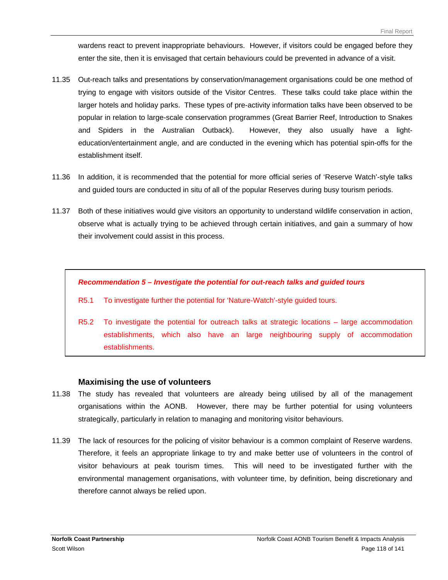wardens react to prevent inappropriate behaviours. However, if visitors could be engaged before they enter the site, then it is envisaged that certain behaviours could be prevented in advance of a visit.

- 11.35 Out-reach talks and presentations by conservation/management organisations could be one method of trying to engage with visitors outside of the Visitor Centres. These talks could take place within the larger hotels and holiday parks. These types of pre-activity information talks have been observed to be popular in relation to large-scale conservation programmes (Great Barrier Reef, Introduction to Snakes and Spiders in the Australian Outback). However, they also usually have a lighteducation/entertainment angle, and are conducted in the evening which has potential spin-offs for the establishment itself.
- 11.36 In addition, it is recommended that the potential for more official series of 'Reserve Watch'-style talks and guided tours are conducted in situ of all of the popular Reserves during busy tourism periods.
- 11.37 Both of these initiatives would give visitors an opportunity to understand wildlife conservation in action, observe what is actually trying to be achieved through certain initiatives, and gain a summary of how their involvement could assist in this process.

#### *Recommendation 5 – Investigate the potential for out-reach talks and guided tours*

- R5.1 To investigate further the potential for 'Nature-Watch'-style guided tours.
- R5.2 To investigate the potential for outreach talks at strategic locations large accommodation establishments, which also have an large neighbouring supply of accommodation establishments.

#### **Maximising the use of volunteers**

- 11.38 The study has revealed that volunteers are already being utilised by all of the management organisations within the AONB. However, there may be further potential for using volunteers strategically, particularly in relation to managing and monitoring visitor behaviours.
- 11.39 The lack of resources for the policing of visitor behaviour is a common complaint of Reserve wardens. Therefore, it feels an appropriate linkage to try and make better use of volunteers in the control of visitor behaviours at peak tourism times. This will need to be investigated further with the environmental management organisations, with volunteer time, by definition, being discretionary and therefore cannot always be relied upon.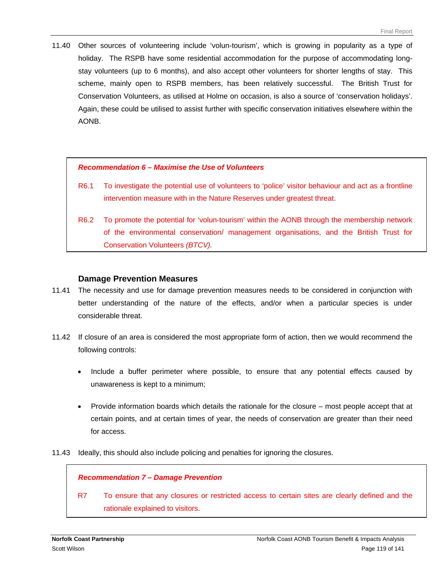11.40 Other sources of volunteering include 'volun-tourism', which is growing in popularity as a type of holiday. The RSPB have some residential accommodation for the purpose of accommodating longstay volunteers (up to 6 months), and also accept other volunteers for shorter lengths of stay. This scheme, mainly open to RSPB members, has been relatively successful. The British Trust for Conservation Volunteers, as utilised at Holme on occasion, is also a source of 'conservation holidays'. Again, these could be utilised to assist further with specific conservation initiatives elsewhere within the AONB.

#### *Recommendation 6 – Maximise the Use of Volunteers*

- R6.1 To investigate the potential use of volunteers to 'police' visitor behaviour and act as a frontline intervention measure with in the Nature Reserves under greatest threat.
- R6.2 To promote the potential for 'volun-tourism' within the AONB through the membership network of the environmental conservation/ management organisations, and the British Trust for Conservation Volunteers *(BTCV).*

#### **Damage Prevention Measures**

- 11.41 The necessity and use for damage prevention measures needs to be considered in conjunction with better understanding of the nature of the effects, and/or when a particular species is under considerable threat.
- 11.42 If closure of an area is considered the most appropriate form of action, then we would recommend the following controls:
	- Include a buffer perimeter where possible, to ensure that any potential effects caused by unawareness is kept to a minimum;
	- Provide information boards which details the rationale for the closure most people accept that at certain points, and at certain times of year, the needs of conservation are greater than their need for access.
- 11.43 Ideally, this should also include policing and penalties for ignoring the closures.

#### *Recommendation 7 – Damage Prevention*

R7 To ensure that any closures or restricted access to certain sites are clearly defined and the rationale explained to visitors.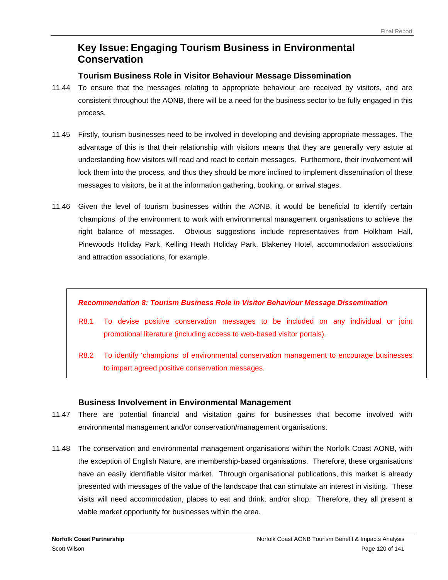## **Key Issue: Engaging Tourism Business in Environmental Conservation**

#### **Tourism Business Role in Visitor Behaviour Message Dissemination**

- 11.44 To ensure that the messages relating to appropriate behaviour are received by visitors, and are consistent throughout the AONB, there will be a need for the business sector to be fully engaged in this process.
- 11.45 Firstly, tourism businesses need to be involved in developing and devising appropriate messages. The advantage of this is that their relationship with visitors means that they are generally very astute at understanding how visitors will read and react to certain messages. Furthermore, their involvement will lock them into the process, and thus they should be more inclined to implement dissemination of these messages to visitors, be it at the information gathering, booking, or arrival stages.
- 11.46 Given the level of tourism businesses within the AONB, it would be beneficial to identify certain 'champions' of the environment to work with environmental management organisations to achieve the right balance of messages. Obvious suggestions include representatives from Holkham Hall, Pinewoods Holiday Park, Kelling Heath Holiday Park, Blakeney Hotel, accommodation associations and attraction associations, for example.

#### *Recommendation 8: Tourism Business Role in Visitor Behaviour Message Dissemination*

- R8.1 To devise positive conservation messages to be included on any individual or joint promotional literature (including access to web-based visitor portals).
- R8.2 To identify 'champions' of environmental conservation management to encourage businesses to impart agreed positive conservation messages.

#### **Business Involvement in Environmental Management**

- 11.47 There are potential financial and visitation gains for businesses that become involved with environmental management and/or conservation/management organisations.
- 11.48 The conservation and environmental management organisations within the Norfolk Coast AONB, with the exception of English Nature, are membership-based organisations. Therefore, these organisations have an easily identifiable visitor market. Through organisational publications, this market is already presented with messages of the value of the landscape that can stimulate an interest in visiting. These visits will need accommodation, places to eat and drink, and/or shop. Therefore, they all present a viable market opportunity for businesses within the area.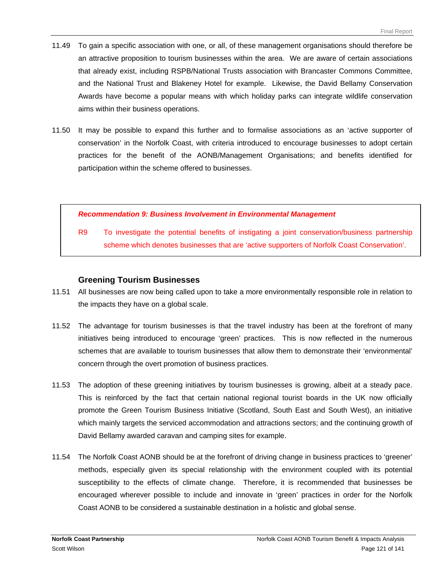- 11.49 To gain a specific association with one, or all, of these management organisations should therefore be an attractive proposition to tourism businesses within the area. We are aware of certain associations that already exist, including RSPB/National Trusts association with Brancaster Commons Committee, and the National Trust and Blakeney Hotel for example. Likewise, the David Bellamy Conservation Awards have become a popular means with which holiday parks can integrate wildlife conservation aims within their business operations.
- 11.50 It may be possible to expand this further and to formalise associations as an 'active supporter of conservation' in the Norfolk Coast, with criteria introduced to encourage businesses to adopt certain practices for the benefit of the AONB/Management Organisations; and benefits identified for participation within the scheme offered to businesses.

#### *Recommendation 9: Business Involvement in Environmental Management*

R9 To investigate the potential benefits of instigating a joint conservation/business partnership scheme which denotes businesses that are 'active supporters of Norfolk Coast Conservation'.

#### **Greening Tourism Businesses**

- 11.51 All businesses are now being called upon to take a more environmentally responsible role in relation to the impacts they have on a global scale.
- 11.52 The advantage for tourism businesses is that the travel industry has been at the forefront of many initiatives being introduced to encourage 'green' practices. This is now reflected in the numerous schemes that are available to tourism businesses that allow them to demonstrate their 'environmental' concern through the overt promotion of business practices.
- 11.53 The adoption of these greening initiatives by tourism businesses is growing, albeit at a steady pace. This is reinforced by the fact that certain national regional tourist boards in the UK now officially promote the Green Tourism Business Initiative (Scotland, South East and South West), an initiative which mainly targets the serviced accommodation and attractions sectors; and the continuing growth of David Bellamy awarded caravan and camping sites for example.
- 11.54 The Norfolk Coast AONB should be at the forefront of driving change in business practices to 'greener' methods, especially given its special relationship with the environment coupled with its potential susceptibility to the effects of climate change. Therefore, it is recommended that businesses be encouraged wherever possible to include and innovate in 'green' practices in order for the Norfolk Coast AONB to be considered a sustainable destination in a holistic and global sense.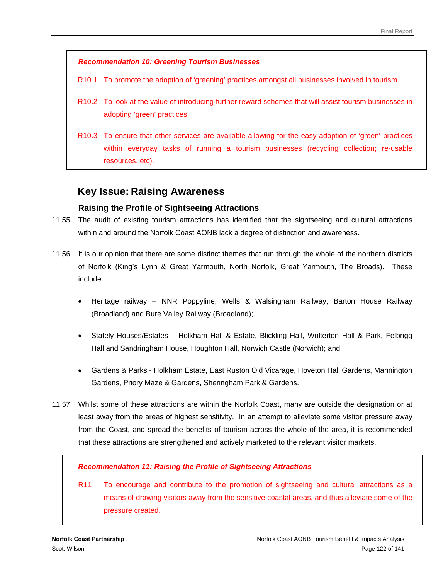#### *Recommendation 10: Greening Tourism Businesses*

- R10.1 To promote the adoption of 'greening' practices amongst all businesses involved in tourism.
- R10.2 To look at the value of introducing further reward schemes that will assist tourism businesses in adopting 'green' practices.
- R10.3 To ensure that other services are available allowing for the easy adoption of 'green' practices within everyday tasks of running a tourism businesses (recycling collection; re-usable resources, etc).

### **Key Issue: Raising Awareness**

#### **Raising the Profile of Sightseeing Attractions**

- 11.55 The audit of existing tourism attractions has identified that the sightseeing and cultural attractions within and around the Norfolk Coast AONB lack a degree of distinction and awareness.
- 11.56 It is our opinion that there are some distinct themes that run through the whole of the northern districts of Norfolk (King's Lynn & Great Yarmouth, North Norfolk, Great Yarmouth, The Broads). These include:
	- Heritage railway NNR Poppyline, Wells & Walsingham Railway, Barton House Railway (Broadland) and Bure Valley Railway (Broadland);
	- Stately Houses/Estates Holkham Hall & Estate, Blickling Hall, Wolterton Hall & Park, Felbrigg Hall and Sandringham House, Houghton Hall, Norwich Castle (Norwich); and
	- Gardens & Parks Holkham Estate, East Ruston Old Vicarage, Hoveton Hall Gardens, Mannington Gardens, Priory Maze & Gardens, Sheringham Park & Gardens.
- 11.57 Whilst some of these attractions are within the Norfolk Coast, many are outside the designation or at least away from the areas of highest sensitivity. In an attempt to alleviate some visitor pressure away from the Coast, and spread the benefits of tourism across the whole of the area, it is recommended that these attractions are strengthened and actively marketed to the relevant visitor markets.

#### *Recommendation 11: Raising the Profile of Sightseeing Attractions*

R11 To encourage and contribute to the promotion of sightseeing and cultural attractions as a means of drawing visitors away from the sensitive coastal areas, and thus alleviate some of the pressure created.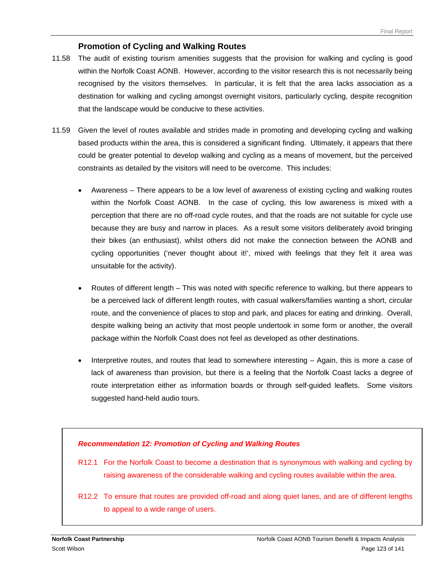#### **Promotion of Cycling and Walking Routes**

- 11.58 The audit of existing tourism amenities suggests that the provision for walking and cycling is good within the Norfolk Coast AONB. However, according to the visitor research this is not necessarily being recognised by the visitors themselves. In particular, it is felt that the area lacks association as a destination for walking and cycling amongst overnight visitors, particularly cycling, despite recognition that the landscape would be conducive to these activities.
- 11.59 Given the level of routes available and strides made in promoting and developing cycling and walking based products within the area, this is considered a significant finding. Ultimately, it appears that there could be greater potential to develop walking and cycling as a means of movement, but the perceived constraints as detailed by the visitors will need to be overcome. This includes:
	- Awareness There appears to be a low level of awareness of existing cycling and walking routes within the Norfolk Coast AONB. In the case of cycling, this low awareness is mixed with a perception that there are no off-road cycle routes, and that the roads are not suitable for cycle use because they are busy and narrow in places. As a result some visitors deliberately avoid bringing their bikes (an enthusiast), whilst others did not make the connection between the AONB and cycling opportunities ('never thought about it!', mixed with feelings that they felt it area was unsuitable for the activity).
	- Routes of different length This was noted with specific reference to walking, but there appears to be a perceived lack of different length routes, with casual walkers/families wanting a short, circular route, and the convenience of places to stop and park, and places for eating and drinking. Overall, despite walking being an activity that most people undertook in some form or another, the overall package within the Norfolk Coast does not feel as developed as other destinations.
	- Interpretive routes, and routes that lead to somewhere interesting Again, this is more a case of lack of awareness than provision, but there is a feeling that the Norfolk Coast lacks a degree of route interpretation either as information boards or through self-guided leaflets. Some visitors suggested hand-held audio tours.

#### *Recommendation 12: Promotion of Cycling and Walking Routes*

- R12.1 For the Norfolk Coast to become a destination that is synonymous with walking and cycling by raising awareness of the considerable walking and cycling routes available within the area.
- R12.2 To ensure that routes are provided off-road and along quiet lanes, and are of different lengths to appeal to a wide range of users.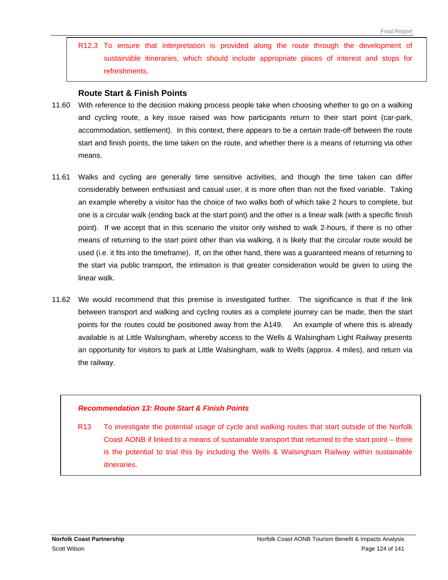R12.3 To ensure that interpretation is provided along the route through the development of sustainable itineraries, which should include appropriate places of interest and stops for refreshments.

#### **Route Start & Finish Points**

- 11.60 With reference to the decision making process people take when choosing whether to go on a walking and cycling route, a key issue raised was how participants return to their start point (car-park, accommodation, settlement). In this context, there appears to be a certain trade-off between the route start and finish points, the time taken on the route, and whether there is a means of returning via other means.
- 11.61 Walks and cycling are generally time sensitive activities, and though the time taken can differ considerably between enthusiast and casual user, it is more often than not the fixed variable. Taking an example whereby a visitor has the choice of two walks both of which take 2 hours to complete, but one is a circular walk (ending back at the start point) and the other is a linear walk (with a specific finish point). If we accept that in this scenario the visitor only wished to walk 2-hours, if there is no other means of returning to the start point other than via walking, it is likely that the circular route would be used (i.e. it fits into the timeframe). If, on the other hand, there was a guaranteed means of returning to the start via public transport, the intimation is that greater consideration would be given to using the linear walk.
- 11.62 We would recommend that this premise is investigated further. The significance is that if the link between transport and walking and cycling routes as a complete journey can be made, then the start points for the routes could be positioned away from the A149. An example of where this is already available is at Little Walsingham, whereby access to the Wells & Walsingham Light Railway presents an opportunity for visitors to park at Little Walsingham, walk to Wells (approx. 4 miles), and return via the railway.

#### *Recommendation 13: Route Start & Finish Points*

R13 To investigate the potential usage of cycle and walking routes that start outside of the Norfolk Coast AONB if linked to a means of sustainable transport that returned to the start point – there is the potential to trial this by including the Wells & Walsingham Railway within sustainable itineraries.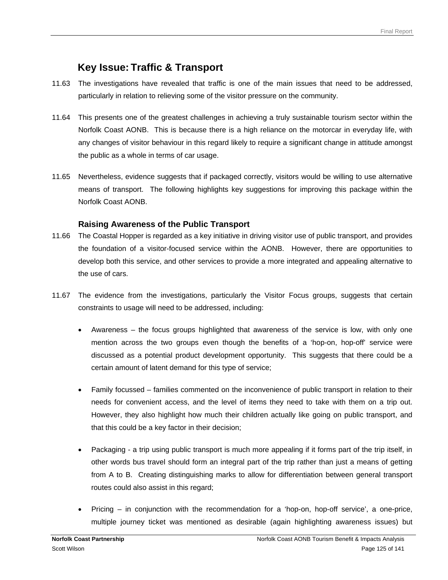# **Key Issue: Traffic & Transport**

- 11.63 The investigations have revealed that traffic is one of the main issues that need to be addressed, particularly in relation to relieving some of the visitor pressure on the community.
- 11.64 This presents one of the greatest challenges in achieving a truly sustainable tourism sector within the Norfolk Coast AONB. This is because there is a high reliance on the motorcar in everyday life, with any changes of visitor behaviour in this regard likely to require a significant change in attitude amongst the public as a whole in terms of car usage.
- 11.65 Nevertheless, evidence suggests that if packaged correctly, visitors would be willing to use alternative means of transport. The following highlights key suggestions for improving this package within the Norfolk Coast AONB.

#### **Raising Awareness of the Public Transport**

- 11.66 The Coastal Hopper is regarded as a key initiative in driving visitor use of public transport, and provides the foundation of a visitor-focused service within the AONB. However, there are opportunities to develop both this service, and other services to provide a more integrated and appealing alternative to the use of cars.
- 11.67 The evidence from the investigations, particularly the Visitor Focus groups, suggests that certain constraints to usage will need to be addressed, including:
	- Awareness the focus groups highlighted that awareness of the service is low, with only one mention across the two groups even though the benefits of a 'hop-on, hop-off' service were discussed as a potential product development opportunity. This suggests that there could be a certain amount of latent demand for this type of service;
	- Family focussed families commented on the inconvenience of public transport in relation to their needs for convenient access, and the level of items they need to take with them on a trip out. However, they also highlight how much their children actually like going on public transport, and that this could be a key factor in their decision;
	- Packaging a trip using public transport is much more appealing if it forms part of the trip itself, in other words bus travel should form an integral part of the trip rather than just a means of getting from A to B. Creating distinguishing marks to allow for differentiation between general transport routes could also assist in this regard;
	- Pricing in conjunction with the recommendation for a 'hop-on, hop-off service', a one-price, multiple journey ticket was mentioned as desirable (again highlighting awareness issues) but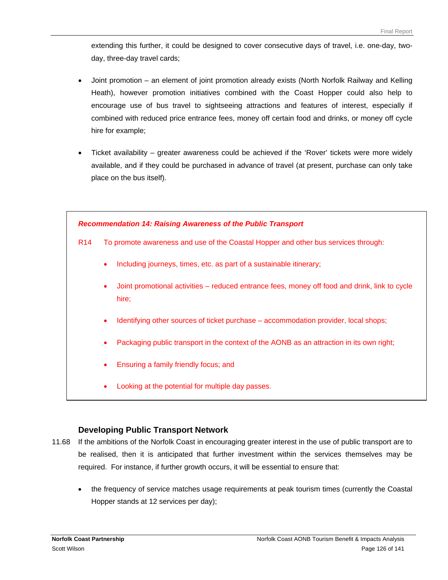extending this further, it could be designed to cover consecutive days of travel, i.e. one-day, twoday, three-day travel cards;

- Joint promotion an element of joint promotion already exists (North Norfolk Railway and Kelling Heath), however promotion initiatives combined with the Coast Hopper could also help to encourage use of bus travel to sightseeing attractions and features of interest, especially if combined with reduced price entrance fees, money off certain food and drinks, or money off cycle hire for example;
- Ticket availability greater awareness could be achieved if the 'Rover' tickets were more widely available, and if they could be purchased in advance of travel (at present, purchase can only take place on the bus itself).



#### **Developing Public Transport Network**

- 11.68 If the ambitions of the Norfolk Coast in encouraging greater interest in the use of public transport are to be realised, then it is anticipated that further investment within the services themselves may be required. For instance, if further growth occurs, it will be essential to ensure that:
	- the frequency of service matches usage requirements at peak tourism times (currently the Coastal Hopper stands at 12 services per day);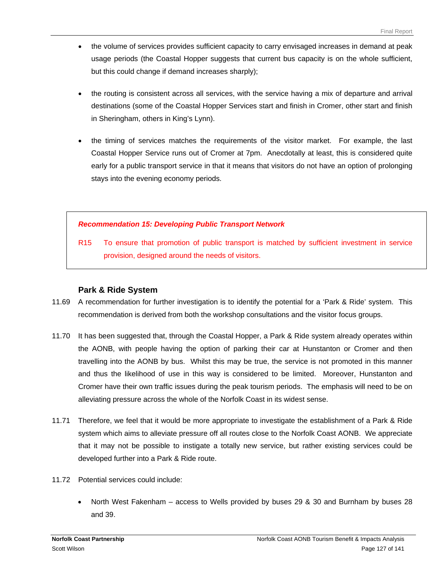- the volume of services provides sufficient capacity to carry envisaged increases in demand at peak usage periods (the Coastal Hopper suggests that current bus capacity is on the whole sufficient, but this could change if demand increases sharply);
- the routing is consistent across all services, with the service having a mix of departure and arrival destinations (some of the Coastal Hopper Services start and finish in Cromer, other start and finish in Sheringham, others in King's Lynn).
- the timing of services matches the requirements of the visitor market. For example, the last Coastal Hopper Service runs out of Cromer at 7pm. Anecdotally at least, this is considered quite early for a public transport service in that it means that visitors do not have an option of prolonging stays into the evening economy periods.

#### *Recommendation 15: Developing Public Transport Network*

R15 To ensure that promotion of public transport is matched by sufficient investment in service provision, designed around the needs of visitors.

#### **Park & Ride System**

- 11.69 A recommendation for further investigation is to identify the potential for a 'Park & Ride' system. This recommendation is derived from both the workshop consultations and the visitor focus groups.
- 11.70 It has been suggested that, through the Coastal Hopper, a Park & Ride system already operates within the AONB, with people having the option of parking their car at Hunstanton or Cromer and then travelling into the AONB by bus. Whilst this may be true, the service is not promoted in this manner and thus the likelihood of use in this way is considered to be limited. Moreover, Hunstanton and Cromer have their own traffic issues during the peak tourism periods. The emphasis will need to be on alleviating pressure across the whole of the Norfolk Coast in its widest sense.
- 11.71 Therefore, we feel that it would be more appropriate to investigate the establishment of a Park & Ride system which aims to alleviate pressure off all routes close to the Norfolk Coast AONB. We appreciate that it may not be possible to instigate a totally new service, but rather existing services could be developed further into a Park & Ride route.
- 11.72 Potential services could include:
	- North West Fakenham access to Wells provided by buses 29 & 30 and Burnham by buses 28 and 39.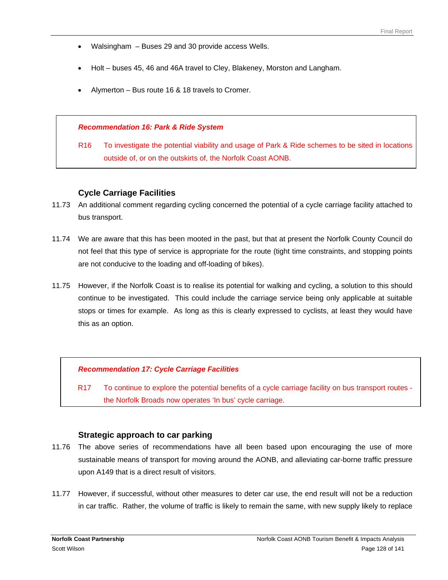- Walsingham Buses 29 and 30 provide access Wells.
- Holt buses 45, 46 and 46A travel to Cley, Blakeney, Morston and Langham.
- Alymerton Bus route 16 & 18 travels to Cromer.

#### *Recommendation 16: Park & Ride System*

R16 To investigate the potential viability and usage of Park & Ride schemes to be sited in locations outside of, or on the outskirts of, the Norfolk Coast AONB.

#### **Cycle Carriage Facilities**

- 11.73 An additional comment regarding cycling concerned the potential of a cycle carriage facility attached to bus transport.
- 11.74 We are aware that this has been mooted in the past, but that at present the Norfolk County Council do not feel that this type of service is appropriate for the route (tight time constraints, and stopping points are not conducive to the loading and off-loading of bikes).
- 11.75 However, if the Norfolk Coast is to realise its potential for walking and cycling, a solution to this should continue to be investigated. This could include the carriage service being only applicable at suitable stops or times for example. As long as this is clearly expressed to cyclists, at least they would have this as an option.

#### *Recommendation 17: Cycle Carriage Facilities*

R17 To continue to explore the potential benefits of a cycle carriage facility on bus transport routes the Norfolk Broads now operates 'In bus' cycle carriage.

#### **Strategic approach to car parking**

- 11.76 The above series of recommendations have all been based upon encouraging the use of more sustainable means of transport for moving around the AONB, and alleviating car-borne traffic pressure upon A149 that is a direct result of visitors.
- 11.77 However, if successful, without other measures to deter car use, the end result will not be a reduction in car traffic. Rather, the volume of traffic is likely to remain the same, with new supply likely to replace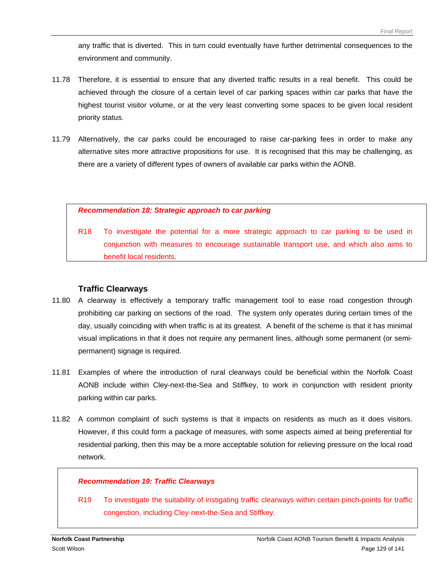any traffic that is diverted. This in turn could eventually have further detrimental consequences to the environment and community.

- 11.78 Therefore, it is essential to ensure that any diverted traffic results in a real benefit. This could be achieved through the closure of a certain level of car parking spaces within car parks that have the highest tourist visitor volume, or at the very least converting some spaces to be given local resident priority status.
- 11.79 Alternatively, the car parks could be encouraged to raise car-parking fees in order to make any alternative sites more attractive propositions for use. It is recognised that this may be challenging, as there are a variety of different types of owners of available car parks within the AONB.

#### *Recommendation 18: Strategic approach to car parking*

R18 To investigate the potential for a more strategic approach to car parking to be used in conjunction with measures to encourage sustainable transport use, and which also aims to benefit local residents.

#### **Traffic Clearways**

- 11.80 A clearway is effectively a temporary traffic management tool to ease road congestion through prohibiting car parking on sections of the road. The system only operates during certain times of the day, usually coinciding with when traffic is at its greatest. A benefit of the scheme is that it has minimal visual implications in that it does not require any permanent lines, although some permanent (or semipermanent) signage is required.
- 11.81 Examples of where the introduction of rural clearways could be beneficial within the Norfolk Coast AONB include within Cley-next-the-Sea and Stiffkey, to work in conjunction with resident priority parking within car parks.
- 11.82 A common complaint of such systems is that it impacts on residents as much as it does visitors. However, if this could form a package of measures, with some aspects aimed at being preferential for residential parking, then this may be a more acceptable solution for relieving pressure on the local road network.

#### *Recommendation 19: Traffic Clearways*

R19 To investigate the suitability of instigating traffic clearways within certain pinch-points for traffic congestion, including Cley-next*-*the-Sea and Stiffkey.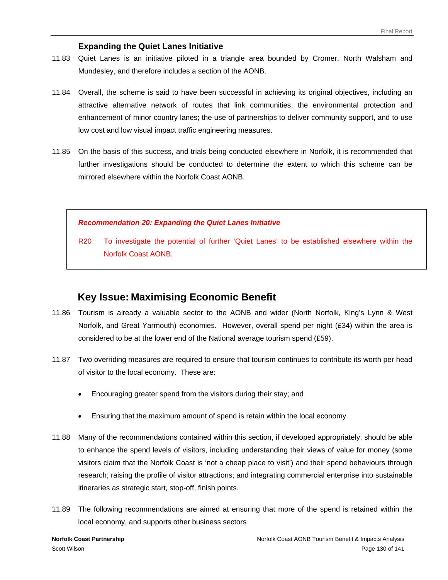#### **Expanding the Quiet Lanes Initiative**

- 11.83 Quiet Lanes is an initiative piloted in a triangle area bounded by Cromer, North Walsham and Mundesley, and therefore includes a section of the AONB.
- 11.84 Overall, the scheme is said to have been successful in achieving its original objectives, including an attractive alternative network of routes that link communities; the environmental protection and enhancement of minor country lanes; the use of partnerships to deliver community support, and to use low cost and low visual impact traffic engineering measures.
- 11.85 On the basis of this success, and trials being conducted elsewhere in Norfolk, it is recommended that further investigations should be conducted to determine the extent to which this scheme can be mirrored elsewhere within the Norfolk Coast AONB.

#### *Recommendation 20: Expanding the Quiet Lanes Initiative*

R20 To investigate the potential of further 'Quiet Lanes' to be established elsewhere within the Norfolk Coast AONB.

### **Key Issue: Maximising Economic Benefit**

- 11.86 Tourism is already a valuable sector to the AONB and wider (North Norfolk, King's Lynn & West Norfolk, and Great Yarmouth) economies. However, overall spend per night (£34) within the area is considered to be at the lower end of the National average tourism spend (£59).
- 11.87 Two overriding measures are required to ensure that tourism continues to contribute its worth per head of visitor to the local economy. These are:
	- Encouraging greater spend from the visitors during their stay; and
	- Ensuring that the maximum amount of spend is retain within the local economy
- 11.88 Many of the recommendations contained within this section, if developed appropriately, should be able to enhance the spend levels of visitors, including understanding their views of value for money (some visitors claim that the Norfolk Coast is 'not a cheap place to visit') and their spend behaviours through research; raising the profile of visitor attractions; and integrating commercial enterprise into sustainable itineraries as strategic start, stop-off, finish points.
- 11.89 The following recommendations are aimed at ensuring that more of the spend is retained within the local economy, and supports other business sectors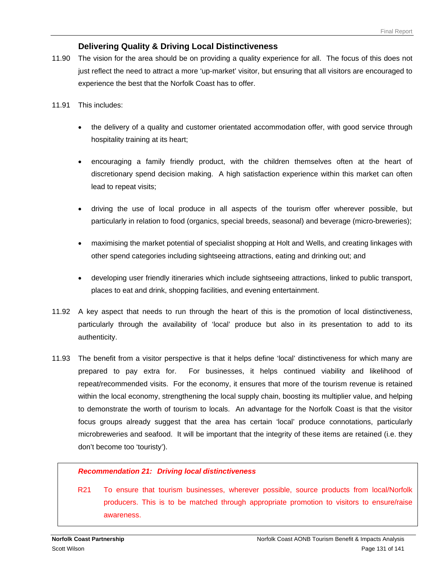#### **Delivering Quality & Driving Local Distinctiveness**

- 11.90 The vision for the area should be on providing a quality experience for all. The focus of this does not just reflect the need to attract a more 'up-market' visitor, but ensuring that all visitors are encouraged to experience the best that the Norfolk Coast has to offer.
- 11.91 This includes:
	- the delivery of a quality and customer orientated accommodation offer, with good service through hospitality training at its heart;
	- encouraging a family friendly product, with the children themselves often at the heart of discretionary spend decision making. A high satisfaction experience within this market can often lead to repeat visits;
	- driving the use of local produce in all aspects of the tourism offer wherever possible, but particularly in relation to food (organics, special breeds, seasonal) and beverage (micro-breweries);
	- maximising the market potential of specialist shopping at Holt and Wells, and creating linkages with other spend categories including sightseeing attractions, eating and drinking out; and
	- developing user friendly itineraries which include sightseeing attractions, linked to public transport, places to eat and drink, shopping facilities, and evening entertainment.
- 11.92 A key aspect that needs to run through the heart of this is the promotion of local distinctiveness, particularly through the availability of 'local' produce but also in its presentation to add to its authenticity.
- 11.93 The benefit from a visitor perspective is that it helps define 'local' distinctiveness for which many are prepared to pay extra for. For businesses, it helps continued viability and likelihood of repeat/recommended visits. For the economy, it ensures that more of the tourism revenue is retained within the local economy, strengthening the local supply chain, boosting its multiplier value, and helping to demonstrate the worth of tourism to locals. An advantage for the Norfolk Coast is that the visitor focus groups already suggest that the area has certain 'local' produce connotations, particularly microbreweries and seafood. It will be important that the integrity of these items are retained (i.e. they don't become too 'touristy').

#### *Recommendation 21: Driving local distinctiveness*

R21 To ensure that tourism businesses, wherever possible, source products from local/Norfolk producers. This is to be matched through appropriate promotion to visitors to ensure/raise awareness.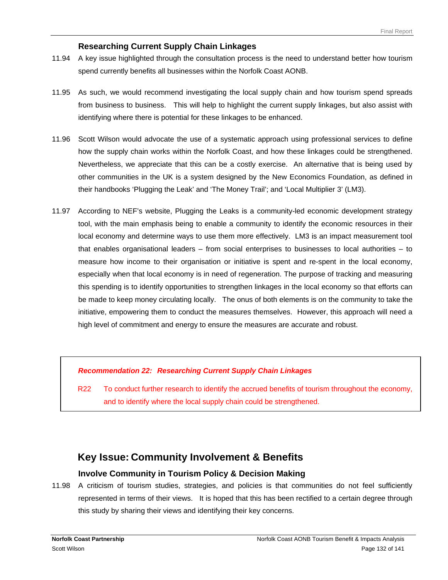#### **Researching Current Supply Chain Linkages**

- 11.94 A key issue highlighted through the consultation process is the need to understand better how tourism spend currently benefits all businesses within the Norfolk Coast AONB.
- 11.95 As such, we would recommend investigating the local supply chain and how tourism spend spreads from business to business. This will help to highlight the current supply linkages, but also assist with identifying where there is potential for these linkages to be enhanced.
- 11.96 Scott Wilson would advocate the use of a systematic approach using professional services to define how the supply chain works within the Norfolk Coast, and how these linkages could be strengthened. Nevertheless, we appreciate that this can be a costly exercise. An alternative that is being used by other communities in the UK is a system designed by the New Economics Foundation, as defined in their handbooks 'Plugging the Leak' and 'The Money Trail'; and 'Local Multiplier 3' (LM3).
- 11.97 According to NEF's website, Plugging the Leaks is a community-led economic development strategy tool, with the main emphasis being to enable a community to identify the economic resources in their local economy and determine ways to use them more effectively. LM3 is an impact measurement tool that enables organisational leaders – from social enterprises to businesses to local authorities – to measure how income to their organisation or initiative is spent and re-spent in the local economy, especially when that local economy is in need of regeneration. The purpose of tracking and measuring this spending is to identify opportunities to strengthen linkages in the local economy so that efforts can be made to keep money circulating locally. The onus of both elements is on the community to take the initiative, empowering them to conduct the measures themselves. However, this approach will need a high level of commitment and energy to ensure the measures are accurate and robust.

#### *Recommendation 22: Researching Current Supply Chain Linkages*

R22 To conduct further research to identify the accrued benefits of tourism throughout the economy, and to identify where the local supply chain could be strengthened.

### **Key Issue: Community Involvement & Benefits**

#### **Involve Community in Tourism Policy & Decision Making**

11.98 A criticism of tourism studies, strategies, and policies is that communities do not feel sufficiently represented in terms of their views. It is hoped that this has been rectified to a certain degree through this study by sharing their views and identifying their key concerns.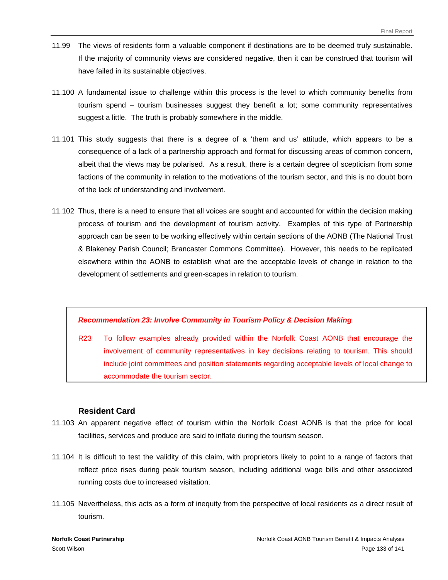- 11.99 The views of residents form a valuable component if destinations are to be deemed truly sustainable. If the majority of community views are considered negative, then it can be construed that tourism will have failed in its sustainable objectives.
- 11.100 A fundamental issue to challenge within this process is the level to which community benefits from tourism spend – tourism businesses suggest they benefit a lot; some community representatives suggest a little. The truth is probably somewhere in the middle.
- 11.101 This study suggests that there is a degree of a 'them and us' attitude, which appears to be a consequence of a lack of a partnership approach and format for discussing areas of common concern, albeit that the views may be polarised. As a result, there is a certain degree of scepticism from some factions of the community in relation to the motivations of the tourism sector, and this is no doubt born of the lack of understanding and involvement.
- 11.102 Thus, there is a need to ensure that all voices are sought and accounted for within the decision making process of tourism and the development of tourism activity. Examples of this type of Partnership approach can be seen to be working effectively within certain sections of the AONB (The National Trust & Blakeney Parish Council; Brancaster Commons Committee). However, this needs to be replicated elsewhere within the AONB to establish what are the acceptable levels of change in relation to the development of settlements and green-scapes in relation to tourism.

#### *Recommendation 23: Involve Community in Tourism Policy & Decision Making*

R23 To follow examples already provided within the Norfolk Coast AONB that encourage the involvement of community representatives in key decisions relating to tourism. This should include joint committees and position statements regarding acceptable levels of local change to accommodate the tourism sector.

#### **Resident Card**

- 11.103 An apparent negative effect of tourism within the Norfolk Coast AONB is that the price for local facilities, services and produce are said to inflate during the tourism season.
- 11.104 It is difficult to test the validity of this claim, with proprietors likely to point to a range of factors that reflect price rises during peak tourism season, including additional wage bills and other associated running costs due to increased visitation.
- 11.105 Nevertheless, this acts as a form of inequity from the perspective of local residents as a direct result of tourism.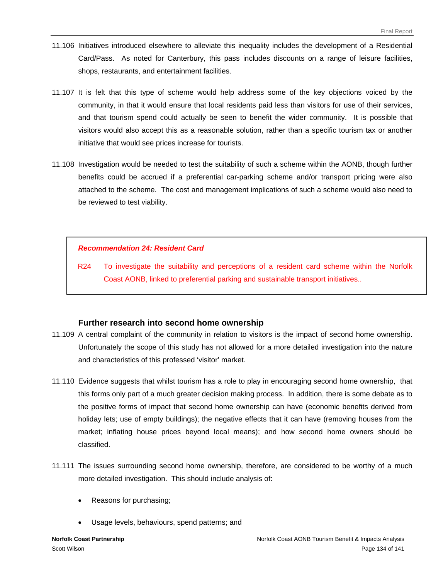- 11.106 Initiatives introduced elsewhere to alleviate this inequality includes the development of a Residential Card/Pass. As noted for Canterbury, this pass includes discounts on a range of leisure facilities, shops, restaurants, and entertainment facilities.
- 11.107 It is felt that this type of scheme would help address some of the key objections voiced by the community, in that it would ensure that local residents paid less than visitors for use of their services, and that tourism spend could actually be seen to benefit the wider community. It is possible that visitors would also accept this as a reasonable solution, rather than a specific tourism tax or another initiative that would see prices increase for tourists.
- 11.108 Investigation would be needed to test the suitability of such a scheme within the AONB, though further benefits could be accrued if a preferential car-parking scheme and/or transport pricing were also attached to the scheme. The cost and management implications of such a scheme would also need to be reviewed to test viability.

#### *Recommendation 24: Resident Card*

R24 To investigate the suitability and perceptions of a resident card scheme within the Norfolk Coast AONB, linked to preferential parking and sustainable transport initiatives..

#### **Further research into second home ownership**

- 11.109 A central complaint of the community in relation to visitors is the impact of second home ownership. Unfortunately the scope of this study has not allowed for a more detailed investigation into the nature and characteristics of this professed 'visitor' market.
- 11.110 Evidence suggests that whilst tourism has a role to play in encouraging second home ownership, that this forms only part of a much greater decision making process. In addition, there is some debate as to the positive forms of impact that second home ownership can have (economic benefits derived from holiday lets; use of empty buildings); the negative effects that it can have (removing houses from the market; inflating house prices beyond local means); and how second home owners should be classified.
- 11.111 The issues surrounding second home ownership, therefore, are considered to be worthy of a much more detailed investigation. This should include analysis of:
	- Reasons for purchasing;
	- Usage levels, behaviours, spend patterns; and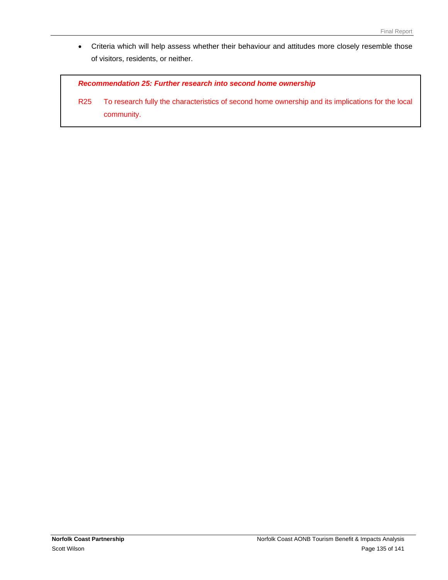• Criteria which will help assess whether their behaviour and attitudes more closely resemble those of visitors, residents, or neither.

*Recommendation 25: Further research into second home ownership* 

R25 To research fully the characteristics of second home ownership and its implications for the local community.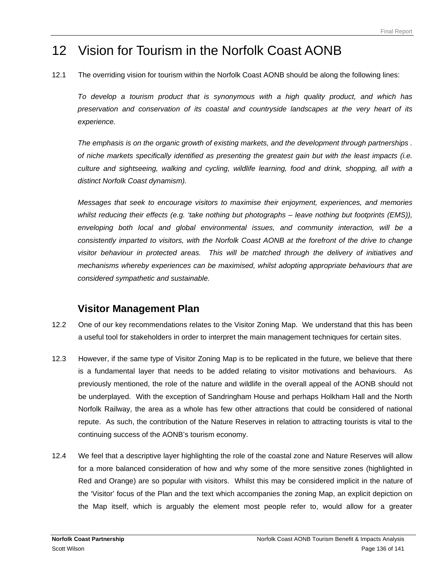# 12 Vision for Tourism in the Norfolk Coast AONB

12.1 The overriding vision for tourism within the Norfolk Coast AONB should be along the following lines:

*To develop a tourism product that is synonymous with a high quality product, and which has preservation and conservation of its coastal and countryside landscapes at the very heart of its experience.* 

*The emphasis is on the organic growth of existing markets, and the development through partnerships . of niche markets specifically identified as presenting the greatest gain but with the least impacts (i.e. culture and sightseeing, walking and cycling, wildlife learning, food and drink, shopping, all with a distinct Norfolk Coast dynamism).* 

*Messages that seek to encourage visitors to maximise their enjoyment, experiences, and memories whilst reducing their effects (e.g. 'take nothing but photographs – leave nothing but footprints (EMS)), enveloping both local and global environmental issues, and community interaction, will be a consistently imparted to visitors, with the Norfolk Coast AONB at the forefront of the drive to change visitor behaviour in protected areas. This will be matched through the delivery of initiatives and mechanisms whereby experiences can be maximised, whilst adopting appropriate behaviours that are considered sympathetic and sustainable.* 

### **Visitor Management Plan**

- 12.2 One of our key recommendations relates to the Visitor Zoning Map. We understand that this has been a useful tool for stakeholders in order to interpret the main management techniques for certain sites.
- 12.3 However, if the same type of Visitor Zoning Map is to be replicated in the future, we believe that there is a fundamental layer that needs to be added relating to visitor motivations and behaviours. As previously mentioned, the role of the nature and wildlife in the overall appeal of the AONB should not be underplayed. With the exception of Sandringham House and perhaps Holkham Hall and the North Norfolk Railway, the area as a whole has few other attractions that could be considered of national repute. As such, the contribution of the Nature Reserves in relation to attracting tourists is vital to the continuing success of the AONB's tourism economy.
- 12.4 We feel that a descriptive layer highlighting the role of the coastal zone and Nature Reserves will allow for a more balanced consideration of how and why some of the more sensitive zones (highlighted in Red and Orange) are so popular with visitors. Whilst this may be considered implicit in the nature of the 'Visitor' focus of the Plan and the text which accompanies the zoning Map, an explicit depiction on the Map itself, which is arguably the element most people refer to, would allow for a greater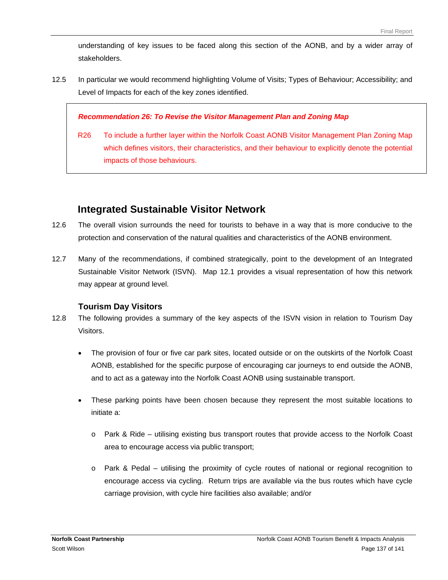understanding of key issues to be faced along this section of the AONB, and by a wider array of stakeholders.

12.5 In particular we would recommend highlighting Volume of Visits; Types of Behaviour; Accessibility; and Level of Impacts for each of the key zones identified.

#### *Recommendation 26: To Revise the Visitor Management Plan and Zoning Map*

R26 To include a further layer within the Norfolk Coast AONB Visitor Management Plan Zoning Map which defines visitors, their characteristics, and their behaviour to explicitly denote the potential impacts of those behaviours.

### **Integrated Sustainable Visitor Network**

- 12.6 The overall vision surrounds the need for tourists to behave in a way that is more conducive to the protection and conservation of the natural qualities and characteristics of the AONB environment.
- 12.7 Many of the recommendations, if combined strategically, point to the development of an Integrated Sustainable Visitor Network (ISVN). Map 12.1 provides a visual representation of how this network may appear at ground level.

#### **Tourism Day Visitors**

- 12.8 The following provides a summary of the key aspects of the ISVN vision in relation to Tourism Day Visitors.
	- The provision of four or five car park sites, located outside or on the outskirts of the Norfolk Coast AONB, established for the specific purpose of encouraging car journeys to end outside the AONB, and to act as a gateway into the Norfolk Coast AONB using sustainable transport.
	- These parking points have been chosen because they represent the most suitable locations to initiate a:
		- o Park & Ride utilising existing bus transport routes that provide access to the Norfolk Coast area to encourage access via public transport;
		- o Park & Pedal utilising the proximity of cycle routes of national or regional recognition to encourage access via cycling. Return trips are available via the bus routes which have cycle carriage provision, with cycle hire facilities also available; and/or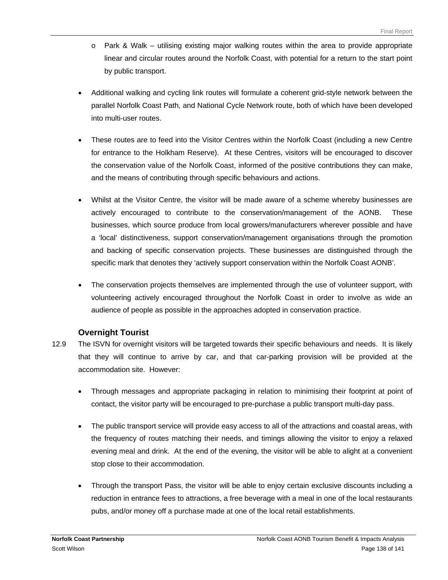- $\circ$  Park & Walk utilising existing major walking routes within the area to provide appropriate linear and circular routes around the Norfolk Coast, with potential for a return to the start point by public transport.
- Additional walking and cycling link routes will formulate a coherent grid-style network between the parallel Norfolk Coast Path, and National Cycle Network route, both of which have been developed into multi-user routes.
- These routes are to feed into the Visitor Centres within the Norfolk Coast (including a new Centre for entrance to the Holkham Reserve). At these Centres, visitors will be encouraged to discover the conservation value of the Norfolk Coast, informed of the positive contributions they can make, and the means of contributing through specific behaviours and actions.
- Whilst at the Visitor Centre, the visitor will be made aware of a scheme whereby businesses are actively encouraged to contribute to the conservation/management of the AONB. These businesses, which source produce from local growers/manufacturers wherever possible and have a 'local' distinctiveness, support conservation/management organisations through the promotion and backing of specific conservation projects. These businesses are distinguished through the specific mark that denotes they 'actively support conservation within the Norfolk Coast AONB'.
- The conservation projects themselves are implemented through the use of volunteer support, with volunteering actively encouraged throughout the Norfolk Coast in order to involve as wide an audience of people as possible in the approaches adopted in conservation practice.

#### **Overnight Tourist**

- 12.9 The ISVN for overnight visitors will be targeted towards their specific behaviours and needs. It is likely that they will continue to arrive by car, and that car-parking provision will be provided at the accommodation site. However:
	- Through messages and appropriate packaging in relation to minimising their footprint at point of contact, the visitor party will be encouraged to pre-purchase a public transport multi-day pass.
	- The public transport service will provide easy access to all of the attractions and coastal areas, with the frequency of routes matching their needs, and timings allowing the visitor to enjoy a relaxed evening meal and drink. At the end of the evening, the visitor will be able to alight at a convenient stop close to their accommodation.
	- Through the transport Pass, the visitor will be able to enjoy certain exclusive discounts including a reduction in entrance fees to attractions, a free beverage with a meal in one of the local restaurants pubs, and/or money off a purchase made at one of the local retail establishments.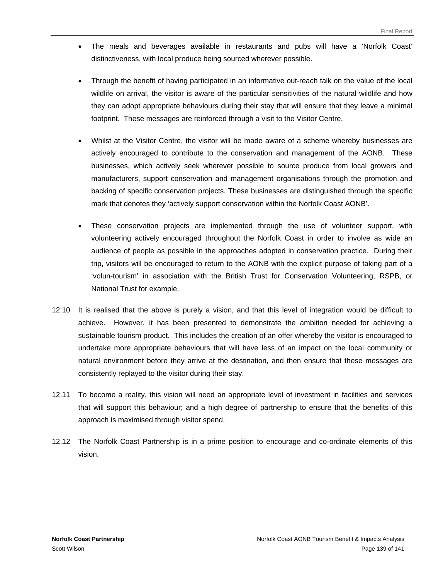- The meals and beverages available in restaurants and pubs will have a 'Norfolk Coast' distinctiveness, with local produce being sourced wherever possible.
- Through the benefit of having participated in an informative out-reach talk on the value of the local wildlife on arrival, the visitor is aware of the particular sensitivities of the natural wildlife and how they can adopt appropriate behaviours during their stay that will ensure that they leave a minimal footprint. These messages are reinforced through a visit to the Visitor Centre.
- Whilst at the Visitor Centre, the visitor will be made aware of a scheme whereby businesses are actively encouraged to contribute to the conservation and management of the AONB. These businesses, which actively seek wherever possible to source produce from local growers and manufacturers, support conservation and management organisations through the promotion and backing of specific conservation projects. These businesses are distinguished through the specific mark that denotes they 'actively support conservation within the Norfolk Coast AONB'.
- These conservation projects are implemented through the use of volunteer support, with volunteering actively encouraged throughout the Norfolk Coast in order to involve as wide an audience of people as possible in the approaches adopted in conservation practice. During their trip, visitors will be encouraged to return to the AONB with the explicit purpose of taking part of a 'volun-tourism' in association with the British Trust for Conservation Volunteering, RSPB, or National Trust for example.
- 12.10 It is realised that the above is purely a vision, and that this level of integration would be difficult to achieve. However, it has been presented to demonstrate the ambition needed for achieving a sustainable tourism product. This includes the creation of an offer whereby the visitor is encouraged to undertake more appropriate behaviours that will have less of an impact on the local community or natural environment before they arrive at the destination, and then ensure that these messages are consistently replayed to the visitor during their stay.
- 12.11 To become a reality, this vision will need an appropriate level of investment in facilities and services that will support this behaviour; and a high degree of partnership to ensure that the benefits of this approach is maximised through visitor spend.
- 12.12 The Norfolk Coast Partnership is in a prime position to encourage and co-ordinate elements of this vision.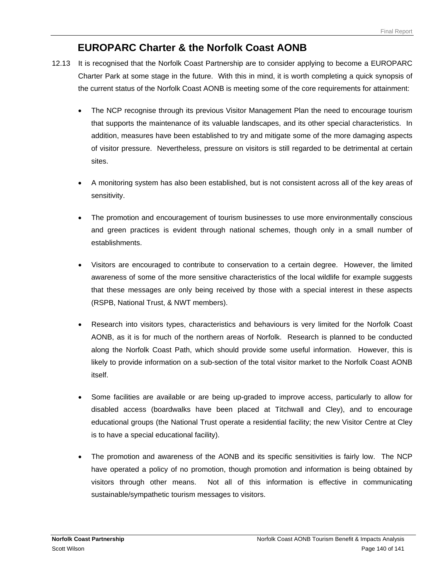# **EUROPARC Charter & the Norfolk Coast AONB**

- 12.13 It is recognised that the Norfolk Coast Partnership are to consider applying to become a EUROPARC Charter Park at some stage in the future. With this in mind, it is worth completing a quick synopsis of the current status of the Norfolk Coast AONB is meeting some of the core requirements for attainment:
	- The NCP recognise through its previous Visitor Management Plan the need to encourage tourism that supports the maintenance of its valuable landscapes, and its other special characteristics. In addition, measures have been established to try and mitigate some of the more damaging aspects of visitor pressure. Nevertheless, pressure on visitors is still regarded to be detrimental at certain sites.
	- A monitoring system has also been established, but is not consistent across all of the key areas of sensitivity.
	- The promotion and encouragement of tourism businesses to use more environmentally conscious and green practices is evident through national schemes, though only in a small number of establishments.
	- Visitors are encouraged to contribute to conservation to a certain degree. However, the limited awareness of some of the more sensitive characteristics of the local wildlife for example suggests that these messages are only being received by those with a special interest in these aspects (RSPB, National Trust, & NWT members).
	- Research into visitors types, characteristics and behaviours is very limited for the Norfolk Coast AONB, as it is for much of the northern areas of Norfolk. Research is planned to be conducted along the Norfolk Coast Path, which should provide some useful information. However, this is likely to provide information on a sub-section of the total visitor market to the Norfolk Coast AONB itself.
	- Some facilities are available or are being up-graded to improve access, particularly to allow for disabled access (boardwalks have been placed at Titchwall and Cley), and to encourage educational groups (the National Trust operate a residential facility; the new Visitor Centre at Cley is to have a special educational facility).
	- The promotion and awareness of the AONB and its specific sensitivities is fairly low. The NCP have operated a policy of no promotion, though promotion and information is being obtained by visitors through other means. Not all of this information is effective in communicating sustainable/sympathetic tourism messages to visitors.